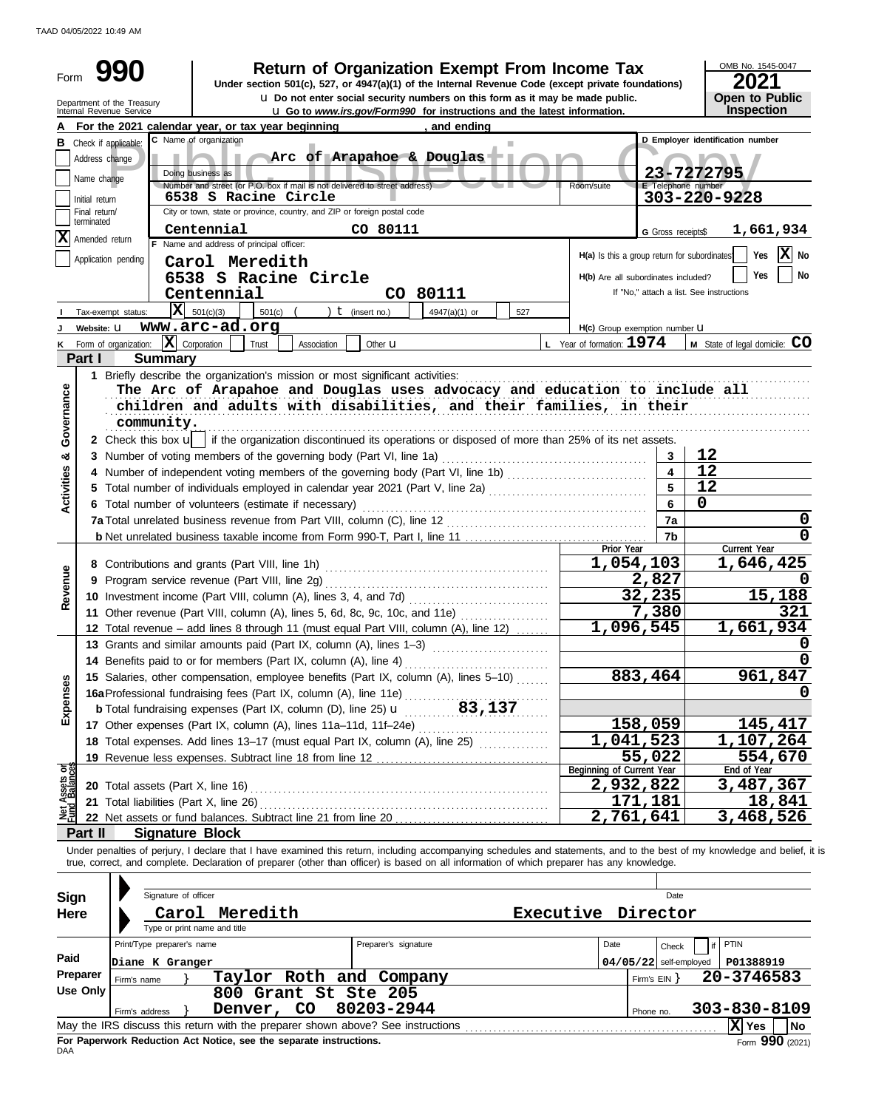TAAD 04/05/2022 10:49 AM

| Form                           |                 | <b>Return of Organization Exempt From Income Tax</b>                                                                                                                                                                                                                                                                     |                                              |                           | OMB No. 1545-0047                        |
|--------------------------------|-----------------|--------------------------------------------------------------------------------------------------------------------------------------------------------------------------------------------------------------------------------------------------------------------------------------------------------------------------|----------------------------------------------|---------------------------|------------------------------------------|
|                                |                 | Under section 501(c), 527, or 4947(a)(1) of the Internal Revenue Code (except private foundations)<br><b>u</b> Do not enter social security numbers on this form as it may be made public.                                                                                                                               |                                              |                           | 2021                                     |
|                                |                 | Department of the Treasury<br>Internal Revenue Service<br><b>u</b> Go to www.irs.gov/Form990 for instructions and the latest information.                                                                                                                                                                                |                                              |                           | Open to Public<br>Inspection             |
|                                |                 | , and ending<br>For the 2021 calendar year, or tax year beginning                                                                                                                                                                                                                                                        |                                              |                           |                                          |
| В                              |                 | C Name of organization<br>Check if applicable:                                                                                                                                                                                                                                                                           |                                              |                           | D Employer identification number         |
|                                | Address change  | Arc of Arapahoe & Douglas                                                                                                                                                                                                                                                                                                |                                              |                           |                                          |
|                                | Name change     | Doing business as                                                                                                                                                                                                                                                                                                        |                                              |                           | 23-7272795                               |
|                                | Initial return  | Number and street (or P.O. box if mail is not delivered to street address)<br>6538 S Racine Circle                                                                                                                                                                                                                       | Room/suite                                   | <b>E</b> Telephone number | 303-220-9228                             |
|                                | Final return/   | City or town, state or province, country, and ZIP or foreign postal code                                                                                                                                                                                                                                                 |                                              |                           |                                          |
|                                | terminated      | Centennial<br>CO 80111                                                                                                                                                                                                                                                                                                   |                                              | G Gross receipts\$        | 1,661,934                                |
| ΙX                             | Amended return  | F Name and address of principal officer:                                                                                                                                                                                                                                                                                 |                                              |                           |                                          |
|                                |                 | Application pending<br>Carol Meredith                                                                                                                                                                                                                                                                                    | H(a) Is this a group return for subordinates |                           | $ \mathbf{X} $ No<br>Yes                 |
|                                |                 | 6538 S Racine Circle                                                                                                                                                                                                                                                                                                     | H(b) Are all subordinates included?          |                           | Yes<br>No                                |
|                                |                 | Centennial<br>CO 80111                                                                                                                                                                                                                                                                                                   |                                              |                           | If "No," attach a list. See instructions |
|                                |                 | $\overline{\mathbf{X}}$ 501(c)(3)<br>501(c)<br>) $t$ (insert no.)<br>4947(a)(1) or<br>Tax-exempt status:<br>527                                                                                                                                                                                                          |                                              |                           |                                          |
|                                | Website: U      | www.arc-ad.org                                                                                                                                                                                                                                                                                                           | H(c) Group exemption number <b>U</b>         |                           |                                          |
|                                |                 | Form of organization: $ \mathbf{X} $ Corporation<br>Trust<br>Association<br>Other <b>u</b>                                                                                                                                                                                                                               | L Year of formation: $1974$                  |                           | M State of legal domicile: CO            |
|                                | Part I          | <b>Summary</b>                                                                                                                                                                                                                                                                                                           |                                              |                           |                                          |
|                                |                 | 1 Briefly describe the organization's mission or most significant activities:                                                                                                                                                                                                                                            |                                              |                           |                                          |
| Governance                     |                 | The Arc of Arapahoe and Douglas uses advocacy and education to include all                                                                                                                                                                                                                                               |                                              |                           |                                          |
|                                |                 | children and adults with disabilities, and their families, in their                                                                                                                                                                                                                                                      |                                              |                           |                                          |
|                                |                 | community.                                                                                                                                                                                                                                                                                                               |                                              |                           |                                          |
|                                |                 | 2 Check this box u   if the organization discontinued its operations or disposed of more than 25% of its net assets.                                                                                                                                                                                                     |                                              | 3                         | 12                                       |
| ఱ                              |                 | 3 Number of voting members of the governing body (Part VI, line 1a)<br>4 Number of independent voting members of the governing body (Part VI, line 1b) [11] [11] Number of independent voting members of the governing body (Part VI, line 1b)                                                                           |                                              | $\overline{\mathbf{4}}$   | 12                                       |
|                                |                 | 5 Total number of individuals employed in calendar year 2021 (Part V, line 2a) [[[[[[[[[[[[[[[[[[[[[[[[[[[[[[[                                                                                                                                                                                                           |                                              | $5\overline{5}$           | 12                                       |
| <b>Activities</b>              |                 | 6 Total number of volunteers (estimate if necessary)                                                                                                                                                                                                                                                                     |                                              | 6                         | 0                                        |
|                                |                 |                                                                                                                                                                                                                                                                                                                          |                                              | 7a                        | 0                                        |
|                                |                 |                                                                                                                                                                                                                                                                                                                          |                                              | 7b                        | 0                                        |
|                                |                 |                                                                                                                                                                                                                                                                                                                          | Prior Year                                   |                           | Current Year                             |
|                                |                 |                                                                                                                                                                                                                                                                                                                          | 1,054,103                                    |                           | 1,646,425                                |
|                                |                 |                                                                                                                                                                                                                                                                                                                          |                                              | 2,827                     |                                          |
| Revenue                        |                 | 10 Investment income (Part VIII, column (A), lines 3, 4, and 7d)                                                                                                                                                                                                                                                         |                                              | 32, 235                   | 15,188                                   |
|                                |                 | 11 Other revenue (Part VIII, column (A), lines 5, 6d, 8c, 9c, 10c, and 11e)                                                                                                                                                                                                                                              |                                              | 7,380                     | 321                                      |
|                                |                 | 12 Total revenue - add lines 8 through 11 (must equal Part VIII, column (A), line 12)                                                                                                                                                                                                                                    | 1,096,545                                    |                           | 1,661,934                                |
|                                |                 | 13 Grants and similar amounts paid (Part IX, column (A), lines 1-3)                                                                                                                                                                                                                                                      |                                              |                           | $\mathbf 0$                              |
|                                |                 |                                                                                                                                                                                                                                                                                                                          |                                              | 883,464                   | 961,847                                  |
| Expenses                       |                 | 15 Salaries, other compensation, employee benefits (Part IX, column (A), lines 5-10)<br>16a Professional fundraising fees (Part IX, column (A), line 11e)                                                                                                                                                                |                                              |                           | O                                        |
|                                |                 |                                                                                                                                                                                                                                                                                                                          |                                              |                           |                                          |
|                                |                 | 17 Other expenses (Part IX, column (A), lines 11a-11d, 11f-24e)                                                                                                                                                                                                                                                          |                                              | 158,059                   | 145,417                                  |
|                                |                 |                                                                                                                                                                                                                                                                                                                          | 1,041,523                                    |                           | 1,107,264                                |
|                                |                 |                                                                                                                                                                                                                                                                                                                          |                                              | 55,022                    | 554,670                                  |
|                                |                 |                                                                                                                                                                                                                                                                                                                          | Beginning of Current Year                    |                           | End of Year                              |
|                                |                 |                                                                                                                                                                                                                                                                                                                          | 2,932,822                                    |                           | 3,487,367                                |
| Net Assets or<br>Fund Balances |                 | 21 Total liabilities (Part X, line 26)                                                                                                                                                                                                                                                                                   |                                              | 171,181                   | 18,841                                   |
|                                |                 |                                                                                                                                                                                                                                                                                                                          | 2,761,641                                    |                           | 3,468,526                                |
|                                | Part II         | <b>Signature Block</b>                                                                                                                                                                                                                                                                                                   |                                              |                           |                                          |
|                                |                 | Under penalties of perjury, I declare that I have examined this return, including accompanying schedules and statements, and to the best of my knowledge and belief, it is<br>true, correct, and complete. Declaration of preparer (other than officer) is based on all information of which preparer has any knowledge. |                                              |                           |                                          |
|                                |                 |                                                                                                                                                                                                                                                                                                                          |                                              |                           |                                          |
| <b>Sign</b>                    |                 | Signature of officer                                                                                                                                                                                                                                                                                                     |                                              | Date                      |                                          |
| <b>Here</b>                    |                 | Carol Meredith                                                                                                                                                                                                                                                                                                           | Executive Director                           |                           |                                          |
|                                |                 | Type or print name and title                                                                                                                                                                                                                                                                                             |                                              |                           |                                          |
|                                |                 | Print/Type preparer's name<br>Preparer's signature                                                                                                                                                                                                                                                                       | Date                                         | Check                     | PTIN                                     |
| Paid                           |                 | Diane K Granger                                                                                                                                                                                                                                                                                                          |                                              | $04/05/22$ self-employed  | P01388919                                |
|                                | Preparer        | Taylor Roth and Company<br>Firm's name                                                                                                                                                                                                                                                                                   |                                              | Firm's $EIN$ }            | 20-3746583                               |
|                                | <b>Use Only</b> | 800 Grant St Ste 205                                                                                                                                                                                                                                                                                                     |                                              |                           |                                          |
|                                |                 | 80203-2944<br>Denver, CO<br>Firm's address                                                                                                                                                                                                                                                                               |                                              | Phone no.                 | 303-830-8109                             |
|                                |                 |                                                                                                                                                                                                                                                                                                                          |                                              |                           | X Yes<br>No                              |

| May the IRS discuss this return with the preparer shown above? See instructions | <b>X</b> Yes      | l No |
|---------------------------------------------------------------------------------|-------------------|------|
| For Paperwork Reduction Act Notice, see the separate instructions.<br>DAA       | Form $990$ (2021) |      |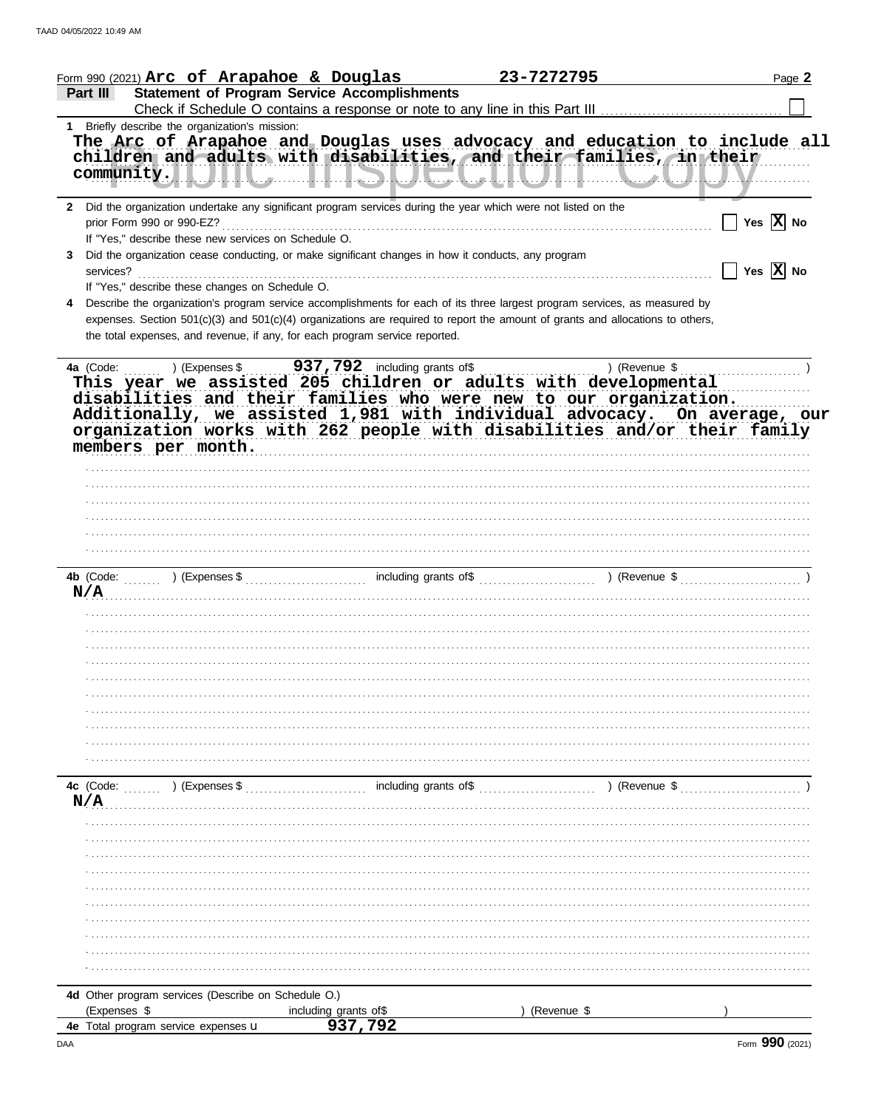|              | Form 990 (2021) Arc of Arapahoe & Douglas            |                                                                                                                                                                                                                                                                                                                                                                                                                                                   | 23-7272795  |               | Page 2                                              |
|--------------|------------------------------------------------------|---------------------------------------------------------------------------------------------------------------------------------------------------------------------------------------------------------------------------------------------------------------------------------------------------------------------------------------------------------------------------------------------------------------------------------------------------|-------------|---------------|-----------------------------------------------------|
| Part III     |                                                      | <b>Statement of Program Service Accomplishments</b>                                                                                                                                                                                                                                                                                                                                                                                               |             |               |                                                     |
|              | 1 Briefly describe the organization's mission:       |                                                                                                                                                                                                                                                                                                                                                                                                                                                   |             |               |                                                     |
|              |                                                      | The Arc of Arapahoe and Douglas uses advocacy and education to include all<br>children and adults with disabilities, and their families, in their<br>committed in the committee of the second contract of the committee of the committee of the committee of the committee of the committee of the committee of the committee of the committee of the committee of the committee of                                                               |             |               |                                                     |
|              | If "Yes," describe these new services on Schedule O. | 2 Did the organization undertake any significant program services during the year which were not listed on the                                                                                                                                                                                                                                                                                                                                    |             |               | $\sqrt{\phantom{a}}$ Yes $\overline{\mathbf{X}}$ No |
| services?    | If "Yes," describe these changes on Schedule O.      | Did the organization cease conducting, or make significant changes in how it conducts, any program                                                                                                                                                                                                                                                                                                                                                |             |               | $\Box$ Yes $\boxed{\mathbf{X}}$ No                  |
|              |                                                      | Describe the organization's program service accomplishments for each of its three largest program services, as measured by<br>expenses. Section 501(c)(3) and 501(c)(4) organizations are required to report the amount of grants and allocations to others,<br>the total expenses, and revenue, if any, for each program service reported.                                                                                                       |             |               |                                                     |
|              | members per month.                                   | 4a (Code: ) (Expenses \$937,792 including grants of \$937,792 including grants of \$937,792 including grants of \$937,792 including grants of \$91.1 \ expenses \$937,792 including grants of \$91.1 \ experimental<br>disabilities and their families who were new to our organization.<br>Additionally, we assisted 1,981 with individual advocacy. On average, our<br>organization works with 262 people with disabilities and/or their family |             |               |                                                     |
|              |                                                      |                                                                                                                                                                                                                                                                                                                                                                                                                                                   |             |               |                                                     |
|              |                                                      |                                                                                                                                                                                                                                                                                                                                                                                                                                                   |             |               |                                                     |
|              |                                                      |                                                                                                                                                                                                                                                                                                                                                                                                                                                   |             |               |                                                     |
|              |                                                      | N/A                                                                                                                                                                                                                                                                                                                                                                                                                                               |             |               |                                                     |
|              |                                                      |                                                                                                                                                                                                                                                                                                                                                                                                                                                   |             |               |                                                     |
|              |                                                      |                                                                                                                                                                                                                                                                                                                                                                                                                                                   |             |               |                                                     |
|              |                                                      |                                                                                                                                                                                                                                                                                                                                                                                                                                                   |             |               |                                                     |
| 4c (Code:    | ) (Expenses \$                                       | including grants of\$                                                                                                                                                                                                                                                                                                                                                                                                                             |             | ) (Revenue \$ |                                                     |
|              |                                                      |                                                                                                                                                                                                                                                                                                                                                                                                                                                   |             |               |                                                     |
|              |                                                      |                                                                                                                                                                                                                                                                                                                                                                                                                                                   |             |               |                                                     |
|              |                                                      |                                                                                                                                                                                                                                                                                                                                                                                                                                                   |             |               |                                                     |
|              |                                                      |                                                                                                                                                                                                                                                                                                                                                                                                                                                   |             |               |                                                     |
|              |                                                      |                                                                                                                                                                                                                                                                                                                                                                                                                                                   |             |               |                                                     |
|              |                                                      |                                                                                                                                                                                                                                                                                                                                                                                                                                                   |             |               |                                                     |
| (Expenses \$ | 4d Other program services (Describe on Schedule O.)  | including grants of\$                                                                                                                                                                                                                                                                                                                                                                                                                             | (Revenue \$ |               |                                                     |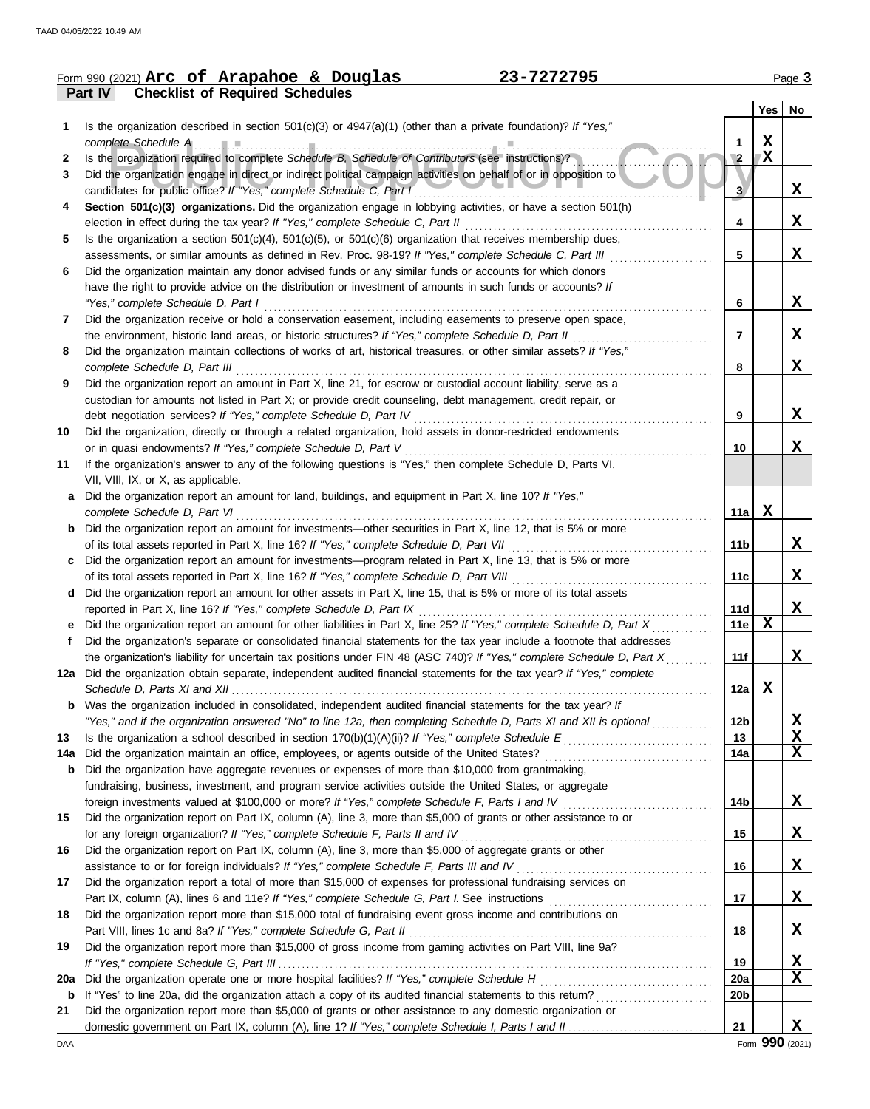|     | 23-7272795<br>Form 990 (2021) Arc of Arapahoe & Douglas                                                                                                                                                                         |                 |                         | Page 3      |
|-----|---------------------------------------------------------------------------------------------------------------------------------------------------------------------------------------------------------------------------------|-----------------|-------------------------|-------------|
|     | <b>Checklist of Required Schedules</b><br>Part IV                                                                                                                                                                               |                 |                         |             |
|     |                                                                                                                                                                                                                                 |                 |                         | Yes   No    |
| 1   | Is the organization described in section $501(c)(3)$ or $4947(a)(1)$ (other than a private foundation)? If "Yes,"                                                                                                               |                 |                         |             |
|     | complete Schedule A                                                                                                                                                                                                             | 1               | $\mathbf X$             |             |
| 2   | Is the organization required to complete Schedule B, Schedule of Contributors (see instructions)?                                                                                                                               | $\overline{2}$  | $\overline{\mathbf{X}}$ |             |
| 3   | Did the organization engage in direct or indirect political campaign activities on behalf of or in opposition to                                                                                                                |                 |                         |             |
|     | candidates for public office? If "Yes," complete Schedule C, Part I                                                                                                                                                             | 3 <sup>7</sup>  |                         | X           |
| 4   | Section 501(c)(3) organizations. Did the organization engage in lobbying activities, or have a section 501(h)                                                                                                                   |                 |                         |             |
|     | election in effect during the tax year? If "Yes," complete Schedule C, Part II                                                                                                                                                  | 4               |                         | X           |
| 5   | Is the organization a section $501(c)(4)$ , $501(c)(5)$ , or $501(c)(6)$ organization that receives membership dues,<br>assessments, or similar amounts as defined in Rev. Proc. 98-19? If "Yes," complete Schedule C, Part III | 5               |                         | X           |
| 6   | Did the organization maintain any donor advised funds or any similar funds or accounts for which donors                                                                                                                         |                 |                         |             |
|     | have the right to provide advice on the distribution or investment of amounts in such funds or accounts? If                                                                                                                     |                 |                         |             |
|     | "Yes," complete Schedule D, Part I                                                                                                                                                                                              | 6               |                         | X           |
| 7   | Did the organization receive or hold a conservation easement, including easements to preserve open space,                                                                                                                       |                 |                         |             |
|     | the environment, historic land areas, or historic structures? If "Yes," complete Schedule D, Part II                                                                                                                            | 7               |                         | X           |
| 8   | Did the organization maintain collections of works of art, historical treasures, or other similar assets? If "Yes,"                                                                                                             |                 |                         |             |
|     | complete Schedule D, Part III                                                                                                                                                                                                   | 8               |                         | X           |
| 9   | Did the organization report an amount in Part X, line 21, for escrow or custodial account liability, serve as a                                                                                                                 |                 |                         |             |
|     | custodian for amounts not listed in Part X; or provide credit counseling, debt management, credit repair, or                                                                                                                    |                 |                         |             |
|     | debt negotiation services? If "Yes," complete Schedule D, Part IV                                                                                                                                                               | 9               |                         | X           |
| 10  | Did the organization, directly or through a related organization, hold assets in donor-restricted endowments                                                                                                                    |                 |                         |             |
|     | or in quasi endowments? If "Yes," complete Schedule D, Part V                                                                                                                                                                   | 10              |                         | X           |
| 11  | If the organization's answer to any of the following questions is "Yes," then complete Schedule D, Parts VI,                                                                                                                    |                 |                         |             |
|     | VII, VIII, IX, or X, as applicable.                                                                                                                                                                                             |                 |                         |             |
| а   | Did the organization report an amount for land, buildings, and equipment in Part X, line 10? If "Yes,"                                                                                                                          |                 |                         |             |
|     | complete Schedule D, Part VI                                                                                                                                                                                                    | 11a             | X                       |             |
| b   | Did the organization report an amount for investments—other securities in Part X, line 12, that is 5% or more                                                                                                                   |                 |                         | X           |
|     | of its total assets reported in Part X, line 16? If "Yes," complete Schedule D, Part VII                                                                                                                                        | 11 <sub>b</sub> |                         |             |
| c   | Did the organization report an amount for investments—program related in Part X, line 13, that is 5% or more<br>of its total assets reported in Part X, line 16? If "Yes," complete Schedule D, Part VIII                       | 11c             |                         | X           |
| d   | Did the organization report an amount for other assets in Part X, line 15, that is 5% or more of its total assets                                                                                                               |                 |                         |             |
|     | reported in Part X, line 16? If "Yes," complete Schedule D, Part IX                                                                                                                                                             | 11d             |                         | X           |
|     | Did the organization report an amount for other liabilities in Part X, line 25? If "Yes," complete Schedule D, Part X                                                                                                           | 11e             | $\mathbf x$             |             |
| f   | Did the organization's separate or consolidated financial statements for the tax year include a footnote that addresses                                                                                                         |                 |                         |             |
|     | the organization's liability for uncertain tax positions under FIN 48 (ASC 740)? If "Yes," complete Schedule D, Part X                                                                                                          | 11f             |                         | X           |
|     | 12a Did the organization obtain separate, independent audited financial statements for the tax year? If "Yes," complete                                                                                                         |                 |                         |             |
|     | Schedule D, Parts XI and XII                                                                                                                                                                                                    | 12a             | Х                       |             |
| b   | Was the organization included in consolidated, independent audited financial statements for the tax year? If                                                                                                                    |                 |                         |             |
|     | "Yes," and if the organization answered "No" to line 12a, then completing Schedule D, Parts XI and XII is optional                                                                                                              | 12 <sub>b</sub> |                         | <u>x</u>    |
| 13  |                                                                                                                                                                                                                                 | 13              |                         | X           |
| 14a | Did the organization maintain an office, employees, or agents outside of the United States?                                                                                                                                     | 14a             |                         | X           |
| b   | Did the organization have aggregate revenues or expenses of more than \$10,000 from grantmaking,                                                                                                                                |                 |                         |             |
|     | fundraising, business, investment, and program service activities outside the United States, or aggregate                                                                                                                       |                 |                         |             |
|     | foreign investments valued at \$100,000 or more? If "Yes," complete Schedule F, Parts I and IV                                                                                                                                  | 14b             |                         | X           |
| 15  | Did the organization report on Part IX, column (A), line 3, more than \$5,000 of grants or other assistance to or                                                                                                               |                 |                         |             |
|     | for any foreign organization? If "Yes," complete Schedule F, Parts II and IV                                                                                                                                                    | 15              |                         | X           |
| 16  | Did the organization report on Part IX, column (A), line 3, more than \$5,000 of aggregate grants or other                                                                                                                      |                 |                         |             |
|     |                                                                                                                                                                                                                                 | 16              |                         | X           |
| 17  | Did the organization report a total of more than \$15,000 of expenses for professional fundraising services on                                                                                                                  |                 |                         |             |
|     |                                                                                                                                                                                                                                 | 17              |                         | X           |
| 18  | Did the organization report more than \$15,000 total of fundraising event gross income and contributions on<br>Part VIII, lines 1c and 8a? If "Yes," complete Schedule G, Part II                                               | 18              |                         | $\mathbf x$ |
| 19  | Did the organization report more than \$15,000 of gross income from gaming activities on Part VIII, line 9a?                                                                                                                    |                 |                         |             |
|     |                                                                                                                                                                                                                                 | 19              |                         | <u>x</u>    |
| 20a | Did the organization operate one or more hospital facilities? If "Yes," complete Schedule H                                                                                                                                     | 20a             |                         | X           |
| b   |                                                                                                                                                                                                                                 | 20 <sub>b</sub> |                         |             |
| 21  | Did the organization report more than \$5,000 of grants or other assistance to any domestic organization or                                                                                                                     |                 |                         |             |
|     |                                                                                                                                                                                                                                 | 21              |                         | X           |

DAA Form **990** (2021)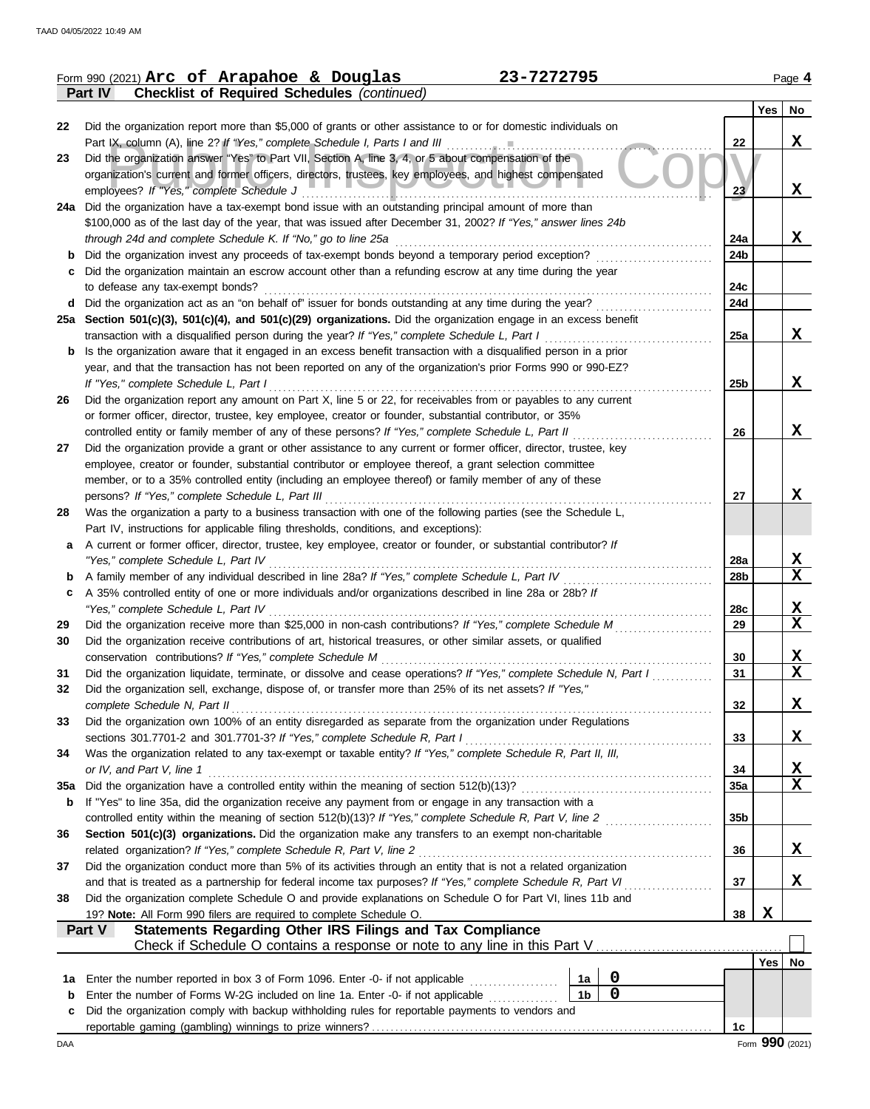|     | Form 990 (2021) Arc of Arapahoe & Douglas<br>23-7272795                                                                                                                                                              |                 |     | Page 4                  |
|-----|----------------------------------------------------------------------------------------------------------------------------------------------------------------------------------------------------------------------|-----------------|-----|-------------------------|
|     | <b>Checklist of Required Schedules (continued)</b><br>Part IV                                                                                                                                                        |                 |     |                         |
|     |                                                                                                                                                                                                                      |                 | Yes | No                      |
| 22  | Did the organization report more than \$5,000 of grants or other assistance to or for domestic individuals on                                                                                                        |                 |     |                         |
|     |                                                                                                                                                                                                                      | 22              |     | X                       |
| 23  | Did the organization answer "Yes" to Part VII, Section A, line 3, 4, or 5 about compensation of the                                                                                                                  |                 |     |                         |
|     | organization's current and former officers, directors, trustees, key employees, and highest compensated                                                                                                              |                 |     |                         |
|     | employees? If "Yes," complete Schedule J<br>24a Did the organization have a tax-exempt bond issue with an outstanding principal amount of more than                                                                  | 23              |     | X                       |
|     | \$100,000 as of the last day of the year, that was issued after December 31, 2002? If "Yes," answer lines 24b                                                                                                        |                 |     |                         |
|     | through 24d and complete Schedule K. If "No," go to line 25a                                                                                                                                                         | 24a             |     | X                       |
| b   | Did the organization invest any proceeds of tax-exempt bonds beyond a temporary period exception?                                                                                                                    | 24b             |     |                         |
| с   | Did the organization maintain an escrow account other than a refunding escrow at any time during the year                                                                                                            |                 |     |                         |
|     | to defease any tax-exempt bonds?                                                                                                                                                                                     | 24c             |     |                         |
| d   | Did the organization act as an "on behalf of" issuer for bonds outstanding at any time during the year?                                                                                                              | 24d             |     |                         |
|     | 25a Section 501(c)(3), 501(c)(4), and 501(c)(29) organizations. Did the organization engage in an excess benefit                                                                                                     |                 |     |                         |
|     | transaction with a disqualified person during the year? If "Yes," complete Schedule L, Part I                                                                                                                        | 25a             |     | X                       |
| b   | Is the organization aware that it engaged in an excess benefit transaction with a disqualified person in a prior                                                                                                     |                 |     |                         |
|     | year, and that the transaction has not been reported on any of the organization's prior Forms 990 or 990-EZ?                                                                                                         |                 |     |                         |
|     | If "Yes," complete Schedule L, Part I                                                                                                                                                                                | 25b             |     | X                       |
| 26  | Did the organization report any amount on Part X, line 5 or 22, for receivables from or payables to any current                                                                                                      |                 |     |                         |
|     | or former officer, director, trustee, key employee, creator or founder, substantial contributor, or 35%<br>controlled entity or family member of any of these persons? If "Yes," complete Schedule L, Part II        | 26              |     | X                       |
| 27  | Did the organization provide a grant or other assistance to any current or former officer, director, trustee, key                                                                                                    |                 |     |                         |
|     | employee, creator or founder, substantial contributor or employee thereof, a grant selection committee                                                                                                               |                 |     |                         |
|     | member, or to a 35% controlled entity (including an employee thereof) or family member of any of these                                                                                                               |                 |     |                         |
|     | persons? If "Yes," complete Schedule L, Part III                                                                                                                                                                     | 27              |     | X                       |
| 28  | Was the organization a party to a business transaction with one of the following parties (see the Schedule L,                                                                                                        |                 |     |                         |
|     | Part IV, instructions for applicable filing thresholds, conditions, and exceptions):                                                                                                                                 |                 |     |                         |
| a   | A current or former officer, director, trustee, key employee, creator or founder, or substantial contributor? If                                                                                                     |                 |     |                         |
|     | "Yes," complete Schedule L, Part IV<br>.                                                                                                                                                                             | 28a             |     | X                       |
|     | A family member of any individual described in line 28a? If "Yes," complete Schedule L, Part IV                                                                                                                      | 28b             |     | $\mathbf x$             |
| с   | A 35% controlled entity of one or more individuals and/or organizations described in line 28a or 28b? If                                                                                                             |                 |     |                         |
| 29  | "Yes," complete Schedule L, Part IV<br>Did the organization receive more than \$25,000 in non-cash contributions? If "Yes," complete Schedule M                                                                      | 28c<br>29       |     | <u>x</u><br>X           |
| 30  | Did the organization receive contributions of art, historical treasures, or other similar assets, or qualified                                                                                                       |                 |     |                         |
|     | conservation contributions? If "Yes," complete Schedule M                                                                                                                                                            | 30              |     | X                       |
| 31  | Did the organization liquidate, terminate, or dissolve and cease operations? If "Yes," complete Schedule N, Part I                                                                                                   | 31              |     | $\overline{\mathbf{X}}$ |
| 32  | Did the organization sell, exchange, dispose of, or transfer more than 25% of its net assets? If "Yes,"                                                                                                              |                 |     |                         |
|     | complete Schedule N, Part II                                                                                                                                                                                         | 32              |     | X                       |
| 33  | Did the organization own 100% of an entity disregarded as separate from the organization under Regulations                                                                                                           |                 |     |                         |
|     | sections 301.7701-2 and 301.7701-3? If "Yes," complete Schedule R, Part I                                                                                                                                            | 33              |     | X                       |
| 34  | Was the organization related to any tax-exempt or taxable entity? If "Yes," complete Schedule R, Part II, III,                                                                                                       |                 |     |                         |
|     | or IV, and Part V, line 1                                                                                                                                                                                            | 34              |     | X.                      |
| 35a | Did the organization have a controlled entity within the meaning of section 512(b)(13)?                                                                                                                              | 35a             |     | X                       |
| b   | If "Yes" to line 35a, did the organization receive any payment from or engage in any transaction with a<br>controlled entity within the meaning of section 512(b)(13)? If "Yes," complete Schedule R, Part V, line 2 | 35 <sub>b</sub> |     |                         |
| 36  | Section 501(c)(3) organizations. Did the organization make any transfers to an exempt non-charitable                                                                                                                 |                 |     |                         |
|     | related organization? If "Yes," complete Schedule R, Part V, line 2                                                                                                                                                  | 36              |     | X                       |
| 37  | Did the organization conduct more than 5% of its activities through an entity that is not a related organization                                                                                                     |                 |     |                         |
|     | and that is treated as a partnership for federal income tax purposes? If "Yes," complete Schedule R, Part VI                                                                                                         | 37              |     | X                       |
| 38  | Did the organization complete Schedule O and provide explanations on Schedule O for Part VI, lines 11b and                                                                                                           |                 |     |                         |
|     | 19? Note: All Form 990 filers are required to complete Schedule O.                                                                                                                                                   | 38              | X   |                         |
|     | Statements Regarding Other IRS Filings and Tax Compliance<br>Part V                                                                                                                                                  |                 |     |                         |
|     |                                                                                                                                                                                                                      |                 |     |                         |
|     |                                                                                                                                                                                                                      |                 |     | Yes   No                |
| 1a  | $\boldsymbol{0}$<br>Enter the number reported in box 3 of Form 1096. Enter -0- if not applicable<br>1a                                                                                                               |                 |     |                         |
| b   | $\mathbf 0$<br>1 <sub>b</sub><br>Enter the number of Forms W-2G included on line 1a. Enter -0- if not applicable                                                                                                     |                 |     |                         |
| c   | Did the organization comply with backup withholding rules for reportable payments to vendors and                                                                                                                     |                 |     |                         |
| DAA |                                                                                                                                                                                                                      | 1c              |     | Form 990 (2021)         |
|     |                                                                                                                                                                                                                      |                 |     |                         |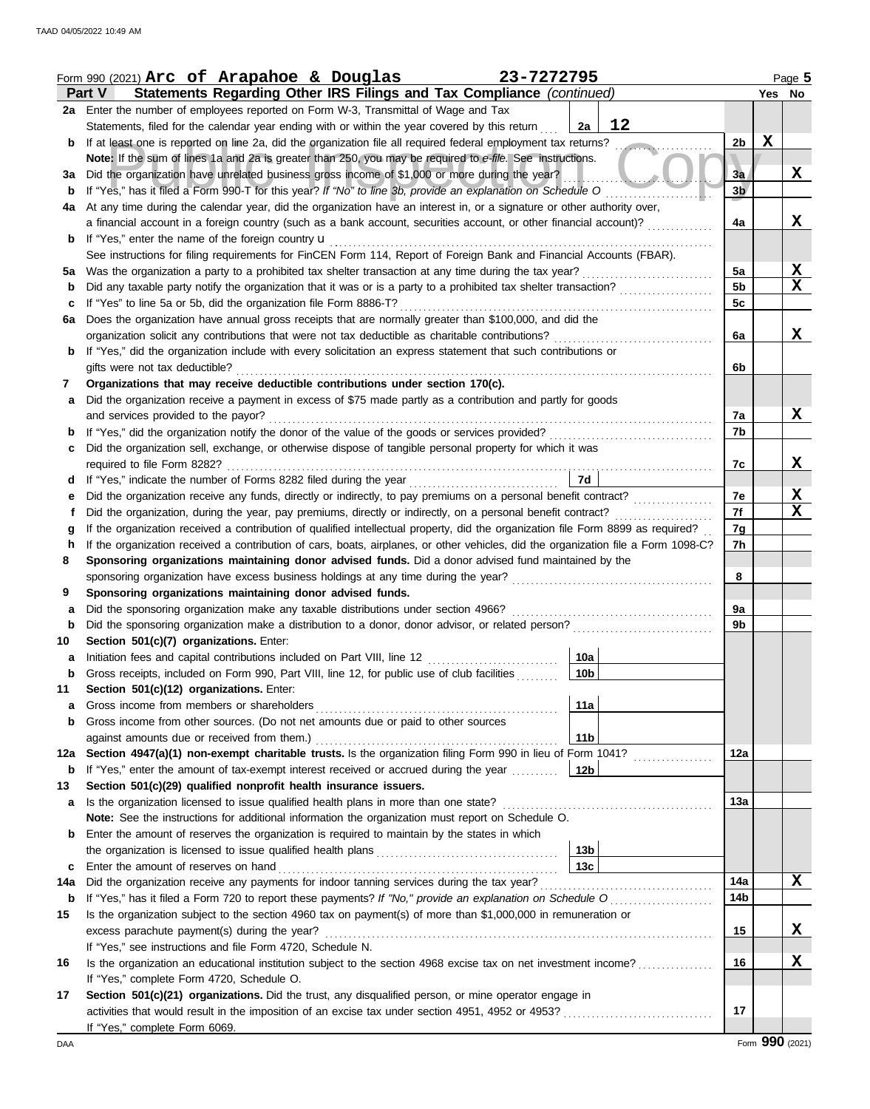|             | Form 990 (2021) Arc of Arapahoe & Douglas<br>23-7272795                                                                                                                                    |                      |             | Page 5 |
|-------------|--------------------------------------------------------------------------------------------------------------------------------------------------------------------------------------------|----------------------|-------------|--------|
|             | Statements Regarding Other IRS Filings and Tax Compliance (continued)<br>Part V                                                                                                            |                      |             | Yes No |
|             | 2a Enter the number of employees reported on Form W-3, Transmittal of Wage and Tax                                                                                                         |                      |             |        |
|             | 12<br>Statements, filed for the calendar year ending with or within the year covered by this return<br>2a                                                                                  |                      |             |        |
| b           | If at least one is reported on line 2a, did the organization file all required federal employment tax returns?<br><u>and a state</u>                                                       | 2 <sub>b</sub>       | $\mathbf X$ |        |
|             | Note: If the sum of lines 1a and 2a is greater than 250, you may be required to e-file. See instructions.                                                                                  |                      |             |        |
| За          | Did the organization have unrelated business gross income of \$1,000 or more during the year?                                                                                              | 3a                   |             | X      |
| b           | If "Yes," has it filed a Form 990-T for this year? If "No" to line 3b, provide an explanation on Schedule O                                                                                | 3 <sub>b</sub>       |             |        |
| 4a          | At any time during the calendar year, did the organization have an interest in, or a signature or other authority over,                                                                    |                      |             |        |
|             | a financial account in a foreign country (such as a bank account, securities account, or other financial account)?                                                                         | 4a                   |             | x      |
| b           | If "Yes," enter the name of the foreign country <b>u</b>                                                                                                                                   |                      |             |        |
|             | See instructions for filing requirements for FinCEN Form 114, Report of Foreign Bank and Financial Accounts (FBAR).                                                                        |                      |             |        |
| 5а          | Was the organization a party to a prohibited tax shelter transaction at any time during the tax year?                                                                                      | 5a                   |             | X      |
| b           | Did any taxable party notify the organization that it was or is a party to a prohibited tax shelter transaction?                                                                           | 5 <sub>b</sub><br>5c |             | x      |
| с           | If "Yes" to line 5a or 5b, did the organization file Form 8886-T?<br>Does the organization have annual gross receipts that are normally greater than \$100,000, and did the                |                      |             |        |
| 6a          | organization solicit any contributions that were not tax deductible as charitable contributions?                                                                                           | 6a                   |             | X      |
|             | If "Yes," did the organization include with every solicitation an express statement that such contributions or                                                                             |                      |             |        |
|             | gifts were not tax deductible?                                                                                                                                                             | 6b                   |             |        |
| 7           | Organizations that may receive deductible contributions under section 170(c).                                                                                                              |                      |             |        |
| a           | Did the organization receive a payment in excess of \$75 made partly as a contribution and partly for goods                                                                                |                      |             |        |
|             | and services provided to the payor?                                                                                                                                                        | 7a                   |             | X      |
| b           |                                                                                                                                                                                            | 7b                   |             |        |
| c           | Did the organization sell, exchange, or otherwise dispose of tangible personal property for which it was                                                                                   |                      |             |        |
|             |                                                                                                                                                                                            | 7c                   |             | X      |
| d           | 7d<br>If "Yes," indicate the number of Forms 8282 filed during the year<br>[[[[[[[[[[[[[]]]]]                                                                                              |                      |             |        |
| е           |                                                                                                                                                                                            | 7е                   |             | X      |
| Ť           | Did the organization, during the year, pay premiums, directly or indirectly, on a personal benefit contract?                                                                               | 7f                   |             | X      |
| g           | If the organization received a contribution of qualified intellectual property, did the organization file Form 8899 as required?                                                           | 7g                   |             |        |
| h           | If the organization received a contribution of cars, boats, airplanes, or other vehicles, did the organization file a Form 1098-C?                                                         | 7h                   |             |        |
| 8           | Sponsoring organizations maintaining donor advised funds. Did a donor advised fund maintained by the                                                                                       |                      |             |        |
|             | sponsoring organization have excess business holdings at any time during the year?                                                                                                         | 8                    |             |        |
| 9           | Sponsoring organizations maintaining donor advised funds.                                                                                                                                  |                      |             |        |
| a           | Did the sponsoring organization make any taxable distributions under section 4966?                                                                                                         | 9a                   |             |        |
| $\mathbf b$ | Did the sponsoring organization make a distribution to a donor, donor advisor, or related person?                                                                                          | 9b                   |             |        |
| 10          | Section 501(c)(7) organizations. Enter:<br>10a                                                                                                                                             |                      |             |        |
| a<br>p      | Initiation fees and capital contributions included on Part VIII, line 12<br>10 <sub>b</sub><br>Gross receipts, included on Form 990, Part VIII, line 12, for public use of club facilities |                      |             |        |
| 11          | Section 501(c)(12) organizations. Enter:                                                                                                                                                   |                      |             |        |
| a           | Gross income from members or shareholders<br>11a                                                                                                                                           |                      |             |        |
| b           | Gross income from other sources. (Do not net amounts due or paid to other sources                                                                                                          |                      |             |        |
|             | 11 <sub>b</sub><br>against amounts due or received from them.)                                                                                                                             |                      |             |        |
| 12a         | Section 4947(a)(1) non-exempt charitable trusts. Is the organization filing Form 990 in lieu of Form 1041?                                                                                 | 12a                  |             |        |
| b           | If "Yes," enter the amount of tax-exempt interest received or accrued during the year<br>  12b                                                                                             |                      |             |        |
| 13          | Section 501(c)(29) qualified nonprofit health insurance issuers.                                                                                                                           |                      |             |        |
| a           | Is the organization licensed to issue qualified health plans in more than one state?                                                                                                       | 13a                  |             |        |
|             | Note: See the instructions for additional information the organization must report on Schedule O.                                                                                          |                      |             |        |
| b           | Enter the amount of reserves the organization is required to maintain by the states in which                                                                                               |                      |             |        |
|             | 13b                                                                                                                                                                                        |                      |             |        |
| c           | 13 <sub>c</sub><br>Enter the amount of reserves on hand                                                                                                                                    |                      |             |        |
| 14a         | Did the organization receive any payments for indoor tanning services during the tax year?                                                                                                 | 14a                  |             | X      |
| b           | If "Yes," has it filed a Form 720 to report these payments? If "No," provide an explanation on Schedule O                                                                                  | 14b                  |             |        |
| 15          | Is the organization subject to the section 4960 tax on payment(s) of more than \$1,000,000 in remuneration or                                                                              |                      |             |        |
|             | excess parachute payment(s) during the year?                                                                                                                                               | 15                   |             | X      |
| 16          | If "Yes," see instructions and file Form 4720, Schedule N.<br>Is the organization an educational institution subject to the section 4968 excise tax on net investment income?              | 16                   |             | X      |
|             | If "Yes," complete Form 4720, Schedule O.                                                                                                                                                  |                      |             |        |
| 17          | Section 501(c)(21) organizations. Did the trust, any disqualified person, or mine operator engage in                                                                                       |                      |             |        |
|             |                                                                                                                                                                                            | 17                   |             |        |
|             | If "Yes," complete Form 6069.                                                                                                                                                              |                      |             |        |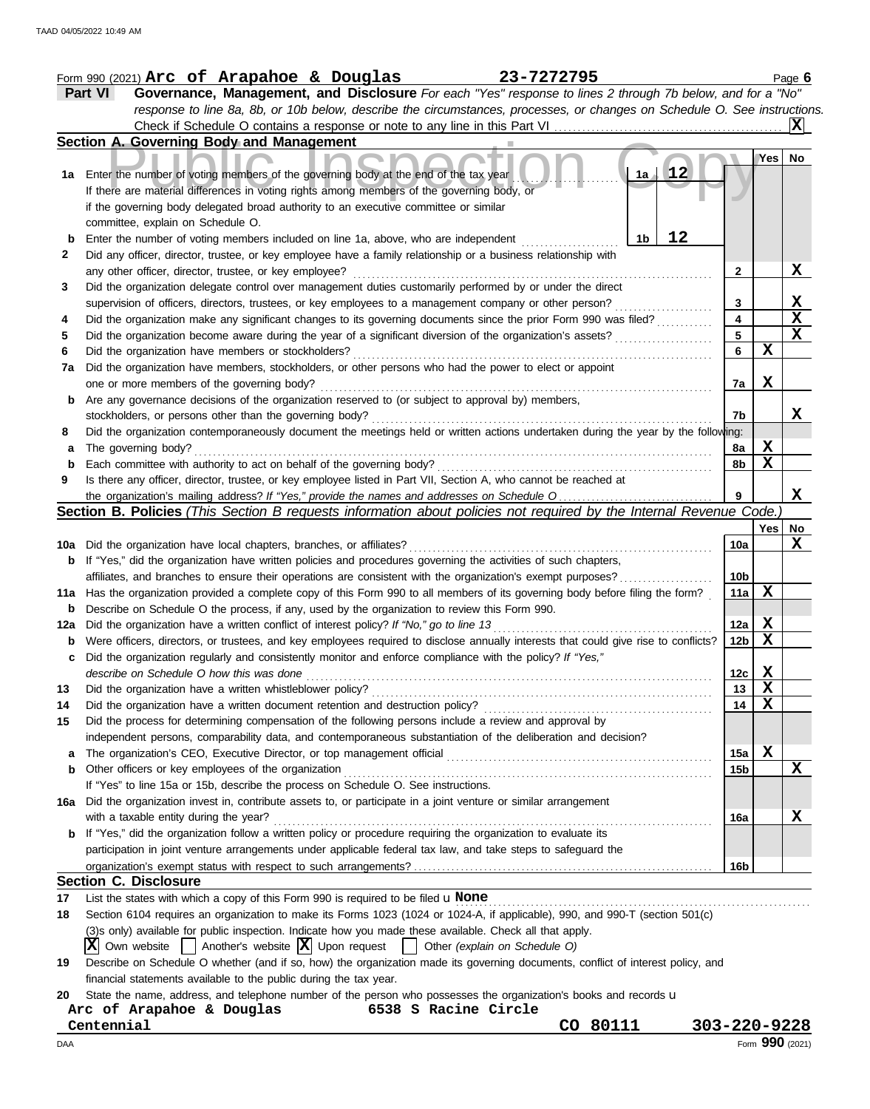|     | 23-7272795<br>Form 990 (2021) Arc of Arapahoe & Douglas                                                                             |                 |                  | Page $6$     |
|-----|-------------------------------------------------------------------------------------------------------------------------------------|-----------------|------------------|--------------|
|     | Part VI<br>Governance, Management, and Disclosure For each "Yes" response to lines 2 through 7b below, and for a "No"               |                 |                  |              |
|     | response to line 8a, 8b, or 10b below, describe the circumstances, processes, or changes on Schedule O. See instructions.           |                 |                  |              |
|     | Check if Schedule O contains a response or note to any line in this Part VI                                                         |                 |                  |              |
|     | Section A. Governing Body and Management                                                                                            |                 |                  |              |
|     |                                                                                                                                     |                 | Yes <sub>1</sub> | No.          |
| 1a  | 12<br>1a<br>Enter the number of voting members of the governing body at the end of the tax year                                     |                 |                  |              |
|     | If there are material differences in voting rights among members of the governing body, or                                          |                 |                  |              |
|     | if the governing body delegated broad authority to an executive committee or similar                                                |                 |                  |              |
|     | committee, explain on Schedule O.                                                                                                   |                 |                  |              |
| b   | 12<br>Enter the number of voting members included on line 1a, above, who are independent<br>1b                                      |                 |                  |              |
| 2   | Did any officer, director, trustee, or key employee have a family relationship or a business relationship with                      |                 |                  |              |
|     | any other officer, director, trustee, or key employee?                                                                              | $\mathbf{2}$    |                  | X            |
| 3   | Did the organization delegate control over management duties customarily performed by or under the direct                           |                 |                  |              |
|     | supervision of officers, directors, trustees, or key employees to a management company or other person?                             | 3               |                  | $\mathbf{x}$ |
| 4   | Did the organization make any significant changes to its governing documents since the prior Form 990 was filed?                    | 4               |                  | X            |
| 5   | Did the organization become aware during the year of a significant diversion of the organization's assets?                          | 5               |                  | $\mathbf X$  |
| 6   | Did the organization have members or stockholders?                                                                                  | 6               | х                |              |
| 7a  | Did the organization have members, stockholders, or other persons who had the power to elect or appoint                             |                 |                  |              |
|     | one or more members of the governing body?                                                                                          | 7a              | X                |              |
| b   | Are any governance decisions of the organization reserved to (or subject to approval by) members,                                   |                 |                  |              |
|     | stockholders, or persons other than the governing body?                                                                             | 7b              |                  | X            |
| 8   | Did the organization contemporaneously document the meetings held or written actions undertaken during the year by the following:   |                 |                  |              |
| а   | The governing body?                                                                                                                 | 8a              | x                |              |
| b   | Each committee with authority to act on behalf of the governing body?                                                               | 8b              | $\mathbf X$      |              |
| 9   | Is there any officer, director, trustee, or key employee listed in Part VII, Section A, who cannot be reached at                    |                 |                  |              |
|     |                                                                                                                                     | 9               |                  | X            |
|     | Section B. Policies (This Section B requests information about policies not required by the Internal Revenue Code.                  |                 |                  |              |
|     |                                                                                                                                     |                 | Yes              | No           |
| 10a | Did the organization have local chapters, branches, or affiliates?                                                                  | 10a             |                  | X            |
| b   | If "Yes," did the organization have written policies and procedures governing the activities of such chapters,                      |                 |                  |              |
|     | affiliates, and branches to ensure their operations are consistent with the organization's exempt purposes?                         | 10 <sub>b</sub> |                  |              |
| 11a | Has the organization provided a complete copy of this Form 990 to all members of its governing body before filing the form?         | 11a             | X                |              |
| b   | Describe on Schedule O the process, if any, used by the organization to review this Form 990.                                       |                 |                  |              |
| 12a | Did the organization have a written conflict of interest policy? If "No," go to line 13                                             | 12a             | X                |              |
| b   | Were officers, directors, or trustees, and key employees required to disclose annually interests that could give rise to conflicts? | 12 <sub>b</sub> | X                |              |
|     | Did the organization regularly and consistently monitor and enforce compliance with the policy? If "Yes,"                           |                 |                  |              |
|     | describe on Schedule O how this was done                                                                                            | 12c             | X                |              |
| 13  | Did the organization have a written whistleblower policy?                                                                           | 13              | X                |              |
| 14  | Did the organization have a written document retention and destruction policy?                                                      | 14              | $\mathbf x$      |              |
| 15  | Did the process for determining compensation of the following persons include a review and approval by                              |                 |                  |              |
|     | independent persons, comparability data, and contemporaneous substantiation of the deliberation and decision?                       |                 |                  |              |
| a   | The organization's CEO, Executive Director, or top management official                                                              | 15a             | X                |              |
| b   | Other officers or key employees of the organization                                                                                 | 15b             |                  | X            |
|     | If "Yes" to line 15a or 15b, describe the process on Schedule O. See instructions.                                                  |                 |                  |              |
| 16а | Did the organization invest in, contribute assets to, or participate in a joint venture or similar arrangement                      |                 |                  |              |
|     | with a taxable entity during the year?                                                                                              | 16a             |                  | x            |
|     | If "Yes," did the organization follow a written policy or procedure requiring the organization to evaluate its                      |                 |                  |              |
|     | participation in joint venture arrangements under applicable federal tax law, and take steps to safeguard the                       |                 |                  |              |
|     |                                                                                                                                     | 16b             |                  |              |
|     | <b>Section C. Disclosure</b>                                                                                                        |                 |                  |              |
| 17  | List the states with which a copy of this Form 990 is required to be filed $\mathbf u$ None                                         |                 |                  |              |
| 18  | Section 6104 requires an organization to make its Forms 1023 (1024 or 1024-A, if applicable), 990, and 990-T (section 501(c)        |                 |                  |              |
|     | (3)s only) available for public inspection. Indicate how you made these available. Check all that apply.                            |                 |                  |              |
|     | $ \mathbf{X} $ Own website $ \cdot $ Another's website $ \mathbf{X} $ Upon request $ \cdot $ Other (explain on Schedule O)          |                 |                  |              |
| 19  | Describe on Schedule O whether (and if so, how) the organization made its governing documents, conflict of interest policy, and     |                 |                  |              |
|     | financial statements available to the public during the tax year.                                                                   |                 |                  |              |
| 20  | State the name, address, and telephone number of the person who possesses the organization's books and records u                    |                 |                  |              |
|     | Arc of Arapahoe & Douglas<br>6538 S Racine Circle                                                                                   |                 |                  |              |
|     | CO 80111<br>Centennial<br>303-220-9228                                                                                              |                 |                  |              |
| DAA |                                                                                                                                     |                 | Form 990 (2021)  |              |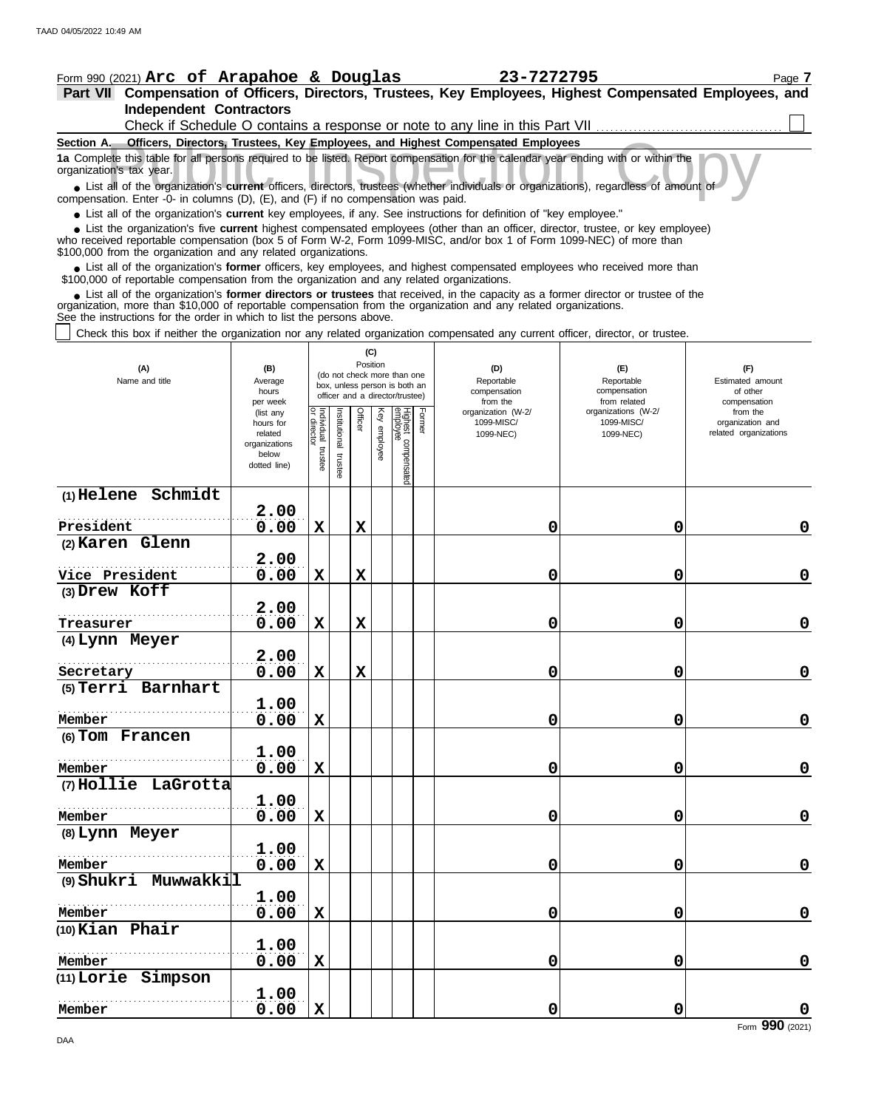| <b>Independent Contractors</b>                                                                                                                                                                                                                                                                                             |                                                                                                                                   |                           |               |                |          |                                 |        |                                                                              |                                   |                              |  |  |
|----------------------------------------------------------------------------------------------------------------------------------------------------------------------------------------------------------------------------------------------------------------------------------------------------------------------------|-----------------------------------------------------------------------------------------------------------------------------------|---------------------------|---------------|----------------|----------|---------------------------------|--------|------------------------------------------------------------------------------|-----------------------------------|------------------------------|--|--|
|                                                                                                                                                                                                                                                                                                                            |                                                                                                                                   |                           |               |                |          |                                 |        | Check if Schedule O contains a response or note to any line in this Part VII |                                   |                              |  |  |
| Section A. Officers, Directors, Trustees, Key Employees, and Highest Compensated Employees                                                                                                                                                                                                                                 |                                                                                                                                   |                           |               |                |          |                                 |        |                                                                              |                                   |                              |  |  |
| organization's tax year.                                                                                                                                                                                                                                                                                                   | 1a Complete this table for all persons required to be listed. Report compensation for the calendar year ending with or within the |                           |               |                |          |                                 |        |                                                                              |                                   |                              |  |  |
| • List all of the organization's current officers, directors, trustees (whether individuals or organizations), regardless of amount of<br>compensation. Enter -0- in columns (D), (E), and (F) if no compensation was paid.                                                                                                |                                                                                                                                   |                           |               |                |          |                                 |        |                                                                              |                                   |                              |  |  |
| • List all of the organization's current key employees, if any. See instructions for definition of "key employee."                                                                                                                                                                                                         |                                                                                                                                   |                           |               |                |          |                                 |        |                                                                              |                                   |                              |  |  |
| • List the organization's five current highest compensated employees (other than an officer, director, trustee, or key employee)<br>who received reportable compensation (box 5 of Form W-2, Form 1099-MISC, and/or box 1 of Form 1099-NEC) of more than<br>\$100,000 from the organization and any related organizations. |                                                                                                                                   |                           |               |                |          |                                 |        |                                                                              |                                   |                              |  |  |
| • List all of the organization's former officers, key employees, and highest compensated employees who received more than                                                                                                                                                                                                  |                                                                                                                                   |                           |               |                |          |                                 |        |                                                                              |                                   |                              |  |  |
| \$100,000 of reportable compensation from the organization and any related organizations.<br>• List all of the organization's former directors or trustees that received, in the capacity as a former director or trustee of the                                                                                           |                                                                                                                                   |                           |               |                |          |                                 |        |                                                                              |                                   |                              |  |  |
| organization, more than \$10,000 of reportable compensation from the organization and any related organizations.<br>See the instructions for the order in which to list the persons above.                                                                                                                                 |                                                                                                                                   |                           |               |                |          |                                 |        |                                                                              |                                   |                              |  |  |
| Check this box if neither the organization nor any related organization compensated any current officer, director, or trustee.                                                                                                                                                                                             |                                                                                                                                   |                           |               |                |          |                                 |        |                                                                              |                                   |                              |  |  |
|                                                                                                                                                                                                                                                                                                                            |                                                                                                                                   |                           |               |                | (C)      |                                 |        |                                                                              |                                   |                              |  |  |
| (A)                                                                                                                                                                                                                                                                                                                        | (B)                                                                                                                               |                           |               | Position       |          | (do not check more than one     |        | (D)                                                                          | (E)                               | (F)                          |  |  |
| Name and title                                                                                                                                                                                                                                                                                                             | Average<br>hours                                                                                                                  |                           |               |                |          | box, unless person is both an   |        | Reportable<br>compensation                                                   | Reportable<br>compensation        | Estimated amount<br>of other |  |  |
|                                                                                                                                                                                                                                                                                                                            | per week                                                                                                                          |                           |               |                |          | officer and a director/trustee) |        | from the                                                                     | from related                      | compensation                 |  |  |
|                                                                                                                                                                                                                                                                                                                            | (list any<br>hours for                                                                                                            | Individual<br>or director | Institutional | <b>Officer</b> | Key      |                                 | Former | organization (W-2/<br>1099-MISC/                                             | organizations (W-2/<br>1099-MISC/ | from the<br>organization and |  |  |
|                                                                                                                                                                                                                                                                                                                            | related                                                                                                                           |                           |               |                | employee |                                 |        | 1099-NEC)                                                                    | 1099-NEC)                         | related organizations        |  |  |
|                                                                                                                                                                                                                                                                                                                            | organizations<br>below                                                                                                            |                           |               |                |          |                                 |        |                                                                              |                                   |                              |  |  |
|                                                                                                                                                                                                                                                                                                                            | dotted line)                                                                                                                      | trustee                   | trustee       |                |          | Highest compensated<br>employee |        |                                                                              |                                   |                              |  |  |
| $(1)$ Helene Schmidt                                                                                                                                                                                                                                                                                                       |                                                                                                                                   |                           |               |                |          |                                 |        |                                                                              |                                   |                              |  |  |
|                                                                                                                                                                                                                                                                                                                            | 2.00                                                                                                                              |                           |               |                |          |                                 |        |                                                                              |                                   |                              |  |  |
| President                                                                                                                                                                                                                                                                                                                  | 0.00                                                                                                                              | X                         |               | X              |          |                                 |        | 0                                                                            | 0                                 | 0                            |  |  |
| (2) Karen Glenn                                                                                                                                                                                                                                                                                                            |                                                                                                                                   |                           |               |                |          |                                 |        |                                                                              |                                   |                              |  |  |
|                                                                                                                                                                                                                                                                                                                            | 2.00                                                                                                                              |                           |               |                |          |                                 |        |                                                                              |                                   |                              |  |  |
| Vice President<br>(3) Drew Koff                                                                                                                                                                                                                                                                                            | 0.00                                                                                                                              | X                         |               | X              |          |                                 |        | 0                                                                            | 0                                 | 0                            |  |  |
|                                                                                                                                                                                                                                                                                                                            | 2.00                                                                                                                              |                           |               |                |          |                                 |        |                                                                              |                                   |                              |  |  |
| Treasurer                                                                                                                                                                                                                                                                                                                  | 0.00                                                                                                                              | X                         |               | X              |          |                                 |        | 0                                                                            | 0                                 | 0                            |  |  |
| (4) Lynn Meyer                                                                                                                                                                                                                                                                                                             |                                                                                                                                   |                           |               |                |          |                                 |        |                                                                              |                                   |                              |  |  |
|                                                                                                                                                                                                                                                                                                                            | 2.00                                                                                                                              |                           |               |                |          |                                 |        |                                                                              |                                   |                              |  |  |
| Secretary<br>(5) Terri Barnhart                                                                                                                                                                                                                                                                                            | 0.00                                                                                                                              | X                         |               | $\mathbf x$    |          |                                 |        | 0                                                                            | 0                                 | 0                            |  |  |
|                                                                                                                                                                                                                                                                                                                            | 1.00                                                                                                                              |                           |               |                |          |                                 |        |                                                                              |                                   |                              |  |  |
| Member                                                                                                                                                                                                                                                                                                                     | 0.00                                                                                                                              | $\mathbf x$               |               |                |          |                                 |        | 0                                                                            | $\mathbf 0$                       | $\pmb{0}$                    |  |  |
| (6) Tom Francen                                                                                                                                                                                                                                                                                                            |                                                                                                                                   |                           |               |                |          |                                 |        |                                                                              |                                   |                              |  |  |
| Member                                                                                                                                                                                                                                                                                                                     | 1.00                                                                                                                              |                           |               |                |          |                                 |        |                                                                              |                                   |                              |  |  |
| (7) Hollie LaGrotta                                                                                                                                                                                                                                                                                                        | 0.00                                                                                                                              | $\mathbf x$               |               |                |          |                                 |        | $\mathbf 0$                                                                  | 0                                 | 0                            |  |  |
|                                                                                                                                                                                                                                                                                                                            | 1.00                                                                                                                              |                           |               |                |          |                                 |        |                                                                              |                                   |                              |  |  |
| Member                                                                                                                                                                                                                                                                                                                     | 0.00                                                                                                                              | $\mathbf x$               |               |                |          |                                 |        | $\mathbf 0$                                                                  | 0                                 | $\pmb{0}$                    |  |  |
| (8) Lynn Meyer                                                                                                                                                                                                                                                                                                             |                                                                                                                                   |                           |               |                |          |                                 |        |                                                                              |                                   |                              |  |  |
|                                                                                                                                                                                                                                                                                                                            | 1.00                                                                                                                              |                           |               |                |          |                                 |        |                                                                              |                                   |                              |  |  |
| Member                                                                                                                                                                                                                                                                                                                     | 0.00                                                                                                                              | $\mathbf x$               |               |                |          |                                 |        | $\mathbf 0$                                                                  | 0                                 | $\pmb{0}$                    |  |  |
| (9) Shukri Muwwakkil                                                                                                                                                                                                                                                                                                       | 1.00                                                                                                                              |                           |               |                |          |                                 |        |                                                                              |                                   |                              |  |  |
| Member                                                                                                                                                                                                                                                                                                                     | 0.00                                                                                                                              | $\mathbf x$               |               |                |          |                                 |        | 0                                                                            | 0                                 | $\pmb{0}$                    |  |  |
| $(10)$ Kian Phair                                                                                                                                                                                                                                                                                                          |                                                                                                                                   |                           |               |                |          |                                 |        |                                                                              |                                   |                              |  |  |
|                                                                                                                                                                                                                                                                                                                            | 1.00                                                                                                                              |                           |               |                |          |                                 |        |                                                                              |                                   |                              |  |  |
| Member                                                                                                                                                                                                                                                                                                                     | 0.00                                                                                                                              | X                         |               |                |          |                                 |        | 0                                                                            | 0                                 | 0                            |  |  |
| (11) Lorie Simpson                                                                                                                                                                                                                                                                                                         |                                                                                                                                   |                           |               |                |          |                                 |        |                                                                              |                                   |                              |  |  |
| Member                                                                                                                                                                                                                                                                                                                     | 1.00<br>0.00                                                                                                                      | $\mathbf x$               |               |                |          |                                 |        | $\mathbf 0$                                                                  | $\mathbf 0$                       | $\pmb{0}$                    |  |  |
|                                                                                                                                                                                                                                                                                                                            |                                                                                                                                   |                           |               |                |          |                                 |        |                                                                              |                                   |                              |  |  |

**Part VII Compensation of Officers, Directors, Trustees, Key Employees, Highest Compensated Employees, and <u>Form 990 (2021) Arc of Arapahoe & Douglas 23-7272795</u> Page 7** 

Form **990** (2021)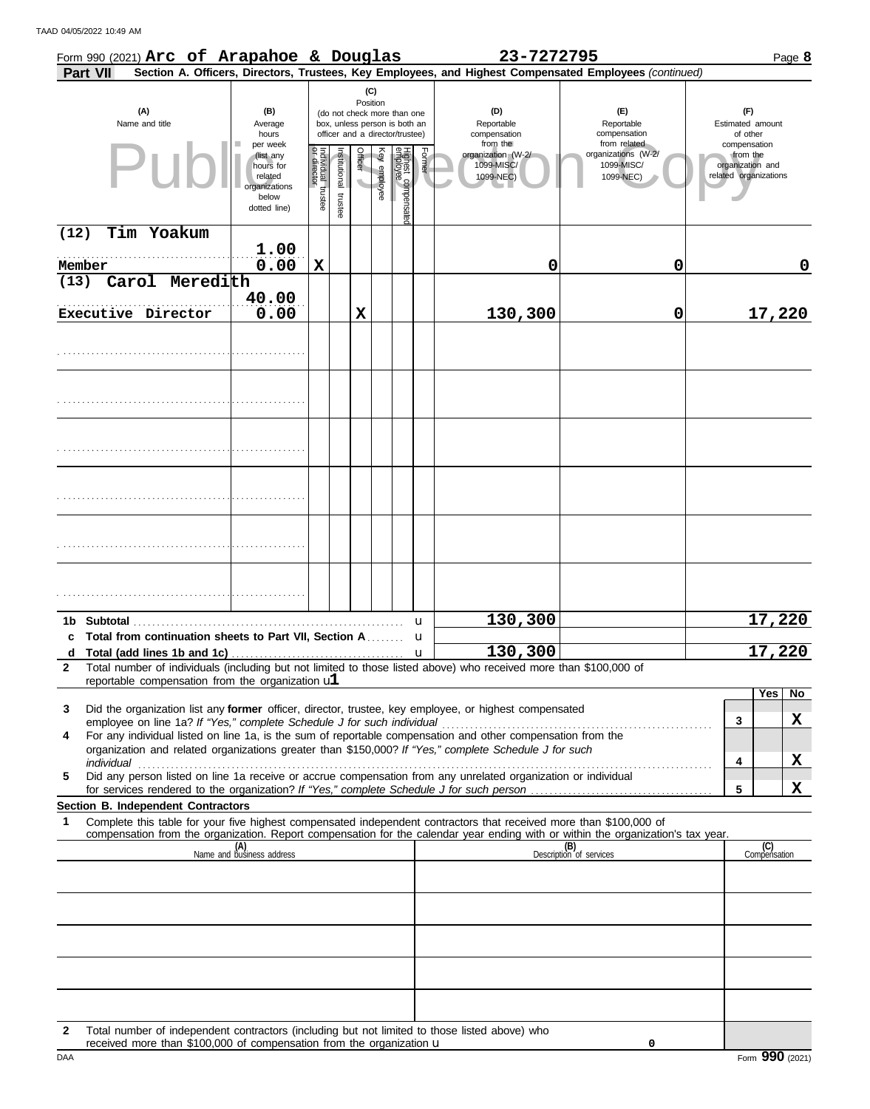TAAD 04/05/2022 10:49 AM

|      |                 | Form 990 (2021) Arc of Arapahoe & Douglas               |                                                                                         |                                                                                                                    |                       |         |              |                                                                        |        | 23-7272795                                                                                                                                                                                                                                             |                                                                |                                                                       | Page 8              |
|------|-----------------|---------------------------------------------------------|-----------------------------------------------------------------------------------------|--------------------------------------------------------------------------------------------------------------------|-----------------------|---------|--------------|------------------------------------------------------------------------|--------|--------------------------------------------------------------------------------------------------------------------------------------------------------------------------------------------------------------------------------------------------------|----------------------------------------------------------------|-----------------------------------------------------------------------|---------------------|
|      | <b>Part VII</b> |                                                         |                                                                                         |                                                                                                                    |                       |         |              |                                                                        |        | Section A. Officers, Directors, Trustees, Key Employees, and Highest Compensated Employees (continued)                                                                                                                                                 |                                                                |                                                                       |                     |
|      |                 | (A)<br>Name and title                                   | (B)<br>Average<br>hours                                                                 | (C)<br>Position<br>(do not check more than one<br>box, unless person is both an<br>officer and a director/trustee) |                       |         |              | (D)<br>(E)<br>Reportable<br>Reportable<br>compensation<br>compensation |        |                                                                                                                                                                                                                                                        | (F)<br>Estimated amount<br>of other                            |                                                                       |                     |
|      |                 | Pul                                                     | per week<br>(list any<br>hours for<br>related<br>organizations<br>below<br>dotted line) | Individual trustee<br>or director                                                                                  | Institutional trustee | Officer | Key employee | Highest compensatec<br>employee                                        | Former | from the<br>organization (W-2/<br>1099-MISC/<br>1099-NEC)                                                                                                                                                                                              | from related<br>organizations (W-2/<br>1099-MISC/<br>1099-NEC) | compensation<br>from the<br>organization and<br>related organizations |                     |
| (12) |                 | Tim Yoakum                                              |                                                                                         |                                                                                                                    |                       |         |              |                                                                        |        |                                                                                                                                                                                                                                                        |                                                                |                                                                       |                     |
|      | Member          |                                                         | 1.00<br>0.00                                                                            | $\mathbf X$                                                                                                        |                       |         |              |                                                                        |        | 0                                                                                                                                                                                                                                                      | 0                                                              |                                                                       | 0                   |
| (13) |                 | Carol Meredith                                          |                                                                                         |                                                                                                                    |                       |         |              |                                                                        |        |                                                                                                                                                                                                                                                        |                                                                |                                                                       |                     |
|      |                 | Executive Director                                      | 40.00<br>0.00                                                                           |                                                                                                                    |                       | х       |              |                                                                        |        | 130,300                                                                                                                                                                                                                                                | $\mathbf 0$                                                    |                                                                       | 17,220              |
|      |                 |                                                         |                                                                                         |                                                                                                                    |                       |         |              |                                                                        |        |                                                                                                                                                                                                                                                        |                                                                |                                                                       |                     |
|      |                 |                                                         |                                                                                         |                                                                                                                    |                       |         |              |                                                                        |        |                                                                                                                                                                                                                                                        |                                                                |                                                                       |                     |
|      |                 |                                                         |                                                                                         |                                                                                                                    |                       |         |              |                                                                        |        |                                                                                                                                                                                                                                                        |                                                                |                                                                       |                     |
|      |                 |                                                         |                                                                                         |                                                                                                                    |                       |         |              |                                                                        |        |                                                                                                                                                                                                                                                        |                                                                |                                                                       |                     |
|      |                 |                                                         |                                                                                         |                                                                                                                    |                       |         |              |                                                                        |        |                                                                                                                                                                                                                                                        |                                                                |                                                                       |                     |
|      |                 |                                                         |                                                                                         |                                                                                                                    |                       |         |              |                                                                        |        |                                                                                                                                                                                                                                                        |                                                                |                                                                       |                     |
|      |                 |                                                         |                                                                                         |                                                                                                                    |                       |         |              |                                                                        | u      | 130,300                                                                                                                                                                                                                                                |                                                                |                                                                       | 17,220              |
|      |                 | c Total from continuation sheets to Part VII, Section A |                                                                                         |                                                                                                                    |                       |         |              |                                                                        | u      |                                                                                                                                                                                                                                                        |                                                                |                                                                       |                     |
| d    |                 |                                                         |                                                                                         |                                                                                                                    |                       |         |              |                                                                        | u      | 130,300                                                                                                                                                                                                                                                |                                                                |                                                                       | 17,220              |
| 2    |                 | reportable compensation from the organization $ul$      |                                                                                         |                                                                                                                    |                       |         |              |                                                                        |        | Total number of individuals (including but not limited to those listed above) who received more than \$100,000 of                                                                                                                                      |                                                                |                                                                       |                     |
|      |                 |                                                         |                                                                                         |                                                                                                                    |                       |         |              |                                                                        |        |                                                                                                                                                                                                                                                        |                                                                |                                                                       | Yes<br>No.          |
| 3    |                 |                                                         |                                                                                         |                                                                                                                    |                       |         |              |                                                                        |        | Did the organization list any former officer, director, trustee, key employee, or highest compensated                                                                                                                                                  |                                                                | 3                                                                     | X                   |
| 4    |                 |                                                         |                                                                                         |                                                                                                                    |                       |         |              |                                                                        |        | For any individual listed on line 1a, is the sum of reportable compensation and other compensation from the<br>organization and related organizations greater than \$150,000? If "Yes," complete Schedule J for such                                   |                                                                |                                                                       |                     |
| 5    |                 |                                                         |                                                                                         |                                                                                                                    |                       |         |              |                                                                        |        | Did any person listed on line 1a receive or accrue compensation from any unrelated organization or individual                                                                                                                                          |                                                                | 4                                                                     | X                   |
|      |                 |                                                         |                                                                                         |                                                                                                                    |                       |         |              |                                                                        |        |                                                                                                                                                                                                                                                        |                                                                | 5                                                                     | X                   |
|      |                 | Section B. Independent Contractors                      |                                                                                         |                                                                                                                    |                       |         |              |                                                                        |        |                                                                                                                                                                                                                                                        |                                                                |                                                                       |                     |
| 1    |                 |                                                         |                                                                                         |                                                                                                                    |                       |         |              |                                                                        |        | Complete this table for your five highest compensated independent contractors that received more than \$100,000 of<br>compensation from the organization. Report compensation for the calendar year ending with or within the organization's tax year. |                                                                |                                                                       |                     |
|      |                 |                                                         | (A)<br>Name and business address                                                        |                                                                                                                    |                       |         |              |                                                                        |        |                                                                                                                                                                                                                                                        | (B)<br>Description of services                                 |                                                                       | (C)<br>Compensation |
|      |                 |                                                         |                                                                                         |                                                                                                                    |                       |         |              |                                                                        |        |                                                                                                                                                                                                                                                        |                                                                |                                                                       |                     |
|      |                 |                                                         |                                                                                         |                                                                                                                    |                       |         |              |                                                                        |        |                                                                                                                                                                                                                                                        |                                                                |                                                                       |                     |
|      |                 |                                                         |                                                                                         |                                                                                                                    |                       |         |              |                                                                        |        |                                                                                                                                                                                                                                                        |                                                                |                                                                       |                     |
|      |                 |                                                         |                                                                                         |                                                                                                                    |                       |         |              |                                                                        |        |                                                                                                                                                                                                                                                        |                                                                |                                                                       |                     |
|      |                 |                                                         |                                                                                         |                                                                                                                    |                       |         |              |                                                                        |        |                                                                                                                                                                                                                                                        |                                                                |                                                                       |                     |
| 2    |                 |                                                         |                                                                                         |                                                                                                                    |                       |         |              |                                                                        |        | Total number of independent contractors (including but not limited to those listed above) who                                                                                                                                                          |                                                                |                                                                       |                     |

|     | TULAI HUITIDEL OL IHUEDEHUEHI COHTACIOIS (IHCIUUIHU DUL HOL IIHIILEU LO LIIOSE IISLEU ADOVE).<br>טווע נ<br>received more than \$100,000 of compensation from the organization $\mathbf u$ |                                   |
|-----|-------------------------------------------------------------------------------------------------------------------------------------------------------------------------------------------|-----------------------------------|
| DAA |                                                                                                                                                                                           | 990<br>$F_{\text{O}}$ m<br>(2021) |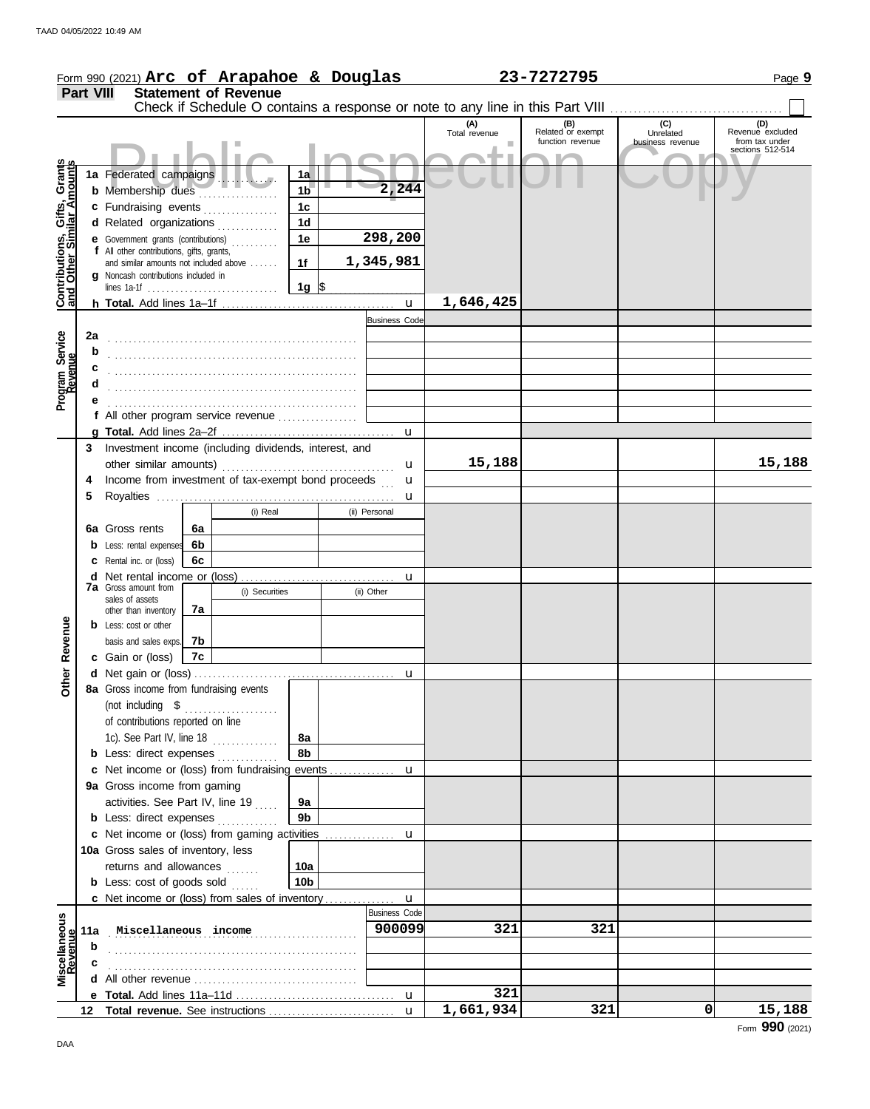|                                                           |                  | Form 990 (2021) Arc of Arapahoe & Douglas                                        |    |                             |                 |  |                      |                      | 23-7272795               |                                                                               | Page 9                             |  |
|-----------------------------------------------------------|------------------|----------------------------------------------------------------------------------|----|-----------------------------|-----------------|--|----------------------|----------------------|--------------------------|-------------------------------------------------------------------------------|------------------------------------|--|
|                                                           | <b>Part VIII</b> |                                                                                  |    | <b>Statement of Revenue</b> |                 |  |                      |                      |                          |                                                                               |                                    |  |
|                                                           |                  |                                                                                  |    |                             |                 |  |                      |                      |                          | Check if Schedule O contains a response or note to any line in this Part VIII |                                    |  |
|                                                           |                  |                                                                                  |    |                             |                 |  |                      | (A)<br>Total revenue | (B)<br>Related or exempt | (C)<br>Unrelated                                                              | (D)<br>Revenue excluded            |  |
|                                                           |                  |                                                                                  |    |                             |                 |  |                      |                      | function revenue         | business revenue                                                              | from tax under<br>sections 512-514 |  |
|                                                           |                  |                                                                                  |    |                             |                 |  |                      |                      |                          |                                                                               |                                    |  |
|                                                           |                  | 1a Federated campaigns                                                           |    |                             | 1a              |  |                      |                      |                          |                                                                               |                                    |  |
|                                                           |                  | <b>b</b> Membership dues                                                         |    |                             | 1 <sub>b</sub>  |  | 2,244                |                      |                          |                                                                               |                                    |  |
| Contributions, Gifts, Grants<br>and Other Similar Amounts |                  | c Fundraising events                                                             |    |                             | 1 <sub>c</sub>  |  |                      |                      |                          |                                                                               |                                    |  |
|                                                           |                  | d Related organizations                                                          |    |                             | 1 <sub>d</sub>  |  |                      |                      |                          |                                                                               |                                    |  |
|                                                           |                  | e Government grants (contributions)<br>f All other contributions, gifts, grants, |    |                             | 1e              |  | 298,200              |                      |                          |                                                                               |                                    |  |
|                                                           |                  | and similar amounts not included above                                           |    |                             | 1f              |  | 1,345,981            |                      |                          |                                                                               |                                    |  |
|                                                           |                  | g Noncash contributions included in                                              |    |                             | $1g$ \$         |  |                      |                      |                          |                                                                               |                                    |  |
|                                                           |                  |                                                                                  |    |                             |                 |  | $\mathbf{u}$         | 1,646,425            |                          |                                                                               |                                    |  |
|                                                           |                  |                                                                                  |    |                             |                 |  | <b>Business Code</b> |                      |                          |                                                                               |                                    |  |
|                                                           | 2a               |                                                                                  |    |                             |                 |  |                      |                      |                          |                                                                               |                                    |  |
| Program Service<br>Revenue                                | b                |                                                                                  |    |                             |                 |  |                      |                      |                          |                                                                               |                                    |  |
|                                                           |                  |                                                                                  |    |                             |                 |  |                      |                      |                          |                                                                               |                                    |  |
|                                                           | d                |                                                                                  |    |                             |                 |  |                      |                      |                          |                                                                               |                                    |  |
|                                                           |                  |                                                                                  |    |                             |                 |  |                      |                      |                          |                                                                               |                                    |  |
|                                                           |                  | f All other program service revenue                                              |    |                             |                 |  |                      |                      |                          |                                                                               |                                    |  |
|                                                           |                  |                                                                                  |    |                             |                 |  | $\mathbf{u}$         |                      |                          |                                                                               |                                    |  |
|                                                           |                  | 3 Investment income (including dividends, interest, and                          |    |                             |                 |  |                      |                      |                          |                                                                               |                                    |  |
|                                                           |                  | other similar amounts)                                                           |    |                             |                 |  | u                    | 15,188               |                          |                                                                               | 15,188                             |  |
|                                                           | 4                | Income from investment of tax-exempt bond proceeds                               |    |                             |                 |  | u                    |                      |                          |                                                                               |                                    |  |
|                                                           | 5                |                                                                                  |    |                             |                 |  | u                    |                      |                          |                                                                               |                                    |  |
|                                                           |                  |                                                                                  |    | (i) Real                    |                 |  | (ii) Personal        |                      |                          |                                                                               |                                    |  |
|                                                           |                  | 6a Gross rents                                                                   | 6a |                             |                 |  |                      |                      |                          |                                                                               |                                    |  |
|                                                           |                  | <b>b</b> Less: rental expenses                                                   | 6b |                             |                 |  |                      |                      |                          |                                                                               |                                    |  |
|                                                           |                  | <b>c</b> Rental inc. or (loss)                                                   | 6c |                             |                 |  |                      |                      |                          |                                                                               |                                    |  |
|                                                           |                  | <b>d</b> Net rental income or (loss)<br><b>7a</b> Gross amount from              |    |                             |                 |  | u                    |                      |                          |                                                                               |                                    |  |
|                                                           |                  | sales of assets                                                                  |    | (i) Securities              |                 |  | (ii) Other           |                      |                          |                                                                               |                                    |  |
|                                                           |                  | other than inventory                                                             | 7a |                             |                 |  |                      |                      |                          |                                                                               |                                    |  |
|                                                           |                  | <b>b</b> Less: cost or other                                                     |    |                             |                 |  |                      |                      |                          |                                                                               |                                    |  |
| Revenue                                                   |                  | basis and sales exps.<br>c Gain or (loss)                                        | 7b |                             |                 |  |                      |                      |                          |                                                                               |                                    |  |
|                                                           |                  |                                                                                  | 7c |                             |                 |  |                      |                      |                          |                                                                               |                                    |  |
| Other                                                     |                  | 8a Gross income from fundraising events                                          |    |                             |                 |  |                      |                      |                          |                                                                               |                                    |  |
|                                                           |                  |                                                                                  |    |                             |                 |  |                      |                      |                          |                                                                               |                                    |  |
|                                                           |                  | of contributions reported on line                                                |    |                             |                 |  |                      |                      |                          |                                                                               |                                    |  |
|                                                           |                  | 1c). See Part IV, line 18                                                        |    |                             | 8a              |  |                      |                      |                          |                                                                               |                                    |  |
|                                                           |                  | <b>b</b> Less: direct expenses                                                   |    |                             | 8b              |  |                      |                      |                          |                                                                               |                                    |  |
|                                                           |                  | <b>c</b> Net income or (loss) from fundraising events                            |    |                             |                 |  | u                    |                      |                          |                                                                               |                                    |  |
|                                                           |                  | 9a Gross income from gaming                                                      |    |                             |                 |  |                      |                      |                          |                                                                               |                                    |  |
|                                                           |                  | activities. See Part IV, line 19                                                 |    |                             | 9а              |  |                      |                      |                          |                                                                               |                                    |  |
|                                                           |                  | <b>b</b> Less: direct expenses                                                   |    |                             | 9b              |  |                      |                      |                          |                                                                               |                                    |  |
|                                                           |                  | c Net income or (loss) from gaming activities                                    |    |                             |                 |  | u                    |                      |                          |                                                                               |                                    |  |
|                                                           |                  | 10a Gross sales of inventory, less                                               |    |                             |                 |  |                      |                      |                          |                                                                               |                                    |  |
|                                                           |                  | returns and allowances                                                           |    |                             | 10a             |  |                      |                      |                          |                                                                               |                                    |  |
|                                                           |                  | <b>b</b> Less: cost of goods sold                                                |    |                             | 10 <sub>b</sub> |  |                      |                      |                          |                                                                               |                                    |  |
|                                                           |                  | c Net income or (loss) from sales of inventory                                   |    |                             |                 |  | u                    |                      |                          |                                                                               |                                    |  |
|                                                           |                  |                                                                                  |    |                             |                 |  | <b>Business Code</b> |                      |                          |                                                                               |                                    |  |
|                                                           |                  | 11a Miscellaneous income                                                         |    |                             |                 |  | 900099               | 321                  | 321                      |                                                                               |                                    |  |
| Miscellaneous<br>Revenue                                  | b                |                                                                                  |    |                             |                 |  |                      |                      |                          |                                                                               |                                    |  |
|                                                           | с                |                                                                                  |    |                             |                 |  |                      |                      |                          |                                                                               |                                    |  |
|                                                           |                  |                                                                                  |    |                             |                 |  |                      |                      |                          |                                                                               |                                    |  |
|                                                           |                  |                                                                                  |    |                             |                 |  |                      | 321<br>1,661,934     | 321                      | 0                                                                             |                                    |  |
|                                                           | 12               |                                                                                  |    |                             |                 |  | $\mathbf{u}$         |                      |                          |                                                                               | 15,188                             |  |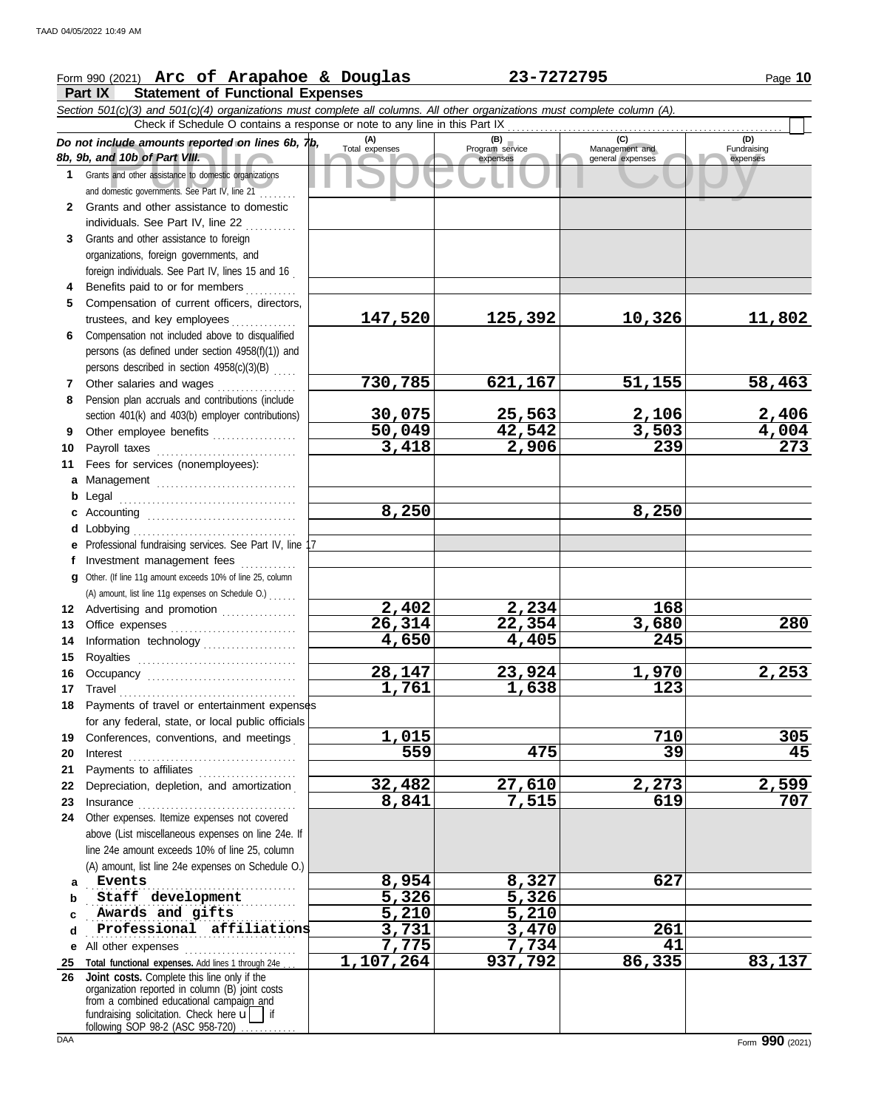## Form 990 (2021) Page **10 Arc of Arapahoe & Douglas 23-7272795**

**Part IX Statement of Functional Expenses**

|                       | Section 501(c)(3) and 501(c)(4) organizations must complete all columns. All other organizations must complete column (A).                                                                                                                                                              |                       |                                    |                                           |                                |  |  |  |  |  |  |  |  |
|-----------------------|-----------------------------------------------------------------------------------------------------------------------------------------------------------------------------------------------------------------------------------------------------------------------------------------|-----------------------|------------------------------------|-------------------------------------------|--------------------------------|--|--|--|--|--|--|--|--|
|                       | Check if Schedule O contains a response or note to any line in this Part IX                                                                                                                                                                                                             |                       |                                    |                                           |                                |  |  |  |  |  |  |  |  |
|                       | Do not include amounts reported on lines 6b, $\n $ tb,<br>8b, 9b, and 10b of Part VIII.                                                                                                                                                                                                 | (A)<br>Total expenses | (B)<br>Program service<br>expenses | (C)<br>Management and<br>general expenses | (D)<br>Fundraising<br>expenses |  |  |  |  |  |  |  |  |
| 1.                    | Grants and other assistance to domestic organizations<br>and domestic governments. See Part IV, line 21                                                                                                                                                                                 |                       |                                    |                                           |                                |  |  |  |  |  |  |  |  |
| 2                     | Grants and other assistance to domestic<br>individuals. See Part IV, line 22                                                                                                                                                                                                            |                       |                                    |                                           |                                |  |  |  |  |  |  |  |  |
| 3                     | Grants and other assistance to foreign                                                                                                                                                                                                                                                  |                       |                                    |                                           |                                |  |  |  |  |  |  |  |  |
|                       | organizations, foreign governments, and                                                                                                                                                                                                                                                 |                       |                                    |                                           |                                |  |  |  |  |  |  |  |  |
|                       | foreign individuals. See Part IV, lines 15 and 16                                                                                                                                                                                                                                       |                       |                                    |                                           |                                |  |  |  |  |  |  |  |  |
| 4                     | Benefits paid to or for members                                                                                                                                                                                                                                                         |                       |                                    |                                           |                                |  |  |  |  |  |  |  |  |
| 5                     | Compensation of current officers, directors,                                                                                                                                                                                                                                            |                       |                                    |                                           |                                |  |  |  |  |  |  |  |  |
|                       | trustees, and key employees                                                                                                                                                                                                                                                             | 147,520               | 125,392                            | 10,326                                    | 11,802                         |  |  |  |  |  |  |  |  |
| 6                     | Compensation not included above to disqualified                                                                                                                                                                                                                                         |                       |                                    |                                           |                                |  |  |  |  |  |  |  |  |
|                       | persons (as defined under section 4958(f)(1)) and<br>persons described in section 4958(c)(3)(B)                                                                                                                                                                                         |                       |                                    |                                           |                                |  |  |  |  |  |  |  |  |
| 7                     | Other salaries and wages                                                                                                                                                                                                                                                                | 730,785               | 621,167                            | 51,155                                    | 58,463                         |  |  |  |  |  |  |  |  |
| 8                     | .<br>Pension plan accruals and contributions (include                                                                                                                                                                                                                                   |                       |                                    |                                           |                                |  |  |  |  |  |  |  |  |
|                       | section 401(k) and 403(b) employer contributions)                                                                                                                                                                                                                                       | 30,075                | <u>25,563</u>                      | 2,106                                     | 2,406                          |  |  |  |  |  |  |  |  |
| 9                     | Other employee benefits                                                                                                                                                                                                                                                                 | 50,049                | 42,542                             | 3,503                                     | $\frac{4,004}{273}$            |  |  |  |  |  |  |  |  |
| 10                    | Payroll taxes                                                                                                                                                                                                                                                                           | 3,418                 | 2,906                              | 239                                       |                                |  |  |  |  |  |  |  |  |
| 11                    | Fees for services (nonemployees):                                                                                                                                                                                                                                                       |                       |                                    |                                           |                                |  |  |  |  |  |  |  |  |
| a                     |                                                                                                                                                                                                                                                                                         |                       |                                    |                                           |                                |  |  |  |  |  |  |  |  |
| b                     |                                                                                                                                                                                                                                                                                         |                       |                                    |                                           |                                |  |  |  |  |  |  |  |  |
| c                     |                                                                                                                                                                                                                                                                                         | 8,250                 |                                    | 8,250                                     |                                |  |  |  |  |  |  |  |  |
|                       | Lobbying<br>e Professional fundraising services. See Part IV, line                                                                                                                                                                                                                      |                       |                                    |                                           |                                |  |  |  |  |  |  |  |  |
|                       | Investment management fees                                                                                                                                                                                                                                                              |                       |                                    |                                           |                                |  |  |  |  |  |  |  |  |
| a                     | Other. (If line 11g amount exceeds 10% of line 25, column                                                                                                                                                                                                                               |                       |                                    |                                           |                                |  |  |  |  |  |  |  |  |
|                       | (A) amount, list line 11g expenses on Schedule O.)                                                                                                                                                                                                                                      |                       |                                    |                                           |                                |  |  |  |  |  |  |  |  |
|                       | 12 Advertising and promotion                                                                                                                                                                                                                                                            | 2,402                 | 2,234                              | 168                                       |                                |  |  |  |  |  |  |  |  |
| 13                    |                                                                                                                                                                                                                                                                                         | 26,314                | $\overline{22}$ , 354              | 3,680                                     | 280                            |  |  |  |  |  |  |  |  |
| 14                    | Information technology                                                                                                                                                                                                                                                                  | 4,650                 | 4,405                              | 245                                       |                                |  |  |  |  |  |  |  |  |
| 15                    |                                                                                                                                                                                                                                                                                         | 28,147                |                                    |                                           | 2,253                          |  |  |  |  |  |  |  |  |
| 16<br>17 <sub>2</sub> |                                                                                                                                                                                                                                                                                         | 1,761                 | 23,924<br>1,638                    | 1,970<br>$\overline{123}$                 |                                |  |  |  |  |  |  |  |  |
|                       | Travel <u>with an alleger and the set of the set of the set of the set of the set of the set of the set of the set of the set of the set of the set of the set of the set of the set of the set of the set of the set of the set</u><br>18 Payments of travel or entertainment expenses |                       |                                    |                                           |                                |  |  |  |  |  |  |  |  |
|                       | for any federal, state, or local public officials                                                                                                                                                                                                                                       |                       |                                    |                                           |                                |  |  |  |  |  |  |  |  |
| 19                    | Conferences, conventions, and meetings                                                                                                                                                                                                                                                  | 1,015                 |                                    | 710                                       | 305                            |  |  |  |  |  |  |  |  |
| 20                    | Interest                                                                                                                                                                                                                                                                                | 559                   | 475                                | 39                                        | 45                             |  |  |  |  |  |  |  |  |
| 21                    | Payments to affiliates                                                                                                                                                                                                                                                                  |                       |                                    |                                           |                                |  |  |  |  |  |  |  |  |
| 22                    | Depreciation, depletion, and amortization                                                                                                                                                                                                                                               | 32,482                | 27,610                             | 2,273                                     | 2,599                          |  |  |  |  |  |  |  |  |
| 23                    |                                                                                                                                                                                                                                                                                         | 8,841                 | 7,515                              | 619                                       | 707                            |  |  |  |  |  |  |  |  |
| 24                    | Other expenses. Itemize expenses not covered<br>above (List miscellaneous expenses on line 24e. If                                                                                                                                                                                      |                       |                                    |                                           |                                |  |  |  |  |  |  |  |  |
|                       | line 24e amount exceeds 10% of line 25, column                                                                                                                                                                                                                                          |                       |                                    |                                           |                                |  |  |  |  |  |  |  |  |
|                       | (A) amount, list line 24e expenses on Schedule O.)                                                                                                                                                                                                                                      |                       |                                    |                                           |                                |  |  |  |  |  |  |  |  |
| a                     | <b>Events</b><br>.                                                                                                                                                                                                                                                                      | 8,954                 | 8,327                              | 627                                       |                                |  |  |  |  |  |  |  |  |
| b                     | Staff development                                                                                                                                                                                                                                                                       | 5,326                 | 5,326                              |                                           |                                |  |  |  |  |  |  |  |  |
| c                     | Awards and gifts                                                                                                                                                                                                                                                                        | 5,210                 | 5,210                              |                                           |                                |  |  |  |  |  |  |  |  |
| d                     | Professional affiliations                                                                                                                                                                                                                                                               | 3,731                 | 3,470                              | 261                                       |                                |  |  |  |  |  |  |  |  |
| е                     | All other expenses                                                                                                                                                                                                                                                                      | 7,775                 | 7,734                              | 41                                        |                                |  |  |  |  |  |  |  |  |
| <u>25</u>             | Total functional expenses. Add lines 1 through 24e<br>26 Joint costs. Complete this line only if the                                                                                                                                                                                    | 1,107,264             | 937,792                            | 86,335                                    | 83,137                         |  |  |  |  |  |  |  |  |
|                       | organization reported in column (B) joint costs<br>from a combined educational campaign and<br>fundraising solicitation. Check here $\mathbf{u}$<br>following SOP 98-2 (ASC 958-720)                                                                                                    |                       |                                    |                                           |                                |  |  |  |  |  |  |  |  |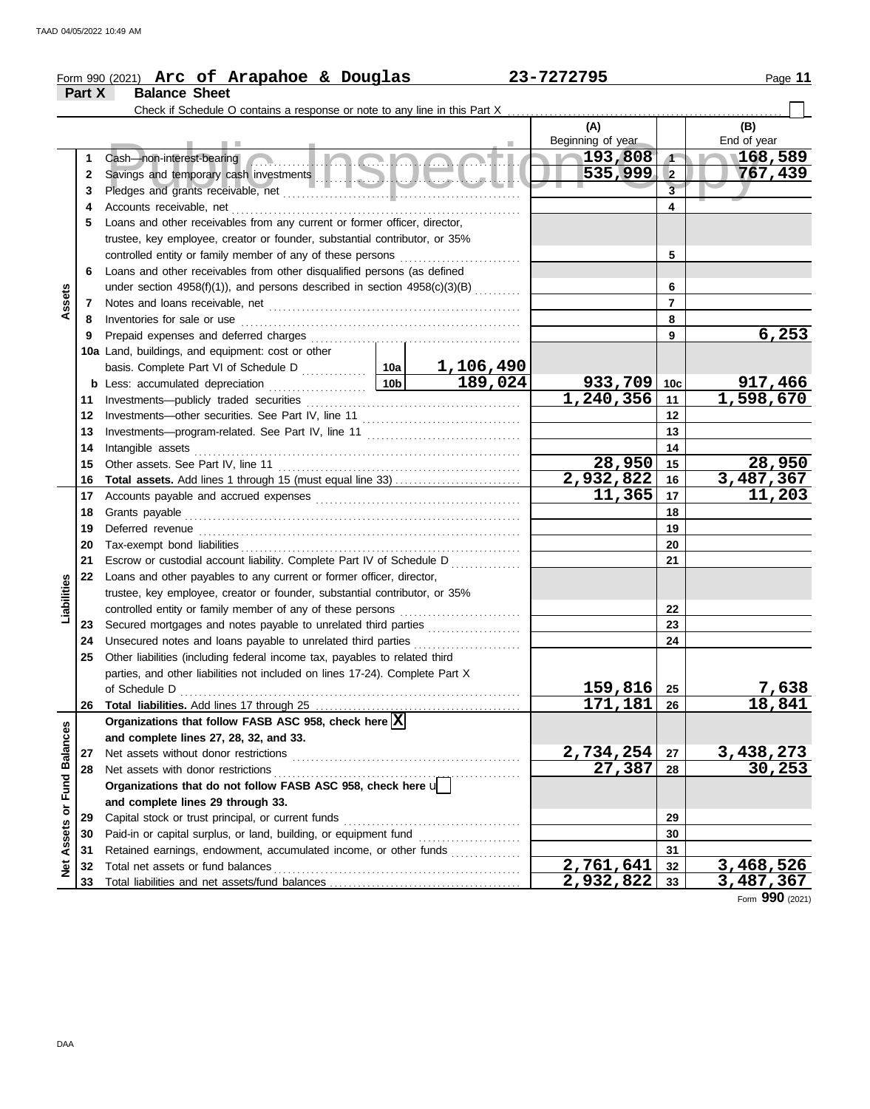|                      |        | Form 990 (2021) Arc of Arapahoe & Douglas                                      | 23-7272795      | Page 11          |                          |                         |                    |
|----------------------|--------|--------------------------------------------------------------------------------|-----------------|------------------|--------------------------|-------------------------|--------------------|
|                      | Part X | <b>Balance Sheet</b>                                                           |                 |                  |                          |                         |                    |
|                      |        |                                                                                |                 |                  |                          |                         |                    |
|                      |        |                                                                                |                 |                  | (A)<br>Beginning of year |                         | (B)<br>End of year |
|                      | 1      | <u>a na ala a atil</u><br>Cash-non-interest-bearing                            |                 |                  | 193,808                  | $\blacktriangleleft$    | 168,589            |
|                      | 2      |                                                                                |                 |                  | 535,999                  | $\vert$ 2               | 767,439            |
|                      | 3      |                                                                                |                 |                  |                          | $\overline{\mathbf{3}}$ |                    |
|                      | 4      |                                                                                |                 |                  |                          | $\overline{\mathbf{4}}$ |                    |
|                      | 5      | Loans and other receivables from any current or former officer, director,      |                 |                  |                          |                         |                    |
|                      |        | trustee, key employee, creator or founder, substantial contributor, or 35%     |                 |                  |                          |                         |                    |
|                      |        | controlled entity or family member of any of these persons                     |                 | 5                |                          |                         |                    |
|                      | 6      | Loans and other receivables from other disqualified persons (as defined        |                 |                  |                          |                         |                    |
|                      |        | under section 4958(f)(1)), and persons described in section $4958(c)(3)(B)$    |                 |                  |                          | 6                       |                    |
| Assets               | 7      |                                                                                |                 |                  |                          | $\overline{7}$          |                    |
|                      | 8      | Inventories for sale or use                                                    |                 |                  |                          | 8                       |                    |
|                      | 9      | Prepaid expenses and deferred charges                                          |                 |                  |                          | 9                       | 6, 253             |
|                      |        | 10a Land, buildings, and equipment: cost or other                              |                 |                  |                          |                         |                    |
|                      |        |                                                                                |                 | <u>1,106,490</u> |                          |                         |                    |
|                      |        |                                                                                | 10 <sub>b</sub> | 189,024          | $933,709$ 10c            |                         | 917,466            |
|                      | 11     |                                                                                |                 |                  | 1,240,356                | $-11$                   | 1,598,670          |
|                      | 12     |                                                                                |                 | 12               |                          |                         |                    |
|                      | 13     |                                                                                |                 | 13               |                          |                         |                    |
|                      | 14     | Intangible assets                                                              |                 | 14               |                          |                         |                    |
|                      | 15     |                                                                                | 28,950          | 15               | 28,950                   |                         |                    |
|                      | 16     |                                                                                |                 |                  | 2,932,822                | 16                      | 3,487,367          |
|                      | 17     |                                                                                |                 |                  | $\overline{11,365}$      | 17                      | 11,203             |
|                      | 18     |                                                                                |                 | 18               |                          |                         |                    |
|                      | 19     | Deferred revenue                                                               |                 |                  |                          | 19                      |                    |
|                      | 20     | Tax-exempt bond liabilities                                                    |                 |                  |                          | 20                      |                    |
|                      | 21     | Escrow or custodial account liability. Complete Part IV of Schedule D          |                 |                  |                          | 21                      |                    |
|                      | 22     | Loans and other payables to any current or former officer, director,           |                 |                  |                          |                         |                    |
|                      |        | trustee, key employee, creator or founder, substantial contributor, or 35%     |                 |                  |                          |                         |                    |
| Liabilities          |        | controlled entity or family member of any of these persons                     |                 |                  |                          | 22                      |                    |
|                      | 23     | Secured mortgages and notes payable to unrelated third parties                 |                 |                  |                          | 23                      |                    |
|                      | 24     | Unsecured notes and loans payable to unrelated third parties                   |                 |                  |                          | 24                      |                    |
|                      | 25     | Other liabilities (including federal income tax, payables to related third     |                 |                  |                          |                         |                    |
|                      |        | parties, and other liabilities not included on lines 17-24). Complete Part X   |                 |                  |                          |                         |                    |
|                      |        | of Schedule D                                                                  |                 |                  | 159,816                  | 25                      | <u>7,638</u>       |
|                      | 26     |                                                                                |                 |                  | 171,181                  | 26                      | 18,841             |
|                      |        | Organizations that follow FASB ASC 958, check here $\boxed{\text{X}}$          |                 |                  |                          |                         |                    |
|                      |        | and complete lines 27, 28, 32, and 33.                                         |                 |                  |                          |                         |                    |
|                      | 27     | Net assets without donor restrictions                                          | 2,734,254       | 27               | 3,438,273<br>30,253      |                         |                    |
| <b>Fund Balances</b> | 28     | Net assets with donor restrictions                                             |                 |                  | 27,387                   | 28                      |                    |
|                      |        | Organizations that do not follow FASB ASC 958, check here $\sqrt{\phantom{a}}$ |                 |                  |                          |                         |                    |
|                      |        | and complete lines 29 through 33.                                              |                 |                  |                          |                         |                    |
| Assets or            | 29     | Capital stock or trust principal, or current funds                             |                 |                  |                          | 29                      |                    |
|                      | 30     |                                                                                |                 |                  |                          | 30                      |                    |
|                      | 31     | Retained earnings, endowment, accumulated income, or other funds               |                 |                  |                          | 31                      |                    |
| <b>Net</b>           | 32     |                                                                                |                 |                  | $\overline{2,761,641}$   | 32                      | 3,468,526          |
|                      | 33     |                                                                                |                 |                  | 2,932,822                | 33                      | 3,487,367          |

Form **990** (2021)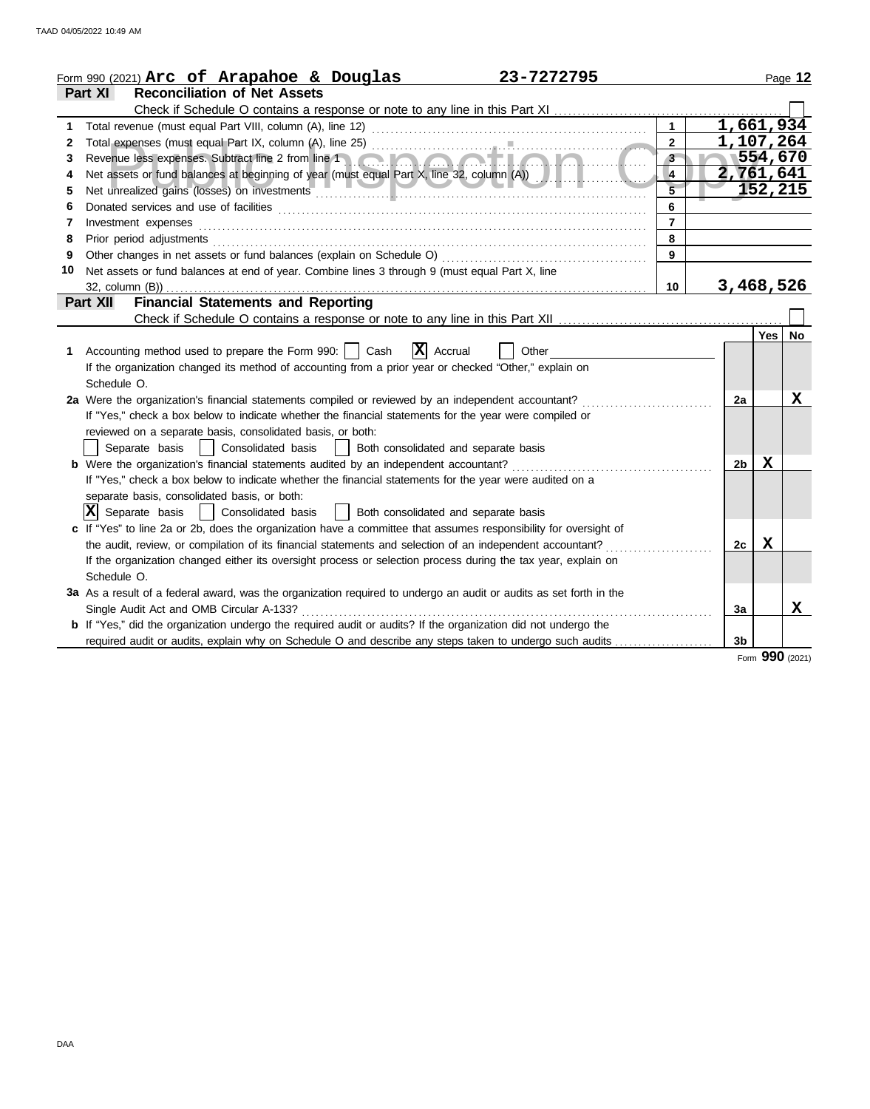|    | 23-7272795<br>Form 990 (2021) Arc of Arapahoe & Douglas                                                                                                                                                                        |                         |                |            | Page 12 |
|----|--------------------------------------------------------------------------------------------------------------------------------------------------------------------------------------------------------------------------------|-------------------------|----------------|------------|---------|
|    | <b>Reconciliation of Net Assets</b><br>Part XI                                                                                                                                                                                 |                         |                |            |         |
|    |                                                                                                                                                                                                                                |                         |                |            |         |
| 1  | Total revenue (must equal Part VIII, column (A), line 12)                                                                                                                                                                      | $\mathbf{1}$            | 1,661,934      |            |         |
| 2  |                                                                                                                                                                                                                                | $\overline{2}$          | 1,107,264      |            |         |
| 3  | Revenue less expenses. Subtract line 2 from line 1                                                                                                                                                                             | 3                       |                | 554,670    |         |
| 4  | Net assets or fund balances at beginning of year (must equal Part X, line 32, column (A))                                                                                                                                      | $\overline{4}$          | 2,761,641      |            |         |
| 5  | Net unrealized gains (losses) on investments                                                                                                                                                                                   | $\overline{\mathbf{5}}$ |                | 152,215    |         |
| 6  |                                                                                                                                                                                                                                | 6                       |                |            |         |
| 7  | Investment expenses                                                                                                                                                                                                            | $\overline{7}$          |                |            |         |
| 8  | Prior period adjustments [11, 12] and the contract of the contract of the contract of the contract of the contract of the contract of the contract of the contract of the contract of the contract of the contract of the cont | 8                       |                |            |         |
| 9  | Other changes in net assets or fund balances (explain on Schedule O)                                                                                                                                                           | 9                       |                |            |         |
| 10 | Net assets or fund balances at end of year. Combine lines 3 through 9 (must equal Part X, line                                                                                                                                 |                         |                |            |         |
|    | 32, column (B))                                                                                                                                                                                                                | 10                      | 3,468,526      |            |         |
|    | <b>Financial Statements and Reporting</b><br>Part XII                                                                                                                                                                          |                         |                |            |         |
|    |                                                                                                                                                                                                                                |                         |                |            |         |
|    |                                                                                                                                                                                                                                |                         |                | <b>Yes</b> | No      |
| 1. | $ \mathbf{X} $ Accrual<br>Accounting method used to prepare the Form 990:     Cash<br>Other                                                                                                                                    |                         |                |            |         |
|    | If the organization changed its method of accounting from a prior year or checked "Other," explain on                                                                                                                          |                         |                |            |         |
|    | Schedule O.                                                                                                                                                                                                                    |                         |                |            |         |
|    | 2a Were the organization's financial statements compiled or reviewed by an independent accountant?                                                                                                                             |                         | 2a             |            | X       |
|    | If "Yes," check a box below to indicate whether the financial statements for the year were compiled or                                                                                                                         |                         |                |            |         |
|    | reviewed on a separate basis, consolidated basis, or both:                                                                                                                                                                     |                         |                |            |         |
|    | Both consolidated and separate basis<br>Separate basis     Consolidated basis<br>$\mathbf{1}$                                                                                                                                  |                         |                |            |         |
|    | <b>b</b> Were the organization's financial statements audited by an independent accountant?                                                                                                                                    |                         | 2 <sub>b</sub> | X          |         |
|    | If "Yes," check a box below to indicate whether the financial statements for the year were audited on a                                                                                                                        |                         |                |            |         |
|    | separate basis, consolidated basis, or both:                                                                                                                                                                                   |                         |                |            |         |
|    | $ \mathbf{X} $ Separate basis $ \cdot $ Consolidated basis<br>  Both consolidated and separate basis                                                                                                                           |                         |                |            |         |
|    | c If "Yes" to line 2a or 2b, does the organization have a committee that assumes responsibility for oversight of                                                                                                               |                         |                |            |         |
|    | the audit, review, or compilation of its financial statements and selection of an independent accountant?                                                                                                                      |                         | 2с             | x          |         |
|    | If the organization changed either its oversight process or selection process during the tax year, explain on                                                                                                                  |                         |                |            |         |
|    | Schedule O.                                                                                                                                                                                                                    |                         |                |            |         |
|    | 3a As a result of a federal award, was the organization required to undergo an audit or audits as set forth in the                                                                                                             |                         |                |            |         |
|    | Single Audit Act and OMB Circular A-133?                                                                                                                                                                                       |                         | 3a             |            | X       |
|    | b If "Yes," did the organization undergo the required audit or audits? If the organization did not undergo the                                                                                                                 |                         |                |            |         |
|    | required audit or audits, explain why on Schedule O and describe any steps taken to undergo such audits                                                                                                                        |                         | 3 <sub>b</sub> |            |         |

Form **990** (2021)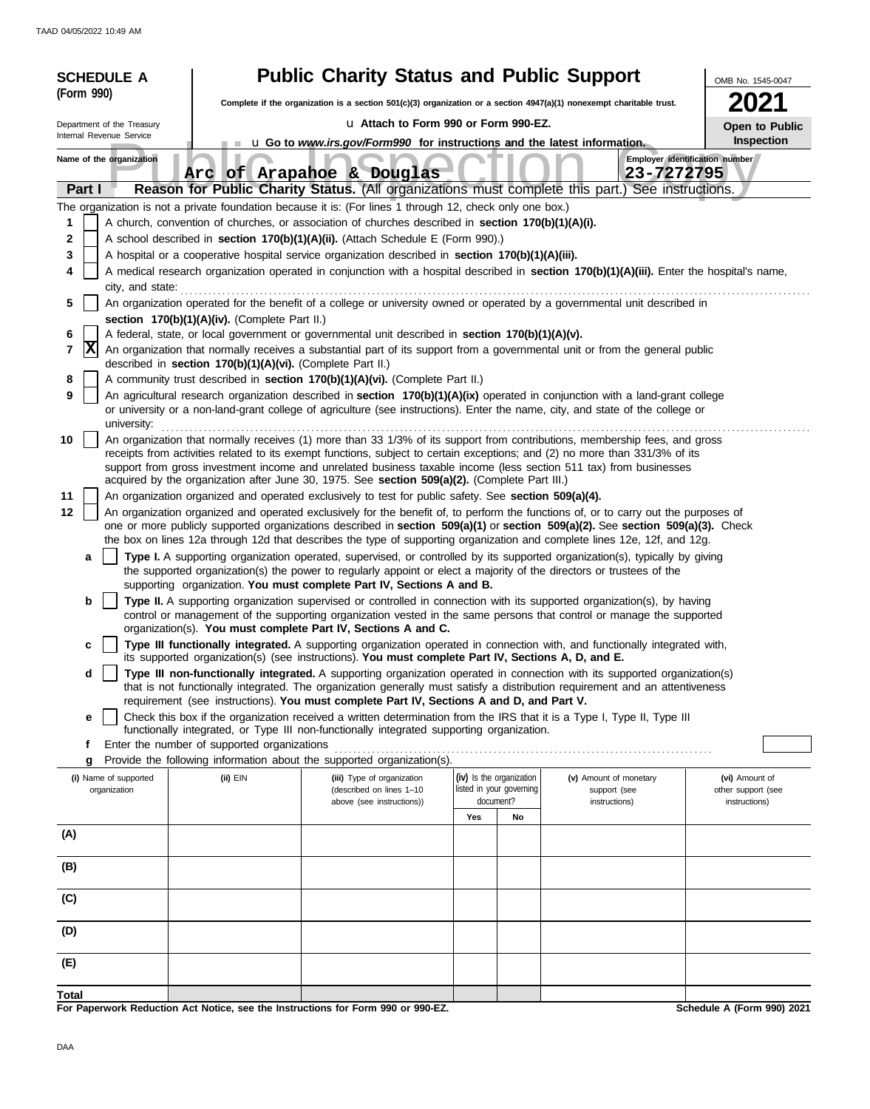|            | <b>SCHEDULE A</b>                                                                                                                                                   |                                                            | <b>Public Charity Status and Public Support</b>                                                                                                                                                                                                                 |                          |                                        | OMB No. 1545-0047                    |  |  |  |  |  |
|------------|---------------------------------------------------------------------------------------------------------------------------------------------------------------------|------------------------------------------------------------|-----------------------------------------------------------------------------------------------------------------------------------------------------------------------------------------------------------------------------------------------------------------|--------------------------|----------------------------------------|--------------------------------------|--|--|--|--|--|
| (Form 990) |                                                                                                                                                                     |                                                            | Complete if the organization is a section $501(c)(3)$ organization or a section $4947(a)(1)$ nonexempt charitable trust.                                                                                                                                        |                          |                                        | 2021                                 |  |  |  |  |  |
|            | Department of the Treasury                                                                                                                                          |                                                            | u Attach to Form 990 or Form 990-EZ.                                                                                                                                                                                                                            |                          |                                        |                                      |  |  |  |  |  |
|            | Internal Revenue Service                                                                                                                                            |                                                            | <b>u</b> Go to <i>www.irs.gov/Form990</i> for instructions and the latest information.                                                                                                                                                                          |                          |                                        | <b>Open to Public</b><br>Inspection  |  |  |  |  |  |
|            | Name of the organization                                                                                                                                            |                                                            | Arc of Arapahoe & Douglas                                                                                                                                                                                                                                       |                          | 23-7272795                             | Employer identification number       |  |  |  |  |  |
| Part I     |                                                                                                                                                                     |                                                            | Reason for Public Charity Status. (All organizations must complete this part.) See instructions.                                                                                                                                                                |                          |                                        |                                      |  |  |  |  |  |
|            |                                                                                                                                                                     |                                                            | The organization is not a private foundation because it is: (For lines 1 through 12, check only one box.)                                                                                                                                                       |                          |                                        |                                      |  |  |  |  |  |
| 1          |                                                                                                                                                                     |                                                            | A church, convention of churches, or association of churches described in section 170(b)(1)(A)(i).                                                                                                                                                              |                          |                                        |                                      |  |  |  |  |  |
| 2          |                                                                                                                                                                     |                                                            | A school described in section 170(b)(1)(A)(ii). (Attach Schedule E (Form 990).)                                                                                                                                                                                 |                          |                                        |                                      |  |  |  |  |  |
| 3          |                                                                                                                                                                     |                                                            | A hospital or a cooperative hospital service organization described in section 170(b)(1)(A)(iii).                                                                                                                                                               |                          |                                        |                                      |  |  |  |  |  |
|            | A medical research organization operated in conjunction with a hospital described in section 170(b)(1)(A)(iii). Enter the hospital's name,<br>4<br>city, and state: |                                                            |                                                                                                                                                                                                                                                                 |                          |                                        |                                      |  |  |  |  |  |
| 5          |                                                                                                                                                                     |                                                            | An organization operated for the benefit of a college or university owned or operated by a governmental unit described in                                                                                                                                       |                          |                                        |                                      |  |  |  |  |  |
|            |                                                                                                                                                                     | section 170(b)(1)(A)(iv). (Complete Part II.)              |                                                                                                                                                                                                                                                                 |                          |                                        |                                      |  |  |  |  |  |
| 6          |                                                                                                                                                                     |                                                            | A federal, state, or local government or governmental unit described in section 170(b)(1)(A)(v).                                                                                                                                                                |                          |                                        |                                      |  |  |  |  |  |
| X<br>7     |                                                                                                                                                                     | described in section 170(b)(1)(A)(vi). (Complete Part II.) | An organization that normally receives a substantial part of its support from a governmental unit or from the general public                                                                                                                                    |                          |                                        |                                      |  |  |  |  |  |
| 8          |                                                                                                                                                                     |                                                            | A community trust described in section 170(b)(1)(A)(vi). (Complete Part II.)                                                                                                                                                                                    |                          |                                        |                                      |  |  |  |  |  |
| 9          | university:                                                                                                                                                         |                                                            | An agricultural research organization described in section 170(b)(1)(A)(ix) operated in conjunction with a land-grant college<br>or university or a non-land-grant college of agriculture (see instructions). Enter the name, city, and state of the college or |                          |                                        |                                      |  |  |  |  |  |
| 10         |                                                                                                                                                                     |                                                            | An organization that normally receives (1) more than 33 1/3% of its support from contributions, membership fees, and gross                                                                                                                                      |                          |                                        |                                      |  |  |  |  |  |
|            |                                                                                                                                                                     |                                                            | receipts from activities related to its exempt functions, subject to certain exceptions; and (2) no more than 331/3% of its                                                                                                                                     |                          |                                        |                                      |  |  |  |  |  |
|            |                                                                                                                                                                     |                                                            | support from gross investment income and unrelated business taxable income (less section 511 tax) from businesses<br>acquired by the organization after June 30, 1975. See section 509(a)(2). (Complete Part III.)                                              |                          |                                        |                                      |  |  |  |  |  |
| 11         |                                                                                                                                                                     |                                                            | An organization organized and operated exclusively to test for public safety. See section 509(a)(4).                                                                                                                                                            |                          |                                        |                                      |  |  |  |  |  |
| 12         |                                                                                                                                                                     |                                                            | An organization organized and operated exclusively for the benefit of, to perform the functions of, or to carry out the purposes of                                                                                                                             |                          |                                        |                                      |  |  |  |  |  |
|            |                                                                                                                                                                     |                                                            | one or more publicly supported organizations described in section 509(a)(1) or section 509(a)(2). See section 509(a)(3). Check                                                                                                                                  |                          |                                        |                                      |  |  |  |  |  |
|            |                                                                                                                                                                     |                                                            | the box on lines 12a through 12d that describes the type of supporting organization and complete lines 12e, 12f, and 12g.                                                                                                                                       |                          |                                        |                                      |  |  |  |  |  |
| a          |                                                                                                                                                                     |                                                            | Type I. A supporting organization operated, supervised, or controlled by its supported organization(s), typically by giving<br>the supported organization(s) the power to regularly appoint or elect a majority of the directors or trustees of the             |                          |                                        |                                      |  |  |  |  |  |
|            |                                                                                                                                                                     |                                                            | supporting organization. You must complete Part IV, Sections A and B.                                                                                                                                                                                           |                          |                                        |                                      |  |  |  |  |  |
| b          |                                                                                                                                                                     |                                                            | Type II. A supporting organization supervised or controlled in connection with its supported organization(s), by having                                                                                                                                         |                          |                                        |                                      |  |  |  |  |  |
|            |                                                                                                                                                                     |                                                            | control or management of the supporting organization vested in the same persons that control or manage the supported                                                                                                                                            |                          |                                        |                                      |  |  |  |  |  |
| с          |                                                                                                                                                                     |                                                            | organization(s). You must complete Part IV, Sections A and C.<br>Type III functionally integrated. A supporting organization operated in connection with, and functionally integrated with,                                                                     |                          |                                        |                                      |  |  |  |  |  |
|            |                                                                                                                                                                     |                                                            | its supported organization(s) (see instructions). You must complete Part IV, Sections A, D, and E.                                                                                                                                                              |                          |                                        |                                      |  |  |  |  |  |
| d          |                                                                                                                                                                     |                                                            | Type III non-functionally integrated. A supporting organization operated in connection with its supported organization(s)                                                                                                                                       |                          |                                        |                                      |  |  |  |  |  |
|            |                                                                                                                                                                     |                                                            | that is not functionally integrated. The organization generally must satisfy a distribution requirement and an attentiveness<br>requirement (see instructions). You must complete Part IV, Sections A and D, and Part V.                                        |                          |                                        |                                      |  |  |  |  |  |
| е          |                                                                                                                                                                     |                                                            | Check this box if the organization received a written determination from the IRS that it is a Type I, Type II, Type III                                                                                                                                         |                          |                                        |                                      |  |  |  |  |  |
|            |                                                                                                                                                                     |                                                            | functionally integrated, or Type III non-functionally integrated supporting organization.                                                                                                                                                                       |                          |                                        |                                      |  |  |  |  |  |
| f          |                                                                                                                                                                     | Enter the number of supported organizations                |                                                                                                                                                                                                                                                                 |                          |                                        |                                      |  |  |  |  |  |
| g          | (i) Name of supported                                                                                                                                               | (ii) EIN                                                   | Provide the following information about the supported organization(s).                                                                                                                                                                                          | (iv) Is the organization |                                        |                                      |  |  |  |  |  |
|            | organization                                                                                                                                                        |                                                            | (iii) Type of organization<br>(described on lines 1-10                                                                                                                                                                                                          | listed in your governing | (v) Amount of monetary<br>support (see | (vi) Amount of<br>other support (see |  |  |  |  |  |
|            |                                                                                                                                                                     |                                                            | above (see instructions))                                                                                                                                                                                                                                       | document?                | instructions)                          | instructions)                        |  |  |  |  |  |
|            |                                                                                                                                                                     |                                                            |                                                                                                                                                                                                                                                                 | Yes<br>No                |                                        |                                      |  |  |  |  |  |
| (A)        |                                                                                                                                                                     |                                                            |                                                                                                                                                                                                                                                                 |                          |                                        |                                      |  |  |  |  |  |
| (B)        |                                                                                                                                                                     |                                                            |                                                                                                                                                                                                                                                                 |                          |                                        |                                      |  |  |  |  |  |
| (C)        |                                                                                                                                                                     |                                                            |                                                                                                                                                                                                                                                                 |                          |                                        |                                      |  |  |  |  |  |
|            |                                                                                                                                                                     |                                                            |                                                                                                                                                                                                                                                                 |                          |                                        |                                      |  |  |  |  |  |
| (D)        |                                                                                                                                                                     |                                                            |                                                                                                                                                                                                                                                                 |                          |                                        |                                      |  |  |  |  |  |
| (E)        |                                                                                                                                                                     |                                                            |                                                                                                                                                                                                                                                                 |                          |                                        |                                      |  |  |  |  |  |
| Total      |                                                                                                                                                                     |                                                            |                                                                                                                                                                                                                                                                 |                          |                                        |                                      |  |  |  |  |  |
|            |                                                                                                                                                                     |                                                            | For Paperwork Reduction Act Notice, see the Instructions for Form 990 or 990-EZ.                                                                                                                                                                                |                          |                                        | Schedule A (Form 990) 2021           |  |  |  |  |  |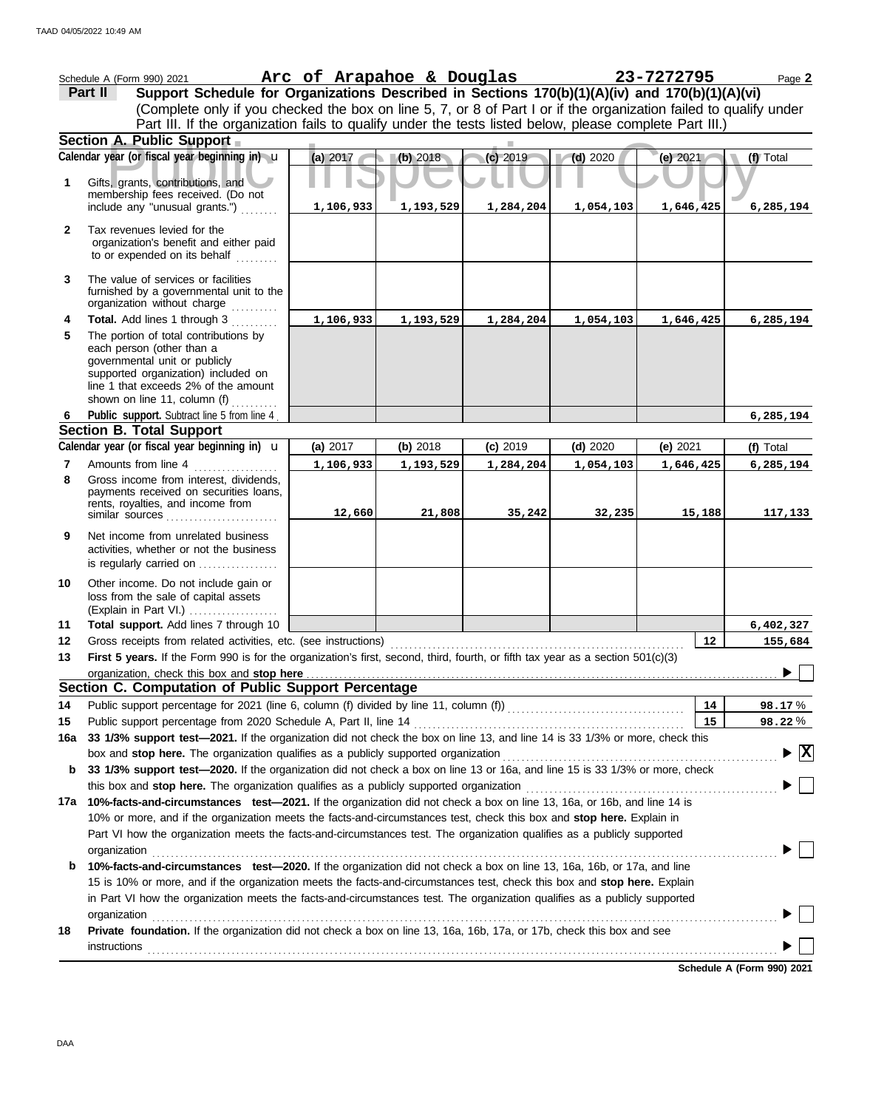|                | Schedule A (Form 990) 2021<br>Support Schedule for Organizations Described in Sections 170(b)(1)(A)(iv) and 170(b)(1)(A)(vi)<br>Part II                                                                                      | Arc of Arapahoe & Douglas |           |            |            | 23-7272795  | Page 2                          |
|----------------|------------------------------------------------------------------------------------------------------------------------------------------------------------------------------------------------------------------------------|---------------------------|-----------|------------|------------|-------------|---------------------------------|
|                | (Complete only if you checked the box on line 5, 7, or 8 of Part I or if the organization failed to qualify under<br>Part III. If the organization fails to qualify under the tests listed below, please complete Part III.) |                           |           |            |            |             |                                 |
|                | Section A. Public Support                                                                                                                                                                                                    |                           |           |            |            |             |                                 |
|                | Calendar year (or fiscal year beginning in) u                                                                                                                                                                                | (a) 2017                  | (b) 2018  | $(c)$ 2019 | $(d)$ 2020 | (e) $2021/$ | (f) Total                       |
| 1              | Gifts, grants, contributions, and<br>membership fees received. (Do not                                                                                                                                                       |                           |           |            |            |             |                                 |
|                | include any "unusual grants.")                                                                                                                                                                                               | 1,106,933                 | 1,193,529 | 1,284,204  | 1,054,103  | 1,646,425   | 6,285,194                       |
| $\mathbf{2}$   | Tax revenues levied for the<br>organization's benefit and either paid<br>to or expended on its behalf                                                                                                                        |                           |           |            |            |             |                                 |
| 3              | The value of services or facilities<br>furnished by a governmental unit to the<br>organization without charge                                                                                                                |                           |           |            |            |             |                                 |
| 4              | Total. Add lines 1 through 3                                                                                                                                                                                                 | 1,106,933                 | 1,193,529 | 1,284,204  | 1,054,103  | 1,646,425   | 6,285,194                       |
| 5              | The portion of total contributions by<br>each person (other than a<br>governmental unit or publicly<br>supported organization) included on<br>line 1 that exceeds 2% of the amount<br>shown on line 11, column (f)           |                           |           |            |            |             |                                 |
| 6              | Public support. Subtract line 5 from line 4                                                                                                                                                                                  |                           |           |            |            |             | 6,285,194                       |
|                | <b>Section B. Total Support</b>                                                                                                                                                                                              |                           |           |            |            |             |                                 |
|                | Calendar year (or fiscal year beginning in) <b>u</b>                                                                                                                                                                         | (a) 2017                  | (b) 2018  | $(c)$ 2019 | $(d)$ 2020 | (e) $2021$  | (f) Total                       |
| $\overline{7}$ | Amounts from line 4                                                                                                                                                                                                          | 1,106,933                 | 1,193,529 | 1,284,204  | 1,054,103  | 1,646,425   | 6,285,194                       |
| 8              | Gross income from interest, dividends,<br>payments received on securities loans,<br>rents, royalties, and income from<br>similar sources                                                                                     | 12,660                    | 21,808    | 35,242     | 32,235     | 15,188      | 117,133                         |
| 9              | Net income from unrelated business<br>activities, whether or not the business<br>is regularly carried on                                                                                                                     |                           |           |            |            |             |                                 |
| 10             | Other income. Do not include gain or<br>loss from the sale of capital assets<br>(Explain in Part VI.)                                                                                                                        |                           |           |            |            |             |                                 |
| 11             | Total support. Add lines 7 through 10                                                                                                                                                                                        |                           |           |            |            |             | 6,402,327                       |
| 12             | Gross receipts from related activities, etc. (see instructions)                                                                                                                                                              |                           |           |            |            | 12          | 155,684                         |
| 13             | First 5 years. If the Form 990 is for the organization's first, second, third, fourth, or fifth tax year as a section 501(c)(3)                                                                                              |                           |           |            |            |             |                                 |
|                | Section C. Computation of Public Support Percentage                                                                                                                                                                          |                           |           |            |            |             |                                 |
|                |                                                                                                                                                                                                                              |                           |           |            |            | 14          |                                 |
| 14<br>15       | Public support percentage from 2020 Schedule A, Part II, line 14                                                                                                                                                             |                           |           |            |            | 15          | 98.17%<br>98.22%                |
| 16a            | 33 1/3% support test-2021. If the organization did not check the box on line 13, and line 14 is 33 1/3% or more, check this                                                                                                  |                           |           |            |            |             |                                 |
|                | box and stop here. The organization qualifies as a publicly supported organization                                                                                                                                           |                           |           |            |            |             | $\blacktriangleright$ $\vert$ X |
| b              | 33 1/3% support test-2020. If the organization did not check a box on line 13 or 16a, and line 15 is 33 1/3% or more, check                                                                                                  |                           |           |            |            |             |                                 |
|                | this box and stop here. The organization qualifies as a publicly supported organization                                                                                                                                      |                           |           |            |            |             |                                 |
| 17a            | 10%-facts-and-circumstances test-2021. If the organization did not check a box on line 13, 16a, or 16b, and line 14 is                                                                                                       |                           |           |            |            |             |                                 |
|                | 10% or more, and if the organization meets the facts-and-circumstances test, check this box and stop here. Explain in                                                                                                        |                           |           |            |            |             |                                 |
|                | Part VI how the organization meets the facts-and-circumstances test. The organization qualifies as a publicly supported                                                                                                      |                           |           |            |            |             |                                 |
|                | organization                                                                                                                                                                                                                 |                           |           |            |            |             |                                 |
| b              | 10%-facts-and-circumstances test-2020. If the organization did not check a box on line 13, 16a, 16b, or 17a, and line                                                                                                        |                           |           |            |            |             |                                 |
|                | 15 is 10% or more, and if the organization meets the facts-and-circumstances test, check this box and stop here. Explain                                                                                                     |                           |           |            |            |             |                                 |
|                | in Part VI how the organization meets the facts-and-circumstances test. The organization qualifies as a publicly supported                                                                                                   |                           |           |            |            |             |                                 |
| 18             | organization<br>Private foundation. If the organization did not check a box on line 13, 16a, 16b, 17a, or 17b, check this box and see                                                                                        |                           |           |            |            |             |                                 |
|                | <b>instructions</b>                                                                                                                                                                                                          |                           |           |            |            |             |                                 |
|                |                                                                                                                                                                                                                              |                           |           |            |            |             |                                 |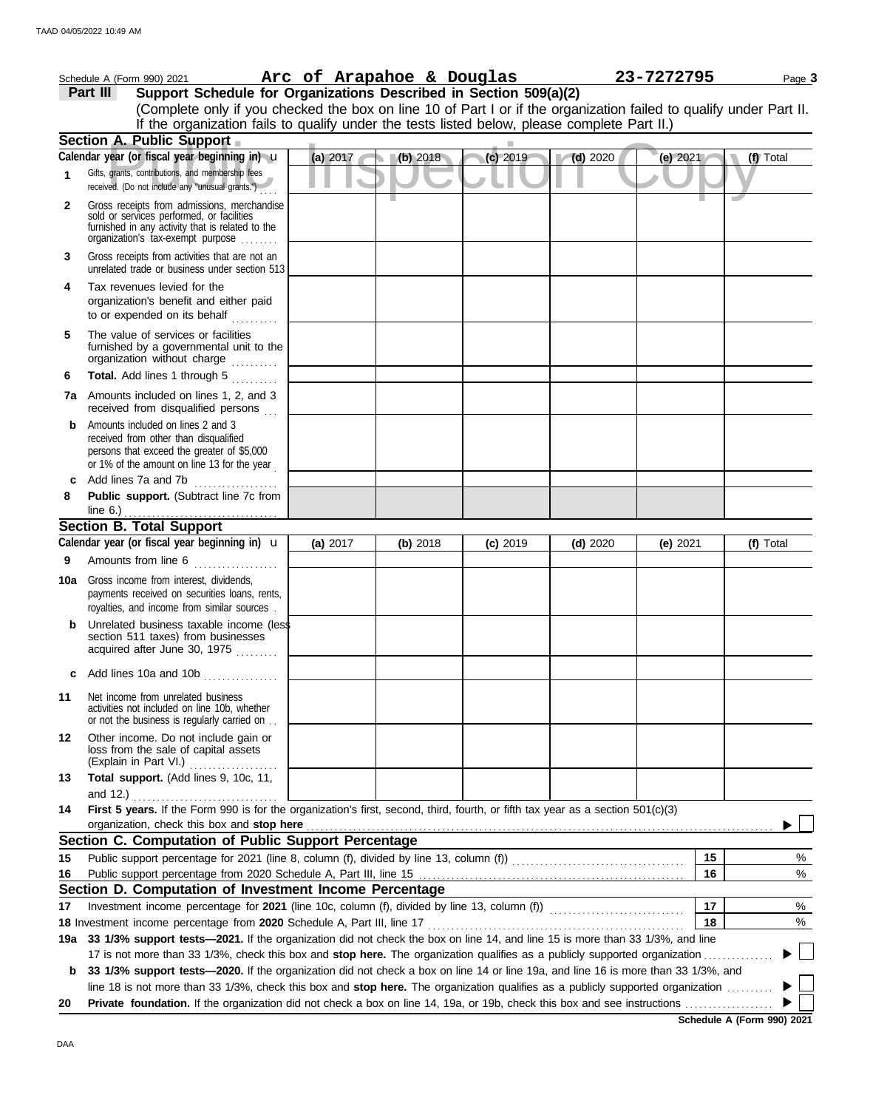|     | Schedule A (Form 990) 2021                                                                                                                                                        |          |          |          | Arc of Arapahoe & Douglas |            | 23-7272795 |    |           | Page 3 |
|-----|-----------------------------------------------------------------------------------------------------------------------------------------------------------------------------------|----------|----------|----------|---------------------------|------------|------------|----|-----------|--------|
|     | Support Schedule for Organizations Described in Section 509(a)(2)<br>Part III                                                                                                     |          |          |          |                           |            |            |    |           |        |
|     | (Complete only if you checked the box on line 10 of Part I or if the organization failed to qualify under Part II.                                                                |          |          |          |                           |            |            |    |           |        |
|     | If the organization fails to qualify under the tests listed below, please complete Part II.)                                                                                      |          |          |          |                           |            |            |    |           |        |
|     | Section A. Public Support                                                                                                                                                         |          |          |          |                           |            |            |    |           |        |
|     | Calendar year (or fiscal year beginning in) u                                                                                                                                     | (a) 2017 |          | (b) 2018 | (c) 2019                  | $(d)$ 2020 | (e) 2021   |    | (f) Total |        |
| 1   | Gifts, grants, contributions, and membership fees<br>received. (Do not include any "unusual grants.")                                                                             |          |          |          |                           |            |            |    |           |        |
| 2   | Gross receipts from admissions, merchandise<br>sold or services performed, or facilities<br>furnished in any activity that is related to the<br>organization's fax-exempt purpose |          |          |          |                           |            |            |    |           |        |
| 3   | Gross receipts from activities that are not an<br>unrelated trade or business under section 513                                                                                   |          |          |          |                           |            |            |    |           |        |
| 4   | Tax revenues levied for the<br>organization's benefit and either paid<br>to or expended on its behalf                                                                             |          |          |          |                           |            |            |    |           |        |
| 5   | The value of services or facilities<br>furnished by a governmental unit to the<br>organization without charge                                                                     |          |          |          |                           |            |            |    |           |        |
| 6   | Total. Add lines 1 through 5                                                                                                                                                      |          |          |          |                           |            |            |    |           |        |
| 7a  | Amounts included on lines 1, 2, and 3<br>received from disqualified persons                                                                                                       |          |          |          |                           |            |            |    |           |        |
| b   | Amounts included on lines 2 and 3<br>received from other than disqualified<br>persons that exceed the greater of \$5,000<br>or 1% of the amount on line 13 for the year           |          |          |          |                           |            |            |    |           |        |
| с   | Add lines 7a and 7b<br><u> 1999 - Johann Stoff, ameri</u> kan                                                                                                                     |          |          |          |                           |            |            |    |           |        |
| 8   | Public support. (Subtract line 7c from<br>line $6.$ )                                                                                                                             |          |          |          |                           |            |            |    |           |        |
|     | <b>Section B. Total Support</b>                                                                                                                                                   |          |          |          |                           |            |            |    |           |        |
|     | Calendar year (or fiscal year beginning in) <b>u</b>                                                                                                                              | (a) 2017 | (b) 2018 |          | $(c)$ 2019                | $(d)$ 2020 | (e) $2021$ |    | (f) Total |        |
| 9   | Amounts from line 6                                                                                                                                                               |          |          |          |                           |            |            |    |           |        |
| 10a | Gross income from interest, dividends,<br>payments received on securities loans, rents,<br>royalties, and income from similar sources                                             |          |          |          |                           |            |            |    |           |        |
|     | Unrelated business taxable income (less<br>section 511 taxes) from businesses<br>acquired after June 30, 1975<br>.                                                                |          |          |          |                           |            |            |    |           |        |
| c   | Add lines 10a and 10b                                                                                                                                                             |          |          |          |                           |            |            |    |           |        |
| 11  | Net income from unrelated business<br>activities not included on line 10b, whether<br>or not the business is regularly carried on                                                 |          |          |          |                           |            |            |    |           |        |
| 12  | Other income. Do not include gain or<br>loss from the sale of capital assets<br>(Explain in Part VI.)<br>.                                                                        |          |          |          |                           |            |            |    |           |        |
| 13  | Total support. (Add lines 9, 10c, 11,<br>and 12.)                                                                                                                                 |          |          |          |                           |            |            |    |           |        |
| 14  | First 5 years. If the Form 990 is for the organization's first, second, third, fourth, or fifth tax year as a section 501(c)(3)                                                   |          |          |          |                           |            |            |    |           |        |
|     | organization, check this box and stop here<br>Section C. Computation of Public Support Percentage                                                                                 |          |          |          |                           |            |            |    |           |        |
|     |                                                                                                                                                                                   |          |          |          |                           |            |            | 15 |           |        |
| 15  |                                                                                                                                                                                   |          |          |          |                           |            |            |    |           | %      |
| 16  | Section D. Computation of Investment Income Percentage                                                                                                                            |          |          |          |                           |            |            | 16 |           | %      |
| 17  |                                                                                                                                                                                   |          |          |          |                           |            |            | 17 |           | %      |
|     |                                                                                                                                                                                   |          |          |          |                           |            |            | 18 |           | %      |
| 19а | 33 1/3% support tests-2021. If the organization did not check the box on line 14, and line 15 is more than 33 1/3%, and line                                                      |          |          |          |                           |            |            |    |           |        |
|     | 17 is not more than 33 1/3%, check this box and stop here. The organization qualifies as a publicly supported organization.                                                       |          |          |          |                           |            |            |    |           |        |
| b   | 33 1/3% support tests-2020. If the organization did not check a box on line 14 or line 19a, and line 16 is more than 33 1/3%, and                                                 |          |          |          |                           |            |            |    |           |        |
|     | line 18 is not more than 33 1/3%, check this box and stop here. The organization qualifies as a publicly supported organization                                                   |          |          |          |                           |            |            |    |           |        |
| 20  |                                                                                                                                                                                   |          |          |          |                           |            |            |    |           |        |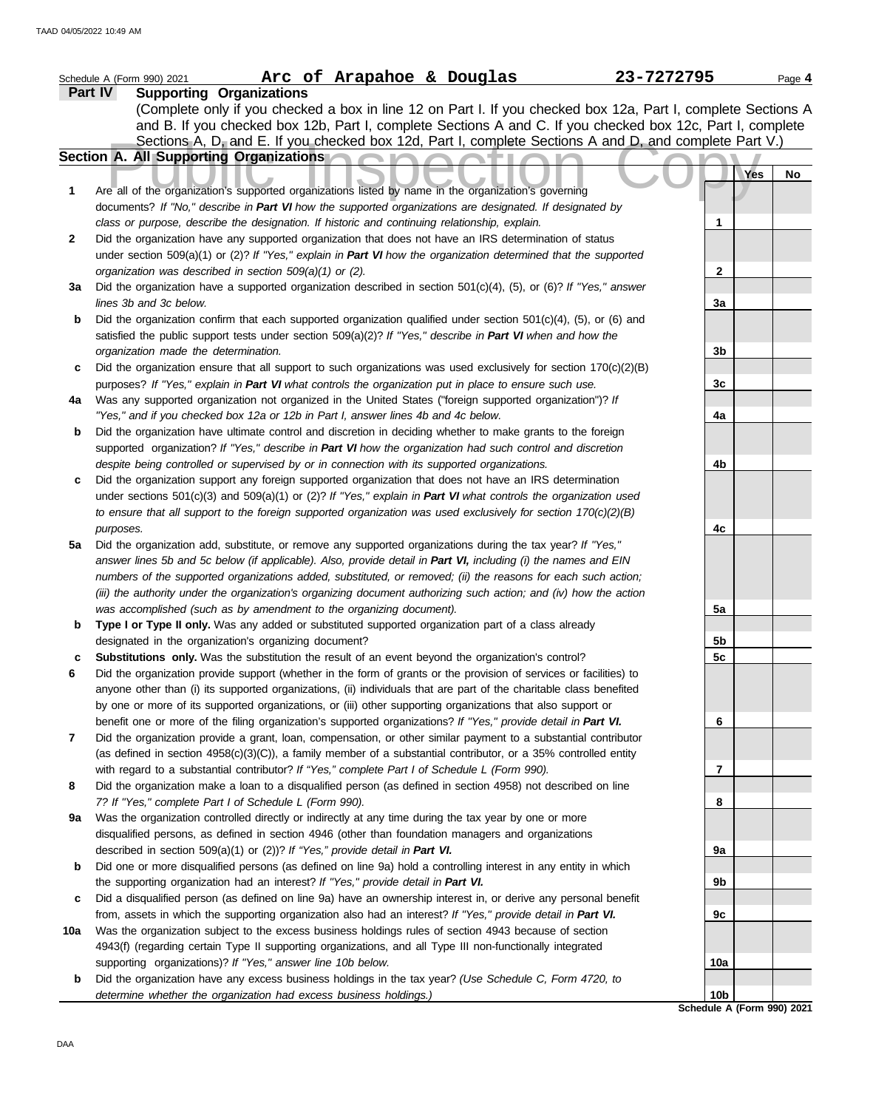|     | Arc of Arapahoe & Douglas<br>23-7272795<br>Schedule A (Form 990) 2021                                                                                                                                      |                 | Page 4                     |
|-----|------------------------------------------------------------------------------------------------------------------------------------------------------------------------------------------------------------|-----------------|----------------------------|
|     | <b>Supporting Organizations</b><br>Part IV                                                                                                                                                                 |                 |                            |
|     | (Complete only if you checked a box in line 12 on Part I. If you checked box 12a, Part I, complete Sections A                                                                                              |                 |                            |
|     | and B. If you checked box 12b, Part I, complete Sections A and C. If you checked box 12c, Part I, complete                                                                                                 |                 |                            |
|     | Sections A, D, and E. If you checked box 12d, Part I, complete Sections A and D, and complete Part V.)                                                                                                     |                 |                            |
|     | Section A. All Supporting Organizations                                                                                                                                                                    |                 |                            |
|     |                                                                                                                                                                                                            |                 | Yes<br>No                  |
| 1   | Are all of the organization's supported organizations listed by name in the organization's governing                                                                                                       |                 |                            |
|     | documents? If "No," describe in Part VI how the supported organizations are designated. If designated by                                                                                                   |                 |                            |
|     | class or purpose, describe the designation. If historic and continuing relationship, explain.                                                                                                              | 1               |                            |
| 2   | Did the organization have any supported organization that does not have an IRS determination of status                                                                                                     |                 |                            |
|     | under section 509(a)(1) or (2)? If "Yes," explain in Part VI how the organization determined that the supported                                                                                            |                 |                            |
|     | organization was described in section 509(a)(1) or (2).                                                                                                                                                    | 2               |                            |
| За  | Did the organization have a supported organization described in section $501(c)(4)$ , (5), or (6)? If "Yes," answer                                                                                        |                 |                            |
|     | lines 3b and 3c below.                                                                                                                                                                                     | 3a              |                            |
| b   | Did the organization confirm that each supported organization qualified under section $501(c)(4)$ , (5), or (6) and                                                                                        |                 |                            |
|     | satisfied the public support tests under section 509(a)(2)? If "Yes," describe in Part VI when and how the                                                                                                 |                 |                            |
|     | organization made the determination.                                                                                                                                                                       | 3b              |                            |
| c   | Did the organization ensure that all support to such organizations was used exclusively for section $170(c)(2)(B)$                                                                                         |                 |                            |
|     | purposes? If "Yes," explain in Part VI what controls the organization put in place to ensure such use.                                                                                                     | 3c              |                            |
| 4a  | Was any supported organization not organized in the United States ("foreign supported organization")? If                                                                                                   |                 |                            |
|     | "Yes," and if you checked box 12a or 12b in Part I, answer lines 4b and 4c below.                                                                                                                          | 4a              |                            |
| b   | Did the organization have ultimate control and discretion in deciding whether to make grants to the foreign                                                                                                |                 |                            |
|     | supported organization? If "Yes," describe in Part VI how the organization had such control and discretion<br>despite being controlled or supervised by or in connection with its supported organizations. | 4b              |                            |
| c   | Did the organization support any foreign supported organization that does not have an IRS determination                                                                                                    |                 |                            |
|     | under sections $501(c)(3)$ and $509(a)(1)$ or $(2)?$ If "Yes," explain in Part VI what controls the organization used                                                                                      |                 |                            |
|     | to ensure that all support to the foreign supported organization was used exclusively for section $170(c)(2)(B)$                                                                                           |                 |                            |
|     | purposes.                                                                                                                                                                                                  | 4c              |                            |
| 5a  | Did the organization add, substitute, or remove any supported organizations during the tax year? If "Yes,"                                                                                                 |                 |                            |
|     | answer lines 5b and 5c below (if applicable). Also, provide detail in Part VI, including (i) the names and EIN                                                                                             |                 |                            |
|     | numbers of the supported organizations added, substituted, or removed; (ii) the reasons for each such action;                                                                                              |                 |                            |
|     | (iii) the authority under the organization's organizing document authorizing such action; and (iv) how the action                                                                                          |                 |                            |
|     | was accomplished (such as by amendment to the organizing document).                                                                                                                                        | 5a              |                            |
| b   | Type I or Type II only. Was any added or substituted supported organization part of a class already                                                                                                        |                 |                            |
|     | designated in the organization's organizing document?                                                                                                                                                      | 5b              |                            |
|     | Substitutions only. Was the substitution the result of an event beyond the organization's control?                                                                                                         | 5c              |                            |
|     | Did the organization provide support (whether in the form of grants or the provision of services or facilities) to                                                                                         |                 |                            |
|     | anyone other than (i) its supported organizations, (ii) individuals that are part of the charitable class benefited                                                                                        |                 |                            |
|     | by one or more of its supported organizations, or (iii) other supporting organizations that also support or                                                                                                |                 |                            |
|     | benefit one or more of the filing organization's supported organizations? If "Yes," provide detail in Part VI.                                                                                             | 6               |                            |
| 7   | Did the organization provide a grant, loan, compensation, or other similar payment to a substantial contributor                                                                                            |                 |                            |
|     | (as defined in section $4958(c)(3)(C)$ ), a family member of a substantial contributor, or a 35% controlled entity                                                                                         |                 |                            |
|     | with regard to a substantial contributor? If "Yes," complete Part I of Schedule L (Form 990).                                                                                                              | 7               |                            |
| 8   | Did the organization make a loan to a disqualified person (as defined in section 4958) not described on line                                                                                               |                 |                            |
|     | 7? If "Yes," complete Part I of Schedule L (Form 990).                                                                                                                                                     | 8               |                            |
| 9a  | Was the organization controlled directly or indirectly at any time during the tax year by one or more                                                                                                      |                 |                            |
|     | disqualified persons, as defined in section 4946 (other than foundation managers and organizations                                                                                                         |                 |                            |
|     | described in section 509(a)(1) or (2))? If "Yes," provide detail in Part VI.                                                                                                                               | 9a              |                            |
| b   | Did one or more disqualified persons (as defined on line 9a) hold a controlling interest in any entity in which<br>the supporting organization had an interest? If "Yes," provide detail in Part VI.       | 9b              |                            |
| c   | Did a disqualified person (as defined on line 9a) have an ownership interest in, or derive any personal benefit                                                                                            |                 |                            |
|     | from, assets in which the supporting organization also had an interest? If "Yes," provide detail in Part VI.                                                                                               | 9c              |                            |
| 10a | Was the organization subject to the excess business holdings rules of section 4943 because of section                                                                                                      |                 |                            |
|     | 4943(f) (regarding certain Type II supporting organizations, and all Type III non-functionally integrated                                                                                                  |                 |                            |
|     | supporting organizations)? If "Yes," answer line 10b below.                                                                                                                                                | 10a             |                            |
| b   | Did the organization have any excess business holdings in the tax year? (Use Schedule C, Form 4720, to                                                                                                     |                 |                            |
|     | determine whether the organization had excess business holdings.)                                                                                                                                          | 10 <sub>b</sub> |                            |
|     |                                                                                                                                                                                                            |                 | Schedule A (Form 990) 2021 |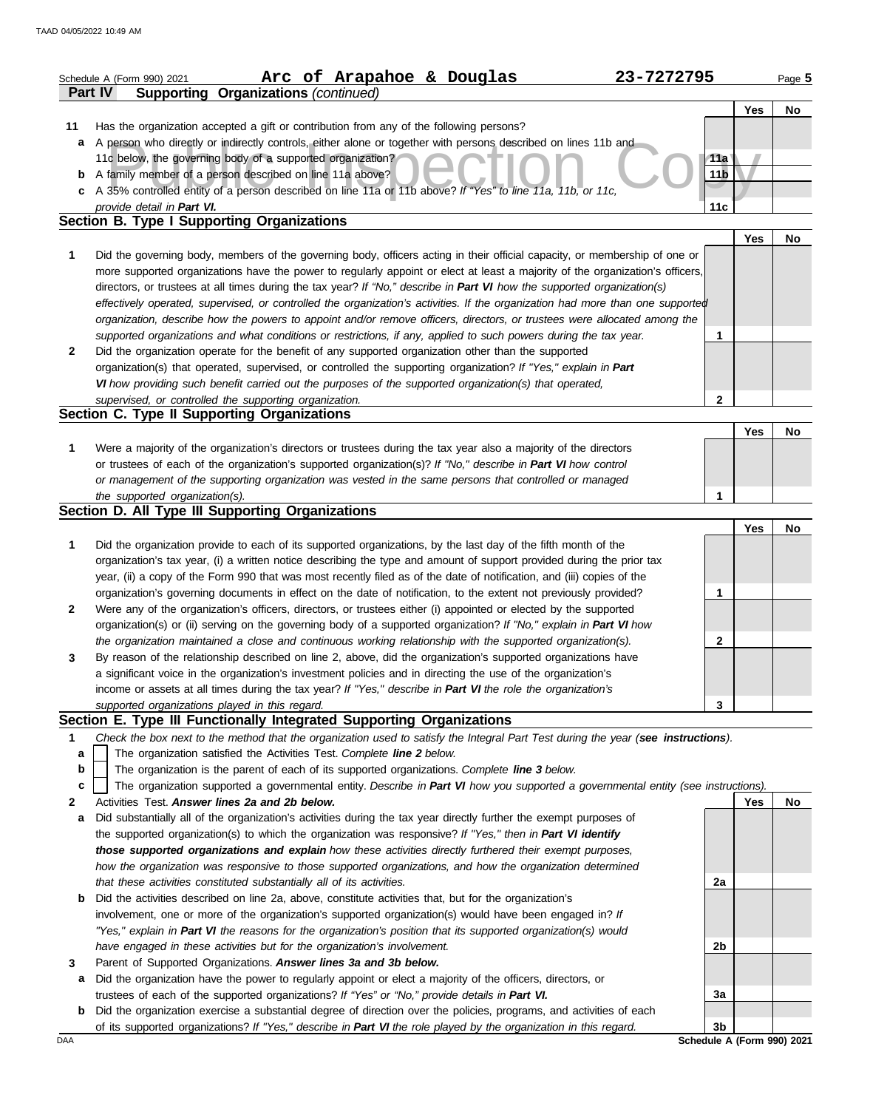|        | Arc of Arapahoe & Douglas<br>23-7272795<br>Schedule A (Form 990) 2021                                                                                                   |                 |            | Page 5    |
|--------|-------------------------------------------------------------------------------------------------------------------------------------------------------------------------|-----------------|------------|-----------|
|        | Part IV<br><b>Supporting Organizations (continued)</b>                                                                                                                  |                 |            |           |
|        |                                                                                                                                                                         |                 | Yes        | No        |
| 11     | Has the organization accepted a gift or contribution from any of the following persons?                                                                                 |                 |            |           |
|        | a A person who directly or indirectly controls, either alone or together with persons described on lines 11b and                                                        |                 |            |           |
|        | 11c below, the governing body of a supported organization?                                                                                                              | 11a             |            |           |
|        | <b>b</b> A family member of a person described on line 11a above?                                                                                                       | 11 <sub>b</sub> |            |           |
|        | c A 35% controlled entity of a person described on line 11a or 11b above? If "Yes" to line 11a, 11b, or 11c,                                                            |                 |            |           |
|        | provide detail in Part VI.<br>Section B. Type I Supporting Organizations                                                                                                | 11c             |            |           |
|        |                                                                                                                                                                         |                 | <b>Yes</b> | No        |
| 1      | Did the governing body, members of the governing body, officers acting in their official capacity, or membership of one or                                              |                 |            |           |
|        | more supported organizations have the power to regularly appoint or elect at least a majority of the organization's officers,                                           |                 |            |           |
|        | directors, or trustees at all times during the tax year? If "No," describe in Part VI how the supported organization(s)                                                 |                 |            |           |
|        | effectively operated, supervised, or controlled the organization's activities. If the organization had more than one supported                                          |                 |            |           |
|        | organization, describe how the powers to appoint and/or remove officers, directors, or trustees were allocated among the                                                |                 |            |           |
|        | supported organizations and what conditions or restrictions, if any, applied to such powers during the tax year.                                                        | 1               |            |           |
| 2      | Did the organization operate for the benefit of any supported organization other than the supported                                                                     |                 |            |           |
|        | organization(s) that operated, supervised, or controlled the supporting organization? If "Yes," explain in Part                                                         |                 |            |           |
|        | VI how providing such benefit carried out the purposes of the supported organization(s) that operated,                                                                  |                 |            |           |
|        | supervised, or controlled the supporting organization.                                                                                                                  | $\mathbf{2}$    |            |           |
|        | Section C. Type II Supporting Organizations                                                                                                                             |                 |            |           |
|        |                                                                                                                                                                         |                 | Yes        | <b>No</b> |
| 1      | Were a majority of the organization's directors or trustees during the tax year also a majority of the directors                                                        |                 |            |           |
|        | or trustees of each of the organization's supported organization(s)? If "No," describe in Part VI how control                                                           |                 |            |           |
|        | or management of the supporting organization was vested in the same persons that controlled or managed                                                                  | 1               |            |           |
|        | the supported organization(s).<br>Section D. All Type III Supporting Organizations                                                                                      |                 |            |           |
|        |                                                                                                                                                                         |                 | Yes        | <b>No</b> |
| 1      | Did the organization provide to each of its supported organizations, by the last day of the fifth month of the                                                          |                 |            |           |
|        | organization's tax year, (i) a written notice describing the type and amount of support provided during the prior tax                                                   |                 |            |           |
|        | year, (ii) a copy of the Form 990 that was most recently filed as of the date of notification, and (iii) copies of the                                                  |                 |            |           |
|        | organization's governing documents in effect on the date of notification, to the extent not previously provided?                                                        | 1               |            |           |
| 2      | Were any of the organization's officers, directors, or trustees either (i) appointed or elected by the supported                                                        |                 |            |           |
|        | organization(s) or (ii) serving on the governing body of a supported organization? If "No," explain in Part VI how                                                      |                 |            |           |
|        | the organization maintained a close and continuous working relationship with the supported organization(s).                                                             | $\mathbf{2}$    |            |           |
| 3      | By reason of the relationship described on line 2, above, did the organization's supported organizations have                                                           |                 |            |           |
|        | a significant voice in the organization's investment policies and in directing the use of the organization's                                                            |                 |            |           |
|        | income or assets at all times during the tax year? If "Yes," describe in Part VI the role the organization's                                                            |                 |            |           |
|        | supported organizations played in this regard.                                                                                                                          | 3               |            |           |
|        | Section E. Type III Functionally Integrated Supporting Organizations                                                                                                    |                 |            |           |
| 1      | Check the box next to the method that the organization used to satisfy the Integral Part Test during the year (see instructions).                                       |                 |            |           |
| a<br>b | The organization satisfied the Activities Test. Complete line 2 below.<br>The organization is the parent of each of its supported organizations. Complete line 3 below. |                 |            |           |
| C      | The organization supported a governmental entity. Describe in Part VI how you supported a governmental entity (see instructions).                                       |                 |            |           |
| 2      | Activities Test, Answer lines 2a and 2b below.                                                                                                                          |                 | Yes        | <b>No</b> |
| a      | Did substantially all of the organization's activities during the tax year directly further the exempt purposes of                                                      |                 |            |           |
|        | the supported organization(s) to which the organization was responsive? If "Yes," then in Part VI identify                                                              |                 |            |           |
|        | those supported organizations and explain how these activities directly furthered their exempt purposes,                                                                |                 |            |           |
|        | how the organization was responsive to those supported organizations, and how the organization determined                                                               |                 |            |           |
|        | that these activities constituted substantially all of its activities.                                                                                                  | 2a              |            |           |
| b      | Did the activities described on line 2a, above, constitute activities that, but for the organization's                                                                  |                 |            |           |
|        | involvement, one or more of the organization's supported organization(s) would have been engaged in? If                                                                 |                 |            |           |
|        | "Yes," explain in Part VI the reasons for the organization's position that its supported organization(s) would                                                          |                 |            |           |
|        | have engaged in these activities but for the organization's involvement.                                                                                                | 2b              |            |           |
| 3      | Parent of Supported Organizations. Answer lines 3a and 3b below.                                                                                                        |                 |            |           |
| а      | Did the organization have the power to regularly appoint or elect a majority of the officers, directors, or                                                             |                 |            |           |
|        | trustees of each of the supported organizations? If "Yes" or "No," provide details in Part VI.                                                                          | 3a              |            |           |
| b      | Did the organization exercise a substantial degree of direction over the policies, programs, and activities of each                                                     |                 |            |           |
|        | of its supported organizations? If "Yes," describe in Part VI the role played by the organization in this regard.                                                       | 3 <sub>b</sub>  |            |           |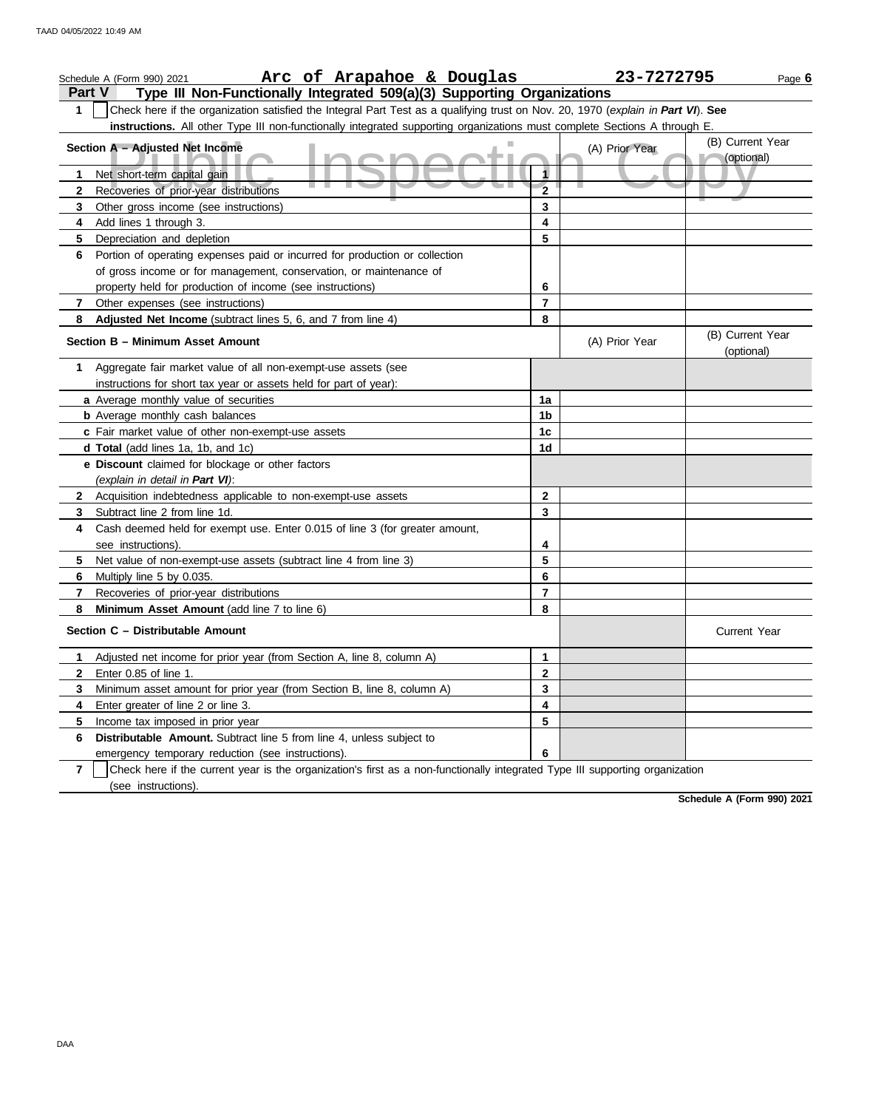|                | Arc of Arapahoe & Douglas<br>Schedule A (Form 990) 2021                                                                          |                | 23-7272795     | Page 6                         |
|----------------|----------------------------------------------------------------------------------------------------------------------------------|----------------|----------------|--------------------------------|
| <b>Part V</b>  | Type III Non-Functionally Integrated 509(a)(3) Supporting Organizations                                                          |                |                |                                |
| $\mathbf 1$    | Check here if the organization satisfied the Integral Part Test as a qualifying trust on Nov. 20, 1970 (explain in Part VI). See |                |                |                                |
|                | instructions. All other Type III non-functionally integrated supporting organizations must complete Sections A through E.        |                |                |                                |
|                | Section A - Adjusted Net Income                                                                                                  |                | (A) Prior Year | (B) Current Year               |
|                |                                                                                                                                  |                |                | (optional)                     |
| 1.             | Net short-term capital gain                                                                                                      | 1              |                |                                |
| $\mathbf{2}$   | Recoveries of prior-year distributions                                                                                           | $\overline{2}$ |                |                                |
| 3              | Other gross income (see instructions)                                                                                            | 3              |                |                                |
| 4              | Add lines 1 through 3.                                                                                                           | 4              |                |                                |
| 5              | Depreciation and depletion                                                                                                       | 5              |                |                                |
| 6              | Portion of operating expenses paid or incurred for production or collection                                                      |                |                |                                |
|                | of gross income or for management, conservation, or maintenance of                                                               |                |                |                                |
|                | property held for production of income (see instructions)                                                                        | 6              |                |                                |
| 7              | Other expenses (see instructions)                                                                                                | 7              |                |                                |
| 8              | Adjusted Net Income (subtract lines 5, 6, and 7 from line 4)                                                                     | 8              |                |                                |
|                | Section B - Minimum Asset Amount                                                                                                 |                | (A) Prior Year | (B) Current Year<br>(optional) |
| 1              | Aggregate fair market value of all non-exempt-use assets (see                                                                    |                |                |                                |
|                | instructions for short tax year or assets held for part of year):                                                                |                |                |                                |
|                | a Average monthly value of securities                                                                                            | 1a             |                |                                |
|                | <b>b</b> Average monthly cash balances                                                                                           | 1b             |                |                                |
|                | c Fair market value of other non-exempt-use assets                                                                               | 1 <sub>c</sub> |                |                                |
|                | d Total (add lines 1a, 1b, and 1c)                                                                                               | 1d             |                |                                |
|                | e Discount claimed for blockage or other factors<br>(explain in detail in Part VI):                                              |                |                |                                |
| $\mathbf{2}$   | Acquisition indebtedness applicable to non-exempt-use assets                                                                     | 2              |                |                                |
| 3              | Subtract line 2 from line 1d.                                                                                                    | 3              |                |                                |
| 4              | Cash deemed held for exempt use. Enter 0.015 of line 3 (for greater amount,                                                      |                |                |                                |
|                | see instructions).                                                                                                               | 4              |                |                                |
| 5              | Net value of non-exempt-use assets (subtract line 4 from line 3)                                                                 | 5              |                |                                |
| 6.             | Multiply line 5 by 0.035.                                                                                                        | 6              |                |                                |
| 7              | Recoveries of prior-year distributions                                                                                           | 7              |                |                                |
| 8              | Minimum Asset Amount (add line 7 to line 6)                                                                                      | 8              |                |                                |
|                | Section C - Distributable Amount                                                                                                 |                |                | <b>Current Year</b>            |
| 1.             | Adjusted net income for prior year (from Section A, line 8, column A)                                                            | 1              |                |                                |
| 2              | Enter 0.85 of line 1.                                                                                                            | 2              |                |                                |
| 3              | Minimum asset amount for prior year (from Section B, line 8, column A)                                                           | 3              |                |                                |
| 4              | Enter greater of line 2 or line 3.                                                                                               | 4              |                |                                |
| 5              | Income tax imposed in prior year                                                                                                 | 5              |                |                                |
| 6              | Distributable Amount. Subtract line 5 from line 4, unless subject to                                                             |                |                |                                |
|                | emergency temporary reduction (see instructions).                                                                                | 6              |                |                                |
| $\overline{7}$ | Check here if the current year is the organization's first as a non-functionally integrated Type III supporting organization     |                |                |                                |
|                | (see instructions).                                                                                                              |                |                |                                |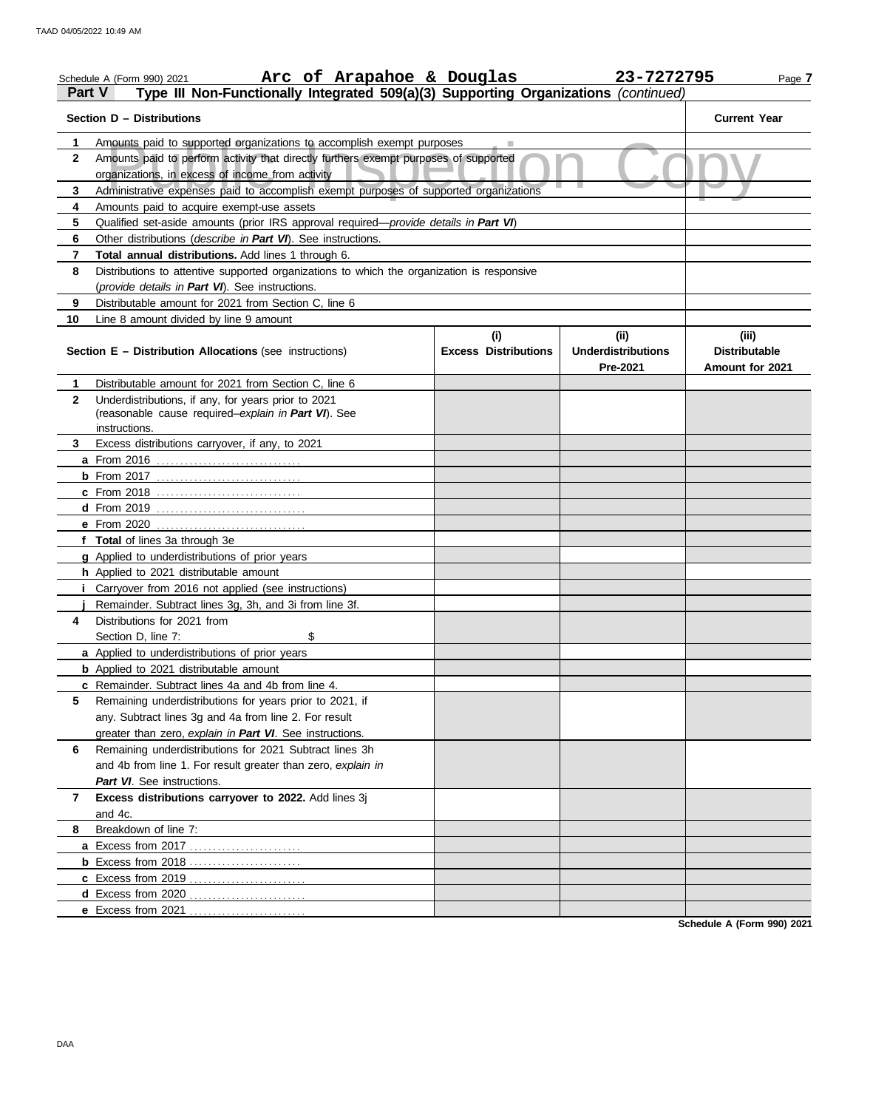| <b>Part V</b>  | Arc of Arapahoe & Douglas<br>Schedule A (Form 990) 2021<br>Type III Non-Functionally Integrated 509(a)(3) Supporting Organizations (continued) |                                    | 23-7272795                                    | Page 7                                           |  |  |  |  |  |  |  |
|----------------|------------------------------------------------------------------------------------------------------------------------------------------------|------------------------------------|-----------------------------------------------|--------------------------------------------------|--|--|--|--|--|--|--|
|                | Section D - Distributions                                                                                                                      |                                    |                                               | <b>Current Year</b>                              |  |  |  |  |  |  |  |
| 1              | Amounts paid to supported organizations to accomplish exempt purposes                                                                          |                                    |                                               |                                                  |  |  |  |  |  |  |  |
| $\mathbf{2}$   |                                                                                                                                                |                                    |                                               |                                                  |  |  |  |  |  |  |  |
| 3              |                                                                                                                                                |                                    |                                               |                                                  |  |  |  |  |  |  |  |
| 4              |                                                                                                                                                |                                    |                                               |                                                  |  |  |  |  |  |  |  |
| 5              | Amounts paid to acquire exempt-use assets<br>Qualified set-aside amounts (prior IRS approval required-provide details in Part VI)              |                                    |                                               |                                                  |  |  |  |  |  |  |  |
| 6              | Other distributions (describe in Part VI). See instructions.                                                                                   |                                    |                                               |                                                  |  |  |  |  |  |  |  |
| 7              | Total annual distributions. Add lines 1 through 6.                                                                                             |                                    |                                               |                                                  |  |  |  |  |  |  |  |
| 8              | Distributions to attentive supported organizations to which the organization is responsive                                                     |                                    |                                               |                                                  |  |  |  |  |  |  |  |
|                | (provide details in Part VI). See instructions.                                                                                                |                                    |                                               |                                                  |  |  |  |  |  |  |  |
| 9              | Distributable amount for 2021 from Section C, line 6                                                                                           |                                    |                                               |                                                  |  |  |  |  |  |  |  |
| 10             | Line 8 amount divided by line 9 amount                                                                                                         |                                    |                                               |                                                  |  |  |  |  |  |  |  |
|                | Section E - Distribution Allocations (see instructions)                                                                                        | (i)<br><b>Excess Distributions</b> | (ii)<br><b>Underdistributions</b><br>Pre-2021 | (iii)<br><b>Distributable</b><br>Amount for 2021 |  |  |  |  |  |  |  |
| 1              | Distributable amount for 2021 from Section C, line 6                                                                                           |                                    |                                               |                                                  |  |  |  |  |  |  |  |
| $\mathbf{2}$   | Underdistributions, if any, for years prior to 2021<br>(reasonable cause required-explain in Part VI). See<br>instructions.                    |                                    |                                               |                                                  |  |  |  |  |  |  |  |
| 3.             | Excess distributions carryover, if any, to 2021                                                                                                |                                    |                                               |                                                  |  |  |  |  |  |  |  |
|                |                                                                                                                                                |                                    |                                               |                                                  |  |  |  |  |  |  |  |
|                |                                                                                                                                                |                                    |                                               |                                                  |  |  |  |  |  |  |  |
|                | <b>c</b> From 2018                                                                                                                             |                                    |                                               |                                                  |  |  |  |  |  |  |  |
|                |                                                                                                                                                |                                    |                                               |                                                  |  |  |  |  |  |  |  |
|                |                                                                                                                                                |                                    |                                               |                                                  |  |  |  |  |  |  |  |
|                | f Total of lines 3a through 3e                                                                                                                 |                                    |                                               |                                                  |  |  |  |  |  |  |  |
|                | g Applied to underdistributions of prior years                                                                                                 |                                    |                                               |                                                  |  |  |  |  |  |  |  |
|                | h Applied to 2021 distributable amount                                                                                                         |                                    |                                               |                                                  |  |  |  |  |  |  |  |
|                | <i>i</i> Carryover from 2016 not applied (see instructions)                                                                                    |                                    |                                               |                                                  |  |  |  |  |  |  |  |
|                | Remainder. Subtract lines 3g, 3h, and 3i from line 3f.                                                                                         |                                    |                                               |                                                  |  |  |  |  |  |  |  |
| 4              | Distributions for 2021 from                                                                                                                    |                                    |                                               |                                                  |  |  |  |  |  |  |  |
|                | \$<br>Section D. line 7:                                                                                                                       |                                    |                                               |                                                  |  |  |  |  |  |  |  |
|                | a Applied to underdistributions of prior years                                                                                                 |                                    |                                               |                                                  |  |  |  |  |  |  |  |
|                | <b>b</b> Applied to 2021 distributable amount                                                                                                  |                                    |                                               |                                                  |  |  |  |  |  |  |  |
|                | c Remainder. Subtract lines 4a and 4b from line 4.                                                                                             |                                    |                                               |                                                  |  |  |  |  |  |  |  |
| 5              | Remaining underdistributions for years prior to 2021, if                                                                                       |                                    |                                               |                                                  |  |  |  |  |  |  |  |
|                | any. Subtract lines 3g and 4a from line 2. For result                                                                                          |                                    |                                               |                                                  |  |  |  |  |  |  |  |
|                | greater than zero, explain in Part VI. See instructions.                                                                                       |                                    |                                               |                                                  |  |  |  |  |  |  |  |
| 6              | Remaining underdistributions for 2021 Subtract lines 3h                                                                                        |                                    |                                               |                                                  |  |  |  |  |  |  |  |
|                | and 4b from line 1. For result greater than zero, explain in                                                                                   |                                    |                                               |                                                  |  |  |  |  |  |  |  |
|                | Part VI. See instructions.                                                                                                                     |                                    |                                               |                                                  |  |  |  |  |  |  |  |
| $\overline{7}$ | Excess distributions carryover to 2022. Add lines 3j<br>and 4c.                                                                                |                                    |                                               |                                                  |  |  |  |  |  |  |  |
| 8              | Breakdown of line 7:                                                                                                                           |                                    |                                               |                                                  |  |  |  |  |  |  |  |
|                |                                                                                                                                                |                                    |                                               |                                                  |  |  |  |  |  |  |  |
|                |                                                                                                                                                |                                    |                                               |                                                  |  |  |  |  |  |  |  |
|                |                                                                                                                                                |                                    |                                               |                                                  |  |  |  |  |  |  |  |
|                |                                                                                                                                                |                                    |                                               |                                                  |  |  |  |  |  |  |  |
|                | <b>e</b> Excess from $2021$ .                                                                                                                  |                                    |                                               |                                                  |  |  |  |  |  |  |  |
|                |                                                                                                                                                |                                    |                                               | Schodule A (Form 000) 2024                       |  |  |  |  |  |  |  |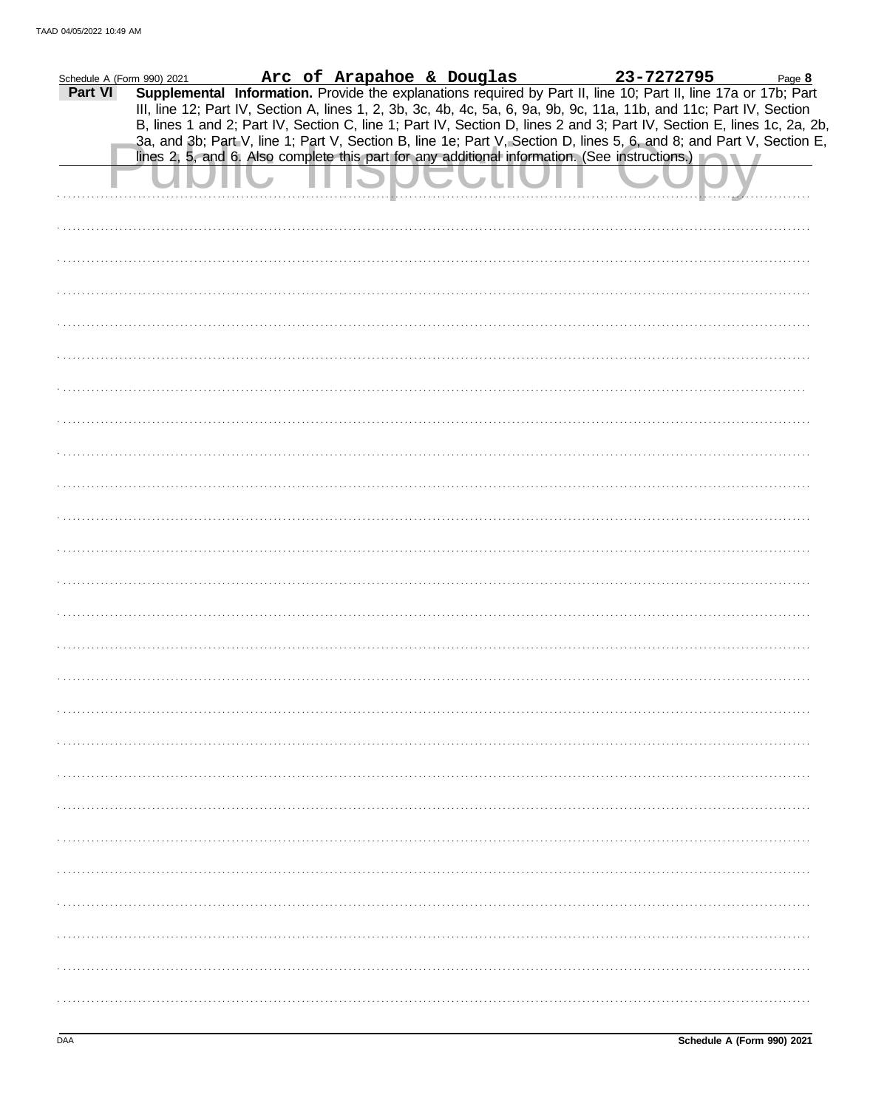| Schedule A (Form 990) 2021 | $\frac{1000}{2021}$ 2021 <b>Arc of Arapahoe &amp; Douglas</b> 23-7272795 Page 8 <b>Supplemental Information.</b> Provide the explanations required by Part II, line 10; Part II, line 17a or 17b; Part |  |  |  |  |  |  |  |
|----------------------------|--------------------------------------------------------------------------------------------------------------------------------------------------------------------------------------------------------|--|--|--|--|--|--|--|
| Part VI                    | III, line 12; Part IV, Section A, lines 1, 2, 3b, 3c, 4b, 4c, 5a, 6, 9a, 9b, 9c, 11a, 11b, and 11c; Part IV, Section                                                                                   |  |  |  |  |  |  |  |
|                            | B, lines 1 and 2; Part IV, Section C, line 1; Part IV, Section D, lines 2 and 3; Part IV, Section E, lines 1c, 2a, 2b,                                                                                 |  |  |  |  |  |  |  |
|                            | 3a, and 3b; Part V, line 1; Part V, Section B, line 1e; Part V, Section D, lines 5, 6, and 8; and Part V, Section E,                                                                                   |  |  |  |  |  |  |  |
|                            | lines 2, 5, and 6. Also complete this part for any additional information. (See instructions.)                                                                                                         |  |  |  |  |  |  |  |
|                            |                                                                                                                                                                                                        |  |  |  |  |  |  |  |
|                            |                                                                                                                                                                                                        |  |  |  |  |  |  |  |
|                            |                                                                                                                                                                                                        |  |  |  |  |  |  |  |
|                            |                                                                                                                                                                                                        |  |  |  |  |  |  |  |
|                            |                                                                                                                                                                                                        |  |  |  |  |  |  |  |
|                            |                                                                                                                                                                                                        |  |  |  |  |  |  |  |
|                            |                                                                                                                                                                                                        |  |  |  |  |  |  |  |
|                            |                                                                                                                                                                                                        |  |  |  |  |  |  |  |
|                            |                                                                                                                                                                                                        |  |  |  |  |  |  |  |
|                            |                                                                                                                                                                                                        |  |  |  |  |  |  |  |
|                            |                                                                                                                                                                                                        |  |  |  |  |  |  |  |
|                            |                                                                                                                                                                                                        |  |  |  |  |  |  |  |
|                            |                                                                                                                                                                                                        |  |  |  |  |  |  |  |
|                            |                                                                                                                                                                                                        |  |  |  |  |  |  |  |
|                            |                                                                                                                                                                                                        |  |  |  |  |  |  |  |
|                            |                                                                                                                                                                                                        |  |  |  |  |  |  |  |
|                            |                                                                                                                                                                                                        |  |  |  |  |  |  |  |
|                            |                                                                                                                                                                                                        |  |  |  |  |  |  |  |
|                            |                                                                                                                                                                                                        |  |  |  |  |  |  |  |
|                            |                                                                                                                                                                                                        |  |  |  |  |  |  |  |
|                            |                                                                                                                                                                                                        |  |  |  |  |  |  |  |
|                            |                                                                                                                                                                                                        |  |  |  |  |  |  |  |
|                            |                                                                                                                                                                                                        |  |  |  |  |  |  |  |
|                            |                                                                                                                                                                                                        |  |  |  |  |  |  |  |
|                            |                                                                                                                                                                                                        |  |  |  |  |  |  |  |
|                            |                                                                                                                                                                                                        |  |  |  |  |  |  |  |
|                            |                                                                                                                                                                                                        |  |  |  |  |  |  |  |
|                            |                                                                                                                                                                                                        |  |  |  |  |  |  |  |
|                            |                                                                                                                                                                                                        |  |  |  |  |  |  |  |
|                            |                                                                                                                                                                                                        |  |  |  |  |  |  |  |
|                            |                                                                                                                                                                                                        |  |  |  |  |  |  |  |
|                            |                                                                                                                                                                                                        |  |  |  |  |  |  |  |
|                            |                                                                                                                                                                                                        |  |  |  |  |  |  |  |
|                            |                                                                                                                                                                                                        |  |  |  |  |  |  |  |
|                            |                                                                                                                                                                                                        |  |  |  |  |  |  |  |
|                            |                                                                                                                                                                                                        |  |  |  |  |  |  |  |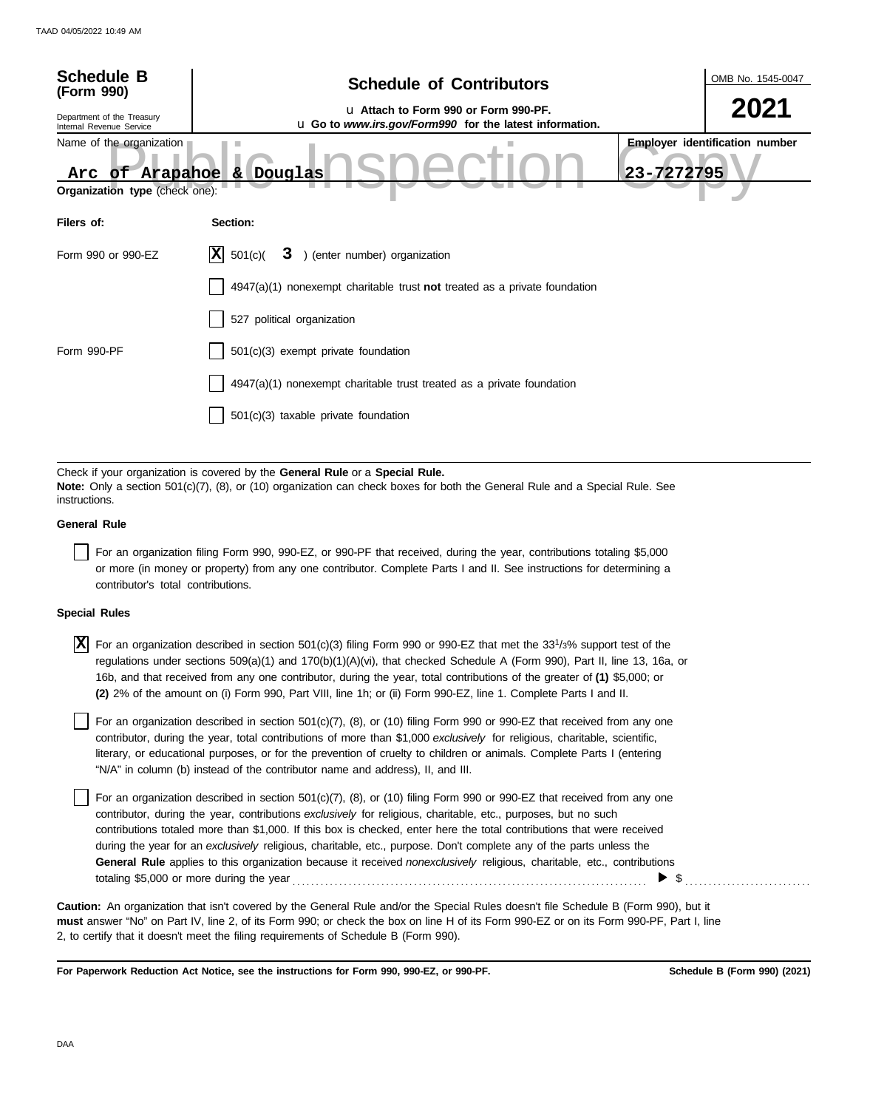| <b>Schedule B</b><br>(Form 990)                                                                                                                                                                                              | <b>Schedule of Contributors</b>                                                                  | OMB No. 1545-0047 |  |  |  |  |  |  |  |  |
|------------------------------------------------------------------------------------------------------------------------------------------------------------------------------------------------------------------------------|--------------------------------------------------------------------------------------------------|-------------------|--|--|--|--|--|--|--|--|
| Department of the Treasury<br>Internal Revenue Service                                                                                                                                                                       | La Attach to Form 990 or Form 990-PF.<br>u Go to www.irs.gov/Form990 for the latest information. | 2021              |  |  |  |  |  |  |  |  |
| <b>Employer identification number</b><br>Name of the organization<br>Arc of Arapahoe & Douglas<br>23-7272795<br>Organization type (check one):                                                                               |                                                                                                  |                   |  |  |  |  |  |  |  |  |
| Filers of:                                                                                                                                                                                                                   | Section:                                                                                         |                   |  |  |  |  |  |  |  |  |
| Form 990 or 990-EZ                                                                                                                                                                                                           | $ X $ 501(c)(<br>3 ) (enter number) organization                                                 |                   |  |  |  |  |  |  |  |  |
|                                                                                                                                                                                                                              | $4947(a)(1)$ nonexempt charitable trust not treated as a private foundation                      |                   |  |  |  |  |  |  |  |  |
|                                                                                                                                                                                                                              | 527 political organization                                                                       |                   |  |  |  |  |  |  |  |  |
| Form 990-PF                                                                                                                                                                                                                  | 501(c)(3) exempt private foundation                                                              |                   |  |  |  |  |  |  |  |  |
|                                                                                                                                                                                                                              | 4947(a)(1) nonexempt charitable trust treated as a private foundation                            |                   |  |  |  |  |  |  |  |  |
|                                                                                                                                                                                                                              | 501(c)(3) taxable private foundation                                                             |                   |  |  |  |  |  |  |  |  |
|                                                                                                                                                                                                                              |                                                                                                  |                   |  |  |  |  |  |  |  |  |
| Check if your organization is covered by the General Rule or a Special Rule.<br>Note: Only a section 501(c)(7), (8), or (10) organization can check boxes for both the General Rule and a Special Rule. See<br>instructions. |                                                                                                  |                   |  |  |  |  |  |  |  |  |
| <b>General Rule</b>                                                                                                                                                                                                          |                                                                                                  |                   |  |  |  |  |  |  |  |  |

For an organization filing Form 990, 990-EZ, or 990-PF that received, during the year, contributions totaling \$5,000 or more (in money or property) from any one contributor. Complete Parts I and II. See instructions for determining a contributor's total contributions.

## **Special Rules**

 $\overline{X}$  For an organization described in section 501(c)(3) filing Form 990 or 990-EZ that met the 33<sup>1</sup>/3% support test of the regulations under sections 509(a)(1) and 170(b)(1)(A)(vi), that checked Schedule A (Form 990), Part II, line 13, 16a, or 16b, and that received from any one contributor, during the year, total contributions of the greater of **(1)** \$5,000; or **(2)** 2% of the amount on (i) Form 990, Part VIII, line 1h; or (ii) Form 990-EZ, line 1. Complete Parts I and II.

literary, or educational purposes, or for the prevention of cruelty to children or animals. Complete Parts I (entering For an organization described in section  $501(c)(7)$ ,  $(8)$ , or  $(10)$  filing Form 990 or 990-EZ that received from any one contributor, during the year, total contributions of more than \$1,000 *exclusively* for religious, charitable, scientific, "N/A" in column (b) instead of the contributor name and address), II, and III.

For an organization described in section 501(c)(7), (8), or (10) filing Form 990 or 990-EZ that received from any one contributor, during the year, contributions *exclusively* for religious, charitable, etc., purposes, but no such contributions totaled more than \$1,000. If this box is checked, enter here the total contributions that were received during the year for an *exclusively* religious, charitable, etc., purpose. Don't complete any of the parts unless the **General Rule** applies to this organization because it received *nonexclusively* religious, charitable, etc., contributions totaling \$5,000 or more during the year . . . . . . . . . . . . . . . . . . . . . . . . . . . . . . . . . . . . . . . . . . . . . . . . . . . . . . . . . . . . . . . . . . . . . . . . . . . .  $\triangleright$  \$

**must** answer "No" on Part IV, line 2, of its Form 990; or check the box on line H of its Form 990-EZ or on its Form 990-PF, Part I, line 2, to certify that it doesn't meet the filing requirements of Schedule B (Form 990). **Caution:** An organization that isn't covered by the General Rule and/or the Special Rules doesn't file Schedule B (Form 990), but it

**For Paperwork Reduction Act Notice, see the instructions for Form 990, 990-EZ, or 990-PF.**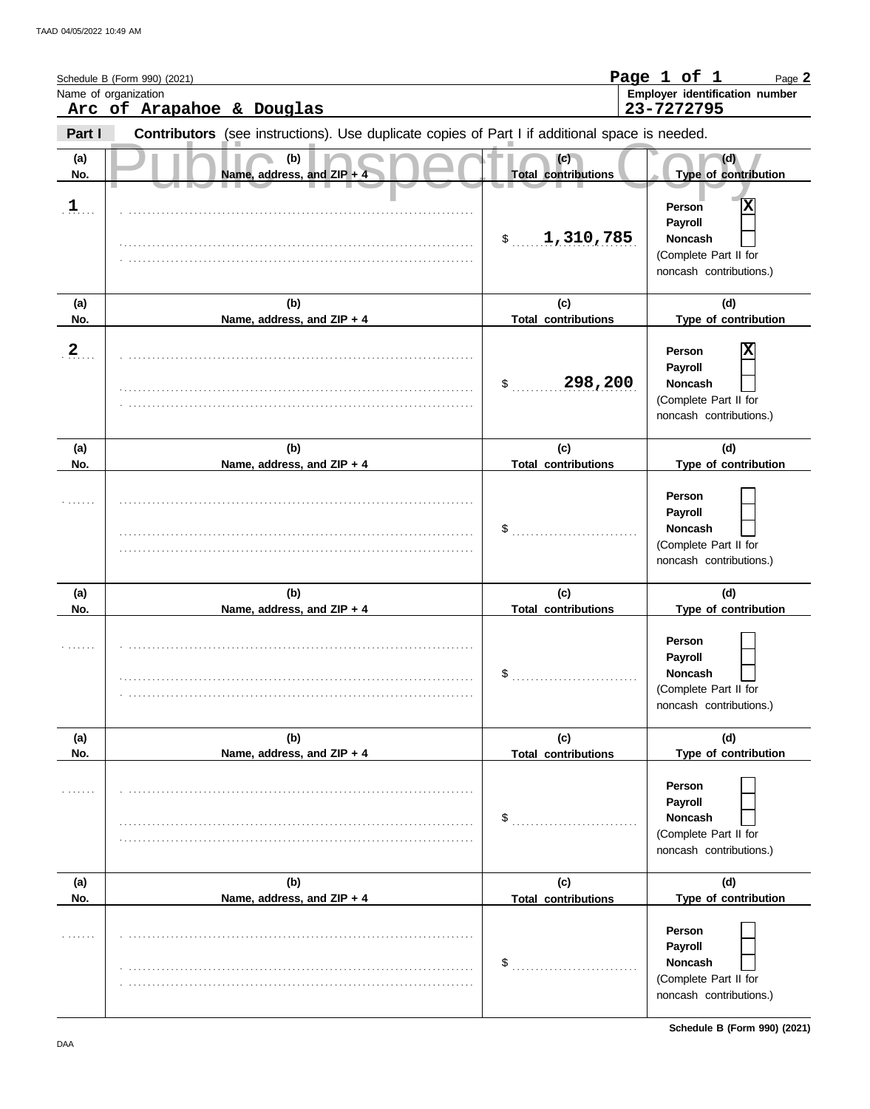|              | Schedule B (Form 990) (2021)<br>Name of organization<br>Arc of Arapahoe & Douglas              |                                   | Page 1 of 1<br>Page 2<br>Employer identification number<br>23-7272795                                           |
|--------------|------------------------------------------------------------------------------------------------|-----------------------------------|-----------------------------------------------------------------------------------------------------------------|
| Part I       | Contributors (see instructions). Use duplicate copies of Part I if additional space is needed. |                                   |                                                                                                                 |
| (a)<br>No.   | (b)<br>Name, address, and ZIP + 4                                                              | (c)<br><b>Total contributions</b> | (d)<br>Type of contribution                                                                                     |
| $\mathbf{1}$ |                                                                                                | \$1,310,785                       | Person<br>Payroll<br><b>Noncash</b><br>(Complete Part II for<br>noncash contributions.)                         |
| (a)<br>No.   | (b)<br>Name, address, and ZIP + 4                                                              | (c)<br><b>Total contributions</b> | (d)<br>Type of contribution                                                                                     |
| $\mathbf{2}$ |                                                                                                | 298,200<br>S.                     | Person<br>Payroll<br><b>Noncash</b><br>(Complete Part II for<br>noncash contributions.)                         |
| (a)<br>No.   | (b)<br>Name, address, and ZIP + 4                                                              | (c)<br><b>Total contributions</b> | (d)<br>Type of contribution                                                                                     |
|              |                                                                                                | \$                                | Person<br>Payroll<br><b>Noncash</b><br>(Complete Part II for<br>noncash contributions.)                         |
| (a)<br>No.   | (b)<br>Name, address, and ZIP + 4                                                              | (c)<br><b>Total contributions</b> | (d)<br>Type of contribution                                                                                     |
|              |                                                                                                | \$                                | Person<br>Payroll<br>Noncash<br>(Complete Part II for<br>noncash contributions.)                                |
| (a)          | (b)                                                                                            | (c)                               | (d)                                                                                                             |
| No.<br>.     | Name, address, and ZIP + 4                                                                     | <b>Total contributions</b><br>\$  | Type of contribution<br>Person<br>Payroll<br><b>Noncash</b><br>(Complete Part II for<br>noncash contributions.) |
| (a)<br>No.   | (b)<br>Name, address, and ZIP + 4                                                              | (c)<br><b>Total contributions</b> | (d)<br>Type of contribution                                                                                     |
|              |                                                                                                | \$                                | Person<br>Payroll<br>Noncash<br>(Complete Part II for<br>noncash contributions.)                                |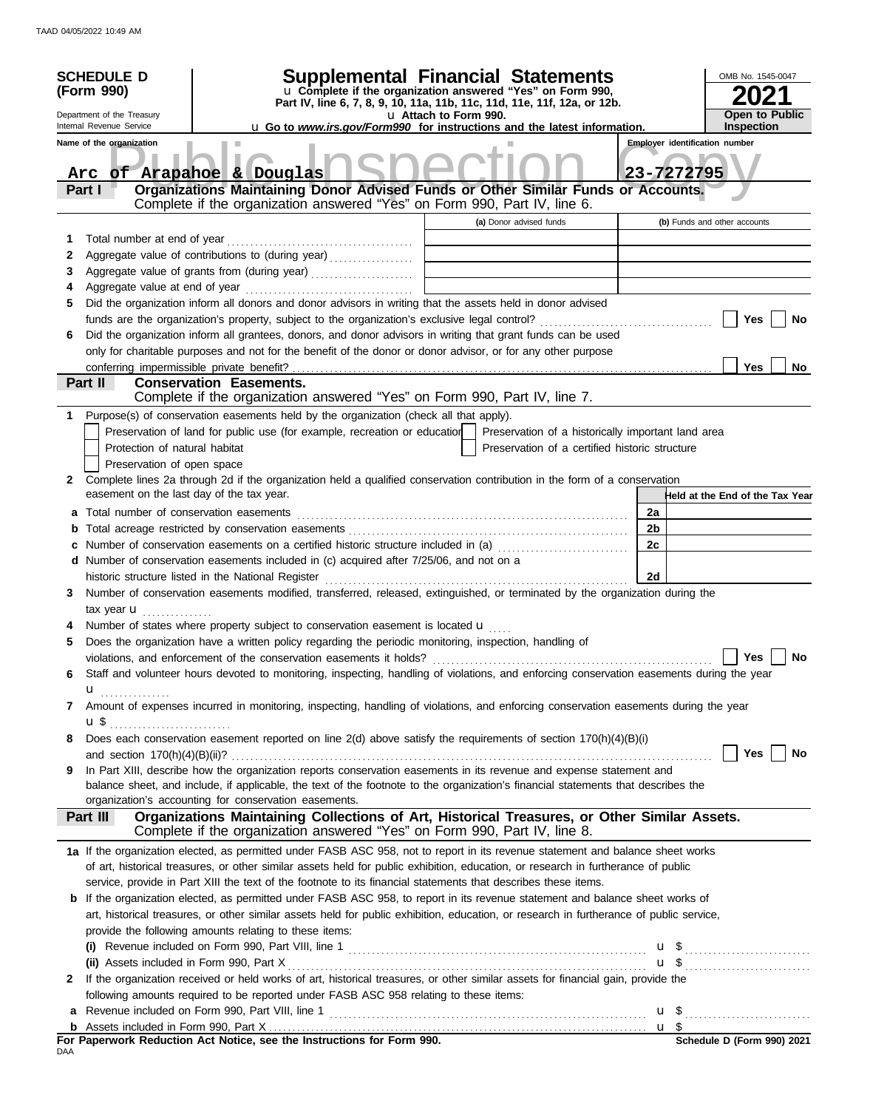| <b>SCHEDULE D</b><br>(Form 990)<br>Department of the Treasury                                               |                                                                                                                                                                                                                                                                                                                                 | Supplemental Financial Statements<br>u Complete if the organization answered "Yes" on Form 990,<br>Part IV, line 6, 7, 8, 9, 10, 11a, 11b, 11c, 11d, 11e, 11f, 12a, or 12b.<br>u Attach to Form 990.                           |    | OMB No. 1545-0047<br><b>Open to Public</b> |  |  |
|-------------------------------------------------------------------------------------------------------------|---------------------------------------------------------------------------------------------------------------------------------------------------------------------------------------------------------------------------------------------------------------------------------------------------------------------------------|--------------------------------------------------------------------------------------------------------------------------------------------------------------------------------------------------------------------------------|----|--------------------------------------------|--|--|
| Internal Revenue Service<br><b>u Go to www.irs.gov/Form990 for instructions and the latest information.</b> |                                                                                                                                                                                                                                                                                                                                 |                                                                                                                                                                                                                                |    | <b>Inspection</b>                          |  |  |
| <b>Employer identification number</b><br>Name of the organization                                           |                                                                                                                                                                                                                                                                                                                                 |                                                                                                                                                                                                                                |    |                                            |  |  |
| 23-7272795<br>Arc of Arapahoe & Douglas                                                                     |                                                                                                                                                                                                                                                                                                                                 |                                                                                                                                                                                                                                |    |                                            |  |  |
|                                                                                                             | Part I                                                                                                                                                                                                                                                                                                                          | Organizations Maintaining Donor Advised Funds or Other Similar Funds or Accounts.                                                                                                                                              |    |                                            |  |  |
|                                                                                                             |                                                                                                                                                                                                                                                                                                                                 | Complete if the organization answered "Yes" on Form 990, Part IV, line 6.                                                                                                                                                      |    |                                            |  |  |
|                                                                                                             |                                                                                                                                                                                                                                                                                                                                 | (a) Donor advised funds                                                                                                                                                                                                        |    | (b) Funds and other accounts               |  |  |
| 1                                                                                                           | Total number at end of year                                                                                                                                                                                                                                                                                                     |                                                                                                                                                                                                                                |    |                                            |  |  |
| 2                                                                                                           |                                                                                                                                                                                                                                                                                                                                 | Aggregate value of contributions to (during year)                                                                                                                                                                              |    |                                            |  |  |
| 3                                                                                                           |                                                                                                                                                                                                                                                                                                                                 | Aggregate value of grants from (during year)                                                                                                                                                                                   |    |                                            |  |  |
| 4                                                                                                           |                                                                                                                                                                                                                                                                                                                                 |                                                                                                                                                                                                                                |    |                                            |  |  |
| 5                                                                                                           |                                                                                                                                                                                                                                                                                                                                 | Did the organization inform all donors and donor advisors in writing that the assets held in donor advised                                                                                                                     |    |                                            |  |  |
|                                                                                                             |                                                                                                                                                                                                                                                                                                                                 |                                                                                                                                                                                                                                |    | Yes<br>No                                  |  |  |
| 6                                                                                                           |                                                                                                                                                                                                                                                                                                                                 | Did the organization inform all grantees, donors, and donor advisors in writing that grant funds can be used                                                                                                                   |    |                                            |  |  |
|                                                                                                             |                                                                                                                                                                                                                                                                                                                                 | only for charitable purposes and not for the benefit of the donor or donor advisor, or for any other purpose                                                                                                                   |    |                                            |  |  |
|                                                                                                             |                                                                                                                                                                                                                                                                                                                                 |                                                                                                                                                                                                                                |    | <b>Yes</b><br>No                           |  |  |
|                                                                                                             | Part II                                                                                                                                                                                                                                                                                                                         | <b>Conservation Easements.</b>                                                                                                                                                                                                 |    |                                            |  |  |
|                                                                                                             |                                                                                                                                                                                                                                                                                                                                 | Complete if the organization answered "Yes" on Form 990, Part IV, line 7.                                                                                                                                                      |    |                                            |  |  |
| 1.                                                                                                          |                                                                                                                                                                                                                                                                                                                                 | Purpose(s) of conservation easements held by the organization (check all that apply).                                                                                                                                          |    |                                            |  |  |
|                                                                                                             |                                                                                                                                                                                                                                                                                                                                 |                                                                                                                                                                                                                                |    |                                            |  |  |
|                                                                                                             |                                                                                                                                                                                                                                                                                                                                 | Preservation of land for public use (for example, recreation or education<br>Preservation of a historically important land area                                                                                                |    |                                            |  |  |
|                                                                                                             | Protection of natural habitat                                                                                                                                                                                                                                                                                                   | Preservation of a certified historic structure                                                                                                                                                                                 |    |                                            |  |  |
|                                                                                                             | Preservation of open space                                                                                                                                                                                                                                                                                                      |                                                                                                                                                                                                                                |    |                                            |  |  |
| 2                                                                                                           |                                                                                                                                                                                                                                                                                                                                 | Complete lines 2a through 2d if the organization held a qualified conservation contribution in the form of a conservation                                                                                                      |    |                                            |  |  |
|                                                                                                             | easement on the last day of the tax year.                                                                                                                                                                                                                                                                                       |                                                                                                                                                                                                                                |    | Held at the End of the Tax Year            |  |  |
|                                                                                                             |                                                                                                                                                                                                                                                                                                                                 | a Total number of conservation easements [11] matter contracts and a set of conservation of conservation easements [11] matter conservation except a set of conservation except a set of conservation of a set of conservation | 2a |                                            |  |  |
| b                                                                                                           |                                                                                                                                                                                                                                                                                                                                 |                                                                                                                                                                                                                                | 2b |                                            |  |  |
| C                                                                                                           |                                                                                                                                                                                                                                                                                                                                 | Number of conservation easements on a certified historic structure included in (a)                                                                                                                                             | 2c |                                            |  |  |
|                                                                                                             |                                                                                                                                                                                                                                                                                                                                 | d Number of conservation easements included in (c) acquired after 7/25/06, and not on a                                                                                                                                        |    |                                            |  |  |
|                                                                                                             |                                                                                                                                                                                                                                                                                                                                 | historic structure listed in the National Register                                                                                                                                                                             | 2d |                                            |  |  |
| 3                                                                                                           |                                                                                                                                                                                                                                                                                                                                 | Number of conservation easements modified, transferred, released, extinguished, or terminated by the organization during the                                                                                                   |    |                                            |  |  |
|                                                                                                             | tax year <b>u</b>                                                                                                                                                                                                                                                                                                               |                                                                                                                                                                                                                                |    |                                            |  |  |
|                                                                                                             |                                                                                                                                                                                                                                                                                                                                 | Number of states where property subject to conservation easement is located $\mathbf u$                                                                                                                                        |    |                                            |  |  |
| 5                                                                                                           |                                                                                                                                                                                                                                                                                                                                 |                                                                                                                                                                                                                                |    |                                            |  |  |
|                                                                                                             | Does the organization have a written policy regarding the periodic monitoring, inspection, handling of                                                                                                                                                                                                                          |                                                                                                                                                                                                                                |    |                                            |  |  |
|                                                                                                             | Yes<br>No<br>violations, and enforcement of the conservation easements it holds?<br>Staff and volunteer hours devoted to monitoring, inspecting, handling of violations, and enforcing conservation easements during the year                                                                                                   |                                                                                                                                                                                                                                |    |                                            |  |  |
| 6                                                                                                           |                                                                                                                                                                                                                                                                                                                                 |                                                                                                                                                                                                                                |    |                                            |  |  |
|                                                                                                             | $\mathbf u$ and $\mathbf u$ and $\mathbf u$ and $\mathbf u$ and $\mathbf u$ and $\mathbf u$ and $\mathbf u$ and $\mathbf u$ and $\mathbf u$ and $\mathbf u$ and $\mathbf u$ and $\mathbf u$ and $\mathbf u$ and $\mathbf u$ and $\mathbf u$ and $\mathbf u$ and $\mathbf u$ and $\mathbf u$ and $\mathbf u$ and $\mathbf u$ and |                                                                                                                                                                                                                                |    |                                            |  |  |
| 7                                                                                                           |                                                                                                                                                                                                                                                                                                                                 | Amount of expenses incurred in monitoring, inspecting, handling of violations, and enforcing conservation easements during the year                                                                                            |    |                                            |  |  |
|                                                                                                             |                                                                                                                                                                                                                                                                                                                                 |                                                                                                                                                                                                                                |    |                                            |  |  |
| 8                                                                                                           |                                                                                                                                                                                                                                                                                                                                 | Does each conservation easement reported on line 2(d) above satisfy the requirements of section 170(h)(4)(B)(i)                                                                                                                |    |                                            |  |  |
|                                                                                                             |                                                                                                                                                                                                                                                                                                                                 |                                                                                                                                                                                                                                |    | Yes  <br>No                                |  |  |
| 9                                                                                                           |                                                                                                                                                                                                                                                                                                                                 | In Part XIII, describe how the organization reports conservation easements in its revenue and expense statement and                                                                                                            |    |                                            |  |  |
|                                                                                                             |                                                                                                                                                                                                                                                                                                                                 | balance sheet, and include, if applicable, the text of the footnote to the organization's financial statements that describes the                                                                                              |    |                                            |  |  |
|                                                                                                             |                                                                                                                                                                                                                                                                                                                                 | organization's accounting for conservation easements.                                                                                                                                                                          |    |                                            |  |  |
|                                                                                                             | <b>Part III</b>                                                                                                                                                                                                                                                                                                                 | Organizations Maintaining Collections of Art, Historical Treasures, or Other Similar Assets.                                                                                                                                   |    |                                            |  |  |
|                                                                                                             |                                                                                                                                                                                                                                                                                                                                 | Complete if the organization answered "Yes" on Form 990, Part IV, line 8.                                                                                                                                                      |    |                                            |  |  |
|                                                                                                             |                                                                                                                                                                                                                                                                                                                                 | 1a If the organization elected, as permitted under FASB ASC 958, not to report in its revenue statement and balance sheet works                                                                                                |    |                                            |  |  |
|                                                                                                             |                                                                                                                                                                                                                                                                                                                                 | of art, historical treasures, or other similar assets held for public exhibition, education, or research in furtherance of public                                                                                              |    |                                            |  |  |
|                                                                                                             |                                                                                                                                                                                                                                                                                                                                 | service, provide in Part XIII the text of the footnote to its financial statements that describes these items.                                                                                                                 |    |                                            |  |  |
|                                                                                                             |                                                                                                                                                                                                                                                                                                                                 | <b>b</b> If the organization elected, as permitted under FASB ASC 958, to report in its revenue statement and balance sheet works of                                                                                           |    |                                            |  |  |
|                                                                                                             |                                                                                                                                                                                                                                                                                                                                 | art, historical treasures, or other similar assets held for public exhibition, education, or research in furtherance of public service,                                                                                        |    |                                            |  |  |
|                                                                                                             |                                                                                                                                                                                                                                                                                                                                 | provide the following amounts relating to these items:                                                                                                                                                                         |    |                                            |  |  |
|                                                                                                             |                                                                                                                                                                                                                                                                                                                                 |                                                                                                                                                                                                                                |    |                                            |  |  |
|                                                                                                             |                                                                                                                                                                                                                                                                                                                                 |                                                                                                                                                                                                                                |    | $\mathbf{u}$ \$                            |  |  |
|                                                                                                             |                                                                                                                                                                                                                                                                                                                                 |                                                                                                                                                                                                                                |    | $\mathbf{u}$ \$                            |  |  |
| 2                                                                                                           |                                                                                                                                                                                                                                                                                                                                 | If the organization received or held works of art, historical treasures, or other similar assets for financial gain, provide the                                                                                               |    |                                            |  |  |
|                                                                                                             | following amounts required to be reported under FASB ASC 958 relating to these items:                                                                                                                                                                                                                                           |                                                                                                                                                                                                                                |    |                                            |  |  |
|                                                                                                             |                                                                                                                                                                                                                                                                                                                                 |                                                                                                                                                                                                                                |    |                                            |  |  |
|                                                                                                             |                                                                                                                                                                                                                                                                                                                                 |                                                                                                                                                                                                                                |    |                                            |  |  |
| DAA                                                                                                         |                                                                                                                                                                                                                                                                                                                                 | For Paperwork Reduction Act Notice, see the Instructions for Form 990.                                                                                                                                                         |    | Schedule D (Form 990) 2021                 |  |  |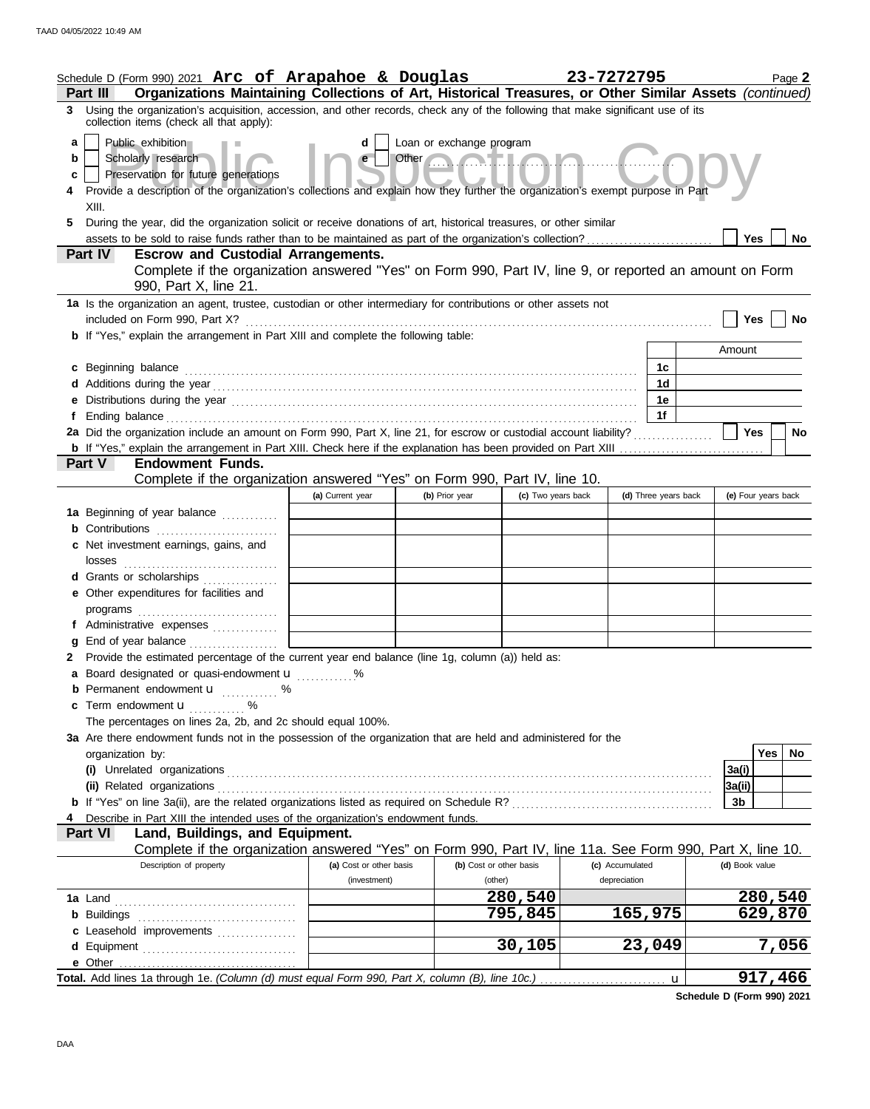|                  | Schedule D (Form 990) 2021 Arc of Arapahoe & Douglas<br>Organizations Maintaining Collections of Art, Historical Treasures, or Other Similar Assets (continued)<br>Part III                                                                                                                                                                                                                                                                           |                         |                |                         | 23-7272795           | Page 2              |
|------------------|-------------------------------------------------------------------------------------------------------------------------------------------------------------------------------------------------------------------------------------------------------------------------------------------------------------------------------------------------------------------------------------------------------------------------------------------------------|-------------------------|----------------|-------------------------|----------------------|---------------------|
|                  | 3 Using the organization's acquisition, accession, and other records, check any of the following that make significant use of its                                                                                                                                                                                                                                                                                                                     |                         |                |                         |                      |                     |
| a<br>b<br>c<br>5 | collection items (check all that apply):<br>Public exhibition<br>Loan or exchange program<br>Other <b>Contract Lines</b><br>Scholarly research<br>Preservation for future generations<br>Provide a description of the organization's collections and explain how they further the organization's exempt purpose in Part<br>XIII.<br>During the year, did the organization solicit or receive donations of art, historical treasures, or other similar |                         |                |                         |                      |                     |
|                  | assets to be sold to raise funds rather than to be maintained as part of the organization's collection?<br><b>Escrow and Custodial Arrangements.</b><br><b>Part IV</b>                                                                                                                                                                                                                                                                                |                         |                |                         |                      | Yes<br>No           |
|                  | Complete if the organization answered "Yes" on Form 990, Part IV, line 9, or reported an amount on Form<br>990, Part X, line 21.                                                                                                                                                                                                                                                                                                                      |                         |                |                         |                      |                     |
|                  | 1a Is the organization an agent, trustee, custodian or other intermediary for contributions or other assets not                                                                                                                                                                                                                                                                                                                                       |                         |                |                         |                      |                     |
|                  | included on Form 990, Part X?                                                                                                                                                                                                                                                                                                                                                                                                                         |                         |                |                         |                      | Yes<br>No           |
|                  | <b>b</b> If "Yes," explain the arrangement in Part XIII and complete the following table:                                                                                                                                                                                                                                                                                                                                                             |                         |                |                         |                      |                     |
|                  |                                                                                                                                                                                                                                                                                                                                                                                                                                                       |                         |                |                         |                      | Amount              |
|                  | c Beginning balance                                                                                                                                                                                                                                                                                                                                                                                                                                   |                         |                |                         | 1с.<br>1d            |                     |
|                  |                                                                                                                                                                                                                                                                                                                                                                                                                                                       |                         |                |                         | 1е                   |                     |
|                  |                                                                                                                                                                                                                                                                                                                                                                                                                                                       |                         |                |                         | 1f                   |                     |
|                  | 2a Did the organization include an amount on Form 990, Part X, line 21, for escrow or custodial account liability?                                                                                                                                                                                                                                                                                                                                    |                         |                |                         |                      | Yes<br>No           |
|                  |                                                                                                                                                                                                                                                                                                                                                                                                                                                       |                         |                |                         |                      |                     |
|                  | <b>Endowment Funds.</b><br><b>Part V</b>                                                                                                                                                                                                                                                                                                                                                                                                              |                         |                |                         |                      |                     |
|                  | Complete if the organization answered "Yes" on Form 990, Part IV, line 10.                                                                                                                                                                                                                                                                                                                                                                            |                         |                |                         | (d) Three years back | (e) Four years back |
|                  | 1a Beginning of year balance                                                                                                                                                                                                                                                                                                                                                                                                                          | (a) Current year        | (b) Prior year | (c) Two years back      |                      |                     |
|                  |                                                                                                                                                                                                                                                                                                                                                                                                                                                       |                         |                |                         |                      |                     |
|                  | c Net investment earnings, gains, and                                                                                                                                                                                                                                                                                                                                                                                                                 |                         |                |                         |                      |                     |
|                  |                                                                                                                                                                                                                                                                                                                                                                                                                                                       |                         |                |                         |                      |                     |
|                  | d Grants or scholarships                                                                                                                                                                                                                                                                                                                                                                                                                              |                         |                |                         |                      |                     |
|                  | e Other expenditures for facilities and                                                                                                                                                                                                                                                                                                                                                                                                               |                         |                |                         |                      |                     |
|                  | programs                                                                                                                                                                                                                                                                                                                                                                                                                                              |                         |                |                         |                      |                     |
|                  | f Administrative expenses                                                                                                                                                                                                                                                                                                                                                                                                                             |                         |                |                         |                      |                     |
|                  | g End of year balance<br>2 Provide the estimated percentage of the current year end balance (line 1g, column (a)) held as:                                                                                                                                                                                                                                                                                                                            |                         |                |                         |                      |                     |
|                  | a Board designated or quasi-endowment u                                                                                                                                                                                                                                                                                                                                                                                                               |                         |                |                         |                      |                     |
|                  | <b>b</b> Permanent endowment <b>u</b> %                                                                                                                                                                                                                                                                                                                                                                                                               |                         |                |                         |                      |                     |
|                  | c Term endowment <b>u</b> %                                                                                                                                                                                                                                                                                                                                                                                                                           |                         |                |                         |                      |                     |
|                  | The percentages on lines 2a, 2b, and 2c should equal 100%.                                                                                                                                                                                                                                                                                                                                                                                            |                         |                |                         |                      |                     |
|                  | 3a Are there endowment funds not in the possession of the organization that are held and administered for the                                                                                                                                                                                                                                                                                                                                         |                         |                |                         |                      |                     |
|                  | organization by:                                                                                                                                                                                                                                                                                                                                                                                                                                      |                         |                |                         |                      | Yes   No            |
|                  |                                                                                                                                                                                                                                                                                                                                                                                                                                                       |                         |                |                         |                      | 3a(i)               |
|                  |                                                                                                                                                                                                                                                                                                                                                                                                                                                       |                         |                |                         |                      | 3a(ii)<br>3b        |
|                  |                                                                                                                                                                                                                                                                                                                                                                                                                                                       |                         |                |                         |                      |                     |
|                  | Describe in Part XIII the intended uses of the organization's endowment funds.<br>Land, Buildings, and Equipment.<br><b>Part VI</b>                                                                                                                                                                                                                                                                                                                   |                         |                |                         |                      |                     |
|                  | Complete if the organization answered "Yes" on Form 990, Part IV, line 11a. See Form 990, Part X, line 10.                                                                                                                                                                                                                                                                                                                                            |                         |                |                         |                      |                     |
|                  | Description of property                                                                                                                                                                                                                                                                                                                                                                                                                               | (a) Cost or other basis |                | (b) Cost or other basis | (c) Accumulated      | (d) Book value      |
|                  |                                                                                                                                                                                                                                                                                                                                                                                                                                                       | (investment)            |                | (other)                 | depreciation         |                     |
|                  |                                                                                                                                                                                                                                                                                                                                                                                                                                                       |                         |                | 280,540                 |                      | 280,540             |
|                  |                                                                                                                                                                                                                                                                                                                                                                                                                                                       |                         |                | 795,845                 | 165,975              | 629,870             |
|                  | c Leasehold improvements                                                                                                                                                                                                                                                                                                                                                                                                                              |                         |                | 30,105                  | 23,049               | 7,056               |
|                  | e Other                                                                                                                                                                                                                                                                                                                                                                                                                                               |                         |                |                         |                      |                     |
|                  | Total. Add lines 1a through 1e. (Column (d) must equal Form 990, Part X, column (B), line 10c.)                                                                                                                                                                                                                                                                                                                                                       |                         |                |                         | u                    | 917,466             |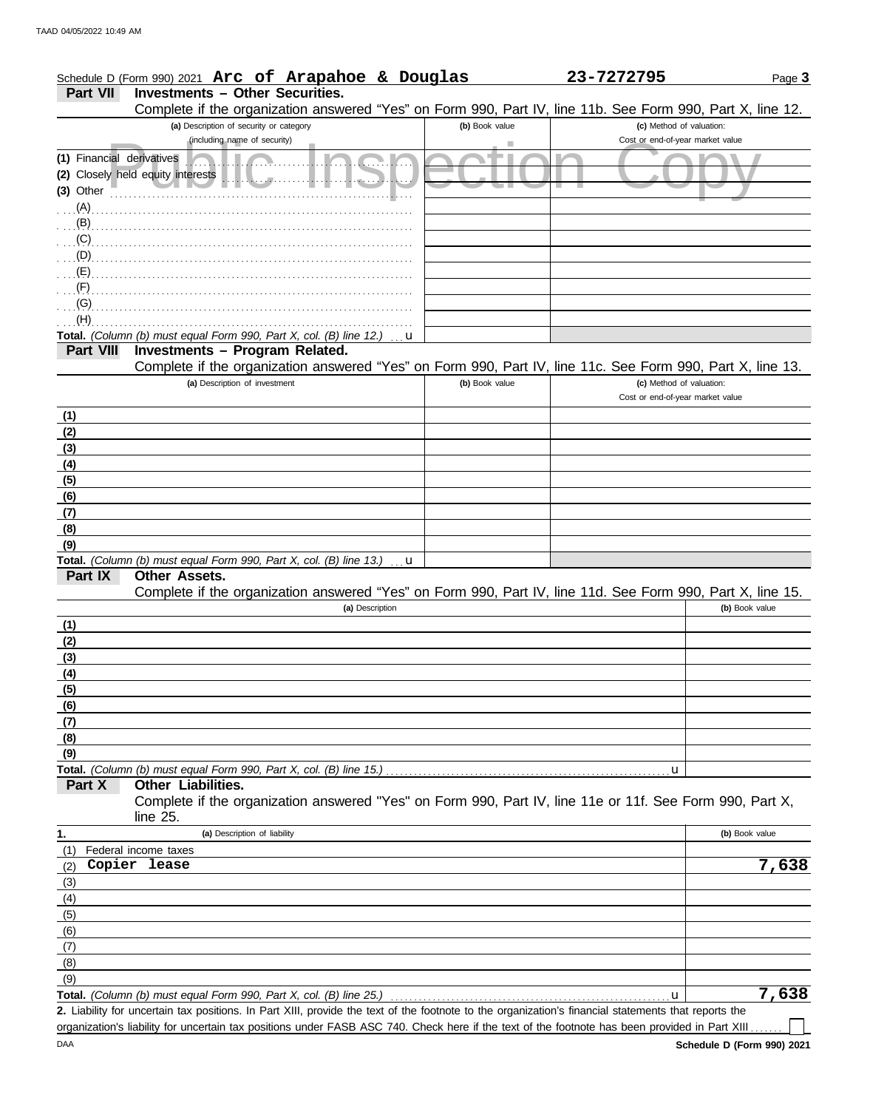|                                        | Schedule D (Form 990) 2021 Arc of Arapahoe & Douglas                                                                                                 |                 |                | 23-7272795                       | Page 3         |
|----------------------------------------|------------------------------------------------------------------------------------------------------------------------------------------------------|-----------------|----------------|----------------------------------|----------------|
| <b>Part VII</b>                        | <b>Investments - Other Securities.</b><br>Complete if the organization answered "Yes" on Form 990, Part IV, line 11b. See Form 990, Part X, line 12. |                 |                |                                  |                |
|                                        | (a) Description of security or category                                                                                                              |                 | (b) Book value | (c) Method of valuation:         |                |
|                                        | (including name of security)                                                                                                                         |                 | ٠              | Cost or end-of-year market value |                |
| (1) Financial derivatives<br>(3) Other | (2) Closely held equity interests<br>$\mathbb{R}$                                                                                                    | $\mathbf{u}$    | de p           | <b>Marina</b>                    |                |
|                                        |                                                                                                                                                      |                 |                |                                  |                |
| (B)                                    |                                                                                                                                                      |                 |                |                                  |                |
| (C)                                    |                                                                                                                                                      |                 |                |                                  |                |
| (D)                                    |                                                                                                                                                      |                 |                |                                  |                |
| (E)                                    |                                                                                                                                                      |                 |                |                                  |                |
|                                        |                                                                                                                                                      |                 |                |                                  |                |
| (G)                                    |                                                                                                                                                      |                 |                |                                  |                |
| (H)                                    | Total. (Column (b) must equal Form 990, Part X, col. (B) line 12.)                                                                                   |                 |                |                                  |                |
| <b>Part VIII</b>                       | Investments - Program Related.                                                                                                                       | u               |                |                                  |                |
|                                        | Complete if the organization answered "Yes" on Form 990, Part IV, line 11c. See Form 990, Part X, line 13.                                           |                 |                |                                  |                |
|                                        | (a) Description of investment                                                                                                                        |                 | (b) Book value | (c) Method of valuation:         |                |
|                                        |                                                                                                                                                      |                 |                | Cost or end-of-year market value |                |
| (1)                                    |                                                                                                                                                      |                 |                |                                  |                |
| (2)                                    |                                                                                                                                                      |                 |                |                                  |                |
| (3)                                    |                                                                                                                                                      |                 |                |                                  |                |
| (4)                                    |                                                                                                                                                      |                 |                |                                  |                |
| (5)                                    |                                                                                                                                                      |                 |                |                                  |                |
| (6)                                    |                                                                                                                                                      |                 |                |                                  |                |
| (7)                                    |                                                                                                                                                      |                 |                |                                  |                |
| (8)                                    |                                                                                                                                                      |                 |                |                                  |                |
| (9)                                    |                                                                                                                                                      |                 |                |                                  |                |
|                                        | Total. (Column (b) must equal Form 990, Part X, col. (B) line 13.)                                                                                   | u               |                |                                  |                |
| Part IX                                | Other Assets.<br>Complete if the organization answered "Yes" on Form 990, Part IV, line 11d. See Form 990, Part X, line 15.                          |                 |                |                                  |                |
|                                        |                                                                                                                                                      | (a) Description |                |                                  | (b) Book value |
| (1)                                    |                                                                                                                                                      |                 |                |                                  |                |
| (2)                                    |                                                                                                                                                      |                 |                |                                  |                |
| (3)                                    |                                                                                                                                                      |                 |                |                                  |                |
| (4)                                    |                                                                                                                                                      |                 |                |                                  |                |
| (5)                                    |                                                                                                                                                      |                 |                |                                  |                |
| (6)<br>(7)                             |                                                                                                                                                      |                 |                |                                  |                |
| (8)                                    |                                                                                                                                                      |                 |                |                                  |                |
| (9)                                    |                                                                                                                                                      |                 |                |                                  |                |
|                                        |                                                                                                                                                      |                 |                | u                                |                |
| Part X                                 | <b>Other Liabilities.</b>                                                                                                                            |                 |                |                                  |                |
|                                        | Complete if the organization answered "Yes" on Form 990, Part IV, line 11e or 11f. See Form 990, Part X,<br>line 25.                                 |                 |                |                                  |                |
| 1.                                     | (a) Description of liability                                                                                                                         |                 |                |                                  | (b) Book value |
| (1)                                    | Federal income taxes                                                                                                                                 |                 |                |                                  |                |
| (2)                                    | Copier lease                                                                                                                                         |                 |                |                                  | 7,638          |
| (3)                                    |                                                                                                                                                      |                 |                |                                  |                |
| (4)                                    |                                                                                                                                                      |                 |                |                                  |                |
| (5)                                    |                                                                                                                                                      |                 |                |                                  |                |
| (6)                                    |                                                                                                                                                      |                 |                |                                  |                |
| (7)                                    |                                                                                                                                                      |                 |                |                                  |                |
| (8)                                    |                                                                                                                                                      |                 |                |                                  |                |

Total. *(Column (b) must equal Form 990, Part X, col. (B) line 25.)* (9)

Liability for uncertain tax positions. In Part XIII, provide the text of the footnote to the organization's financial statements that reports the **2.**

**7,638**

 $\Box$ 

u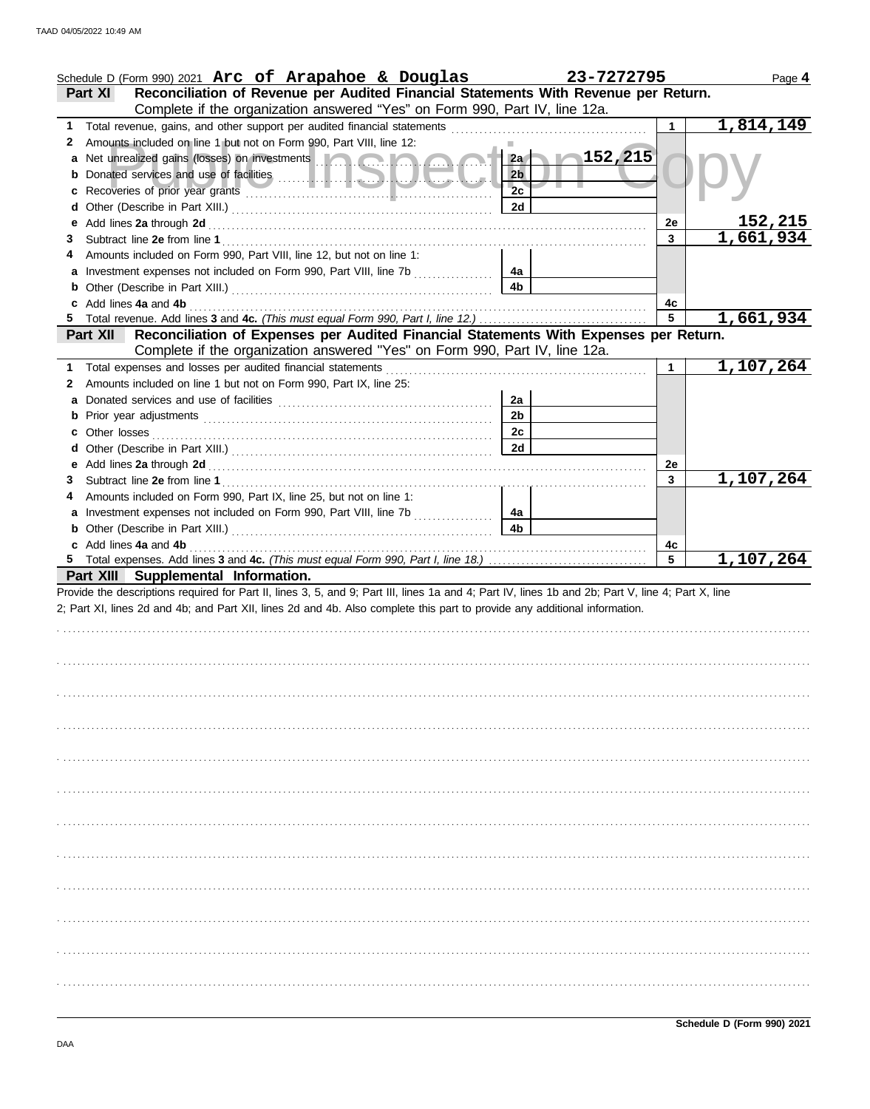|    | Schedule D (Form 990) 2021 Arc of Arapahoe & Douglas                                                                                                                                                                                 | 23-7272795           |    | Page 4         |
|----|--------------------------------------------------------------------------------------------------------------------------------------------------------------------------------------------------------------------------------------|----------------------|----|----------------|
|    | Reconciliation of Revenue per Audited Financial Statements With Revenue per Return.<br><b>Part XI</b>                                                                                                                                |                      |    |                |
|    | Complete if the organization answered "Yes" on Form 990, Part IV, line 12a.                                                                                                                                                          |                      |    |                |
| 1. | Total revenue, gains, and other support per audited financial statements                                                                                                                                                             |                      |    | 1,814,149      |
| 2  | Amounts included on line 1 but not on Form 990, Part VIII, line 12:                                                                                                                                                                  |                      |    |                |
| а  | Net unrealized gains (losses) on investments <b>and the contract of the contract of the contract of the contract of the contract of the contract of the contract of the contract of the contract of the contract of the contract</b> | 152,215<br>2a        |    |                |
|    |                                                                                                                                                                                                                                      | 2 <sub>b</sub>       |    |                |
| с  |                                                                                                                                                                                                                                      | 2c                   |    |                |
| d  |                                                                                                                                                                                                                                      | 2d                   |    |                |
| е  |                                                                                                                                                                                                                                      |                      | 2e | <u>152,215</u> |
| 3  |                                                                                                                                                                                                                                      |                      | 3  | 1,661,934      |
|    | Amounts included on Form 990, Part VIII, line 12, but not on line 1:                                                                                                                                                                 |                      |    |                |
|    | Investment expenses not included on Form 990, Part VIII, line 7b                                                                                                                                                                     | 4a                   |    |                |
|    |                                                                                                                                                                                                                                      | 4 <sub>b</sub>       |    |                |
|    | Add lines 4a and 4b                                                                                                                                                                                                                  |                      | 4с |                |
| 5  |                                                                                                                                                                                                                                      |                      | 5  | 1,661,934      |
|    | Reconciliation of Expenses per Audited Financial Statements With Expenses per Return.<br><b>Part XII</b>                                                                                                                             |                      |    |                |
|    | Complete if the organization answered "Yes" on Form 990, Part IV, line 12a.                                                                                                                                                          |                      |    |                |
| 1  | Total expenses and losses per audited financial statements                                                                                                                                                                           |                      | 1  | 1,107,264      |
| 2  | Amounts included on line 1 but not on Form 990, Part IX, line 25:                                                                                                                                                                    |                      |    |                |
|    |                                                                                                                                                                                                                                      | 2a                   |    |                |
|    |                                                                                                                                                                                                                                      | 2 <sub>b</sub>       |    |                |
|    |                                                                                                                                                                                                                                      | 2c                   |    |                |
| с  | Other losses                                                                                                                                                                                                                         | 2d                   |    |                |
| d  |                                                                                                                                                                                                                                      |                      |    |                |
| е  |                                                                                                                                                                                                                                      |                      | 2e | 1,107,264      |
| З  |                                                                                                                                                                                                                                      |                      | 3  |                |
|    | Amounts included on Form 990, Part IX, line 25, but not on line 1:                                                                                                                                                                   |                      |    |                |
|    | Investment expenses not included on Form 990, Part VIII, line 7b<br>an an Dùbhlachd an Dùbhaidh.<br>Bailtean an Dùbhaidh an Dùbhaidh an Dùbhaidh an Dùbhaidh an Dùbhaidh an Dùbhaidh an Dùbhaidh an Dùbhaidh.                        | 4a<br>4 <sub>b</sub> |    |                |
|    |                                                                                                                                                                                                                                      |                      |    |                |
| b  |                                                                                                                                                                                                                                      |                      |    |                |
|    | c Add lines 4a and 4b                                                                                                                                                                                                                |                      | 4c |                |
|    |                                                                                                                                                                                                                                      |                      | 5  | 1,107,264      |
|    | Part XIII Supplemental Information.                                                                                                                                                                                                  |                      |    |                |
|    | Provide the descriptions required for Part II, lines 3, 5, and 9; Part III, lines 1a and 4; Part IV, lines 1b and 2b; Part V, line 4; Part X, line                                                                                   |                      |    |                |
|    | 2; Part XI, lines 2d and 4b; and Part XII, lines 2d and 4b. Also complete this part to provide any additional information.                                                                                                           |                      |    |                |
|    |                                                                                                                                                                                                                                      |                      |    |                |
|    |                                                                                                                                                                                                                                      |                      |    |                |
|    |                                                                                                                                                                                                                                      |                      |    |                |
|    |                                                                                                                                                                                                                                      |                      |    |                |
|    |                                                                                                                                                                                                                                      |                      |    |                |
|    |                                                                                                                                                                                                                                      |                      |    |                |
|    |                                                                                                                                                                                                                                      |                      |    |                |
|    |                                                                                                                                                                                                                                      |                      |    |                |
|    |                                                                                                                                                                                                                                      |                      |    |                |
|    |                                                                                                                                                                                                                                      |                      |    |                |
|    |                                                                                                                                                                                                                                      |                      |    |                |
|    |                                                                                                                                                                                                                                      |                      |    |                |
|    |                                                                                                                                                                                                                                      |                      |    |                |
|    |                                                                                                                                                                                                                                      |                      |    |                |
|    |                                                                                                                                                                                                                                      |                      |    |                |
|    |                                                                                                                                                                                                                                      |                      |    |                |
|    |                                                                                                                                                                                                                                      |                      |    |                |
|    |                                                                                                                                                                                                                                      |                      |    |                |
|    |                                                                                                                                                                                                                                      |                      |    |                |
|    |                                                                                                                                                                                                                                      |                      |    |                |
|    |                                                                                                                                                                                                                                      |                      |    |                |
|    |                                                                                                                                                                                                                                      |                      |    |                |
|    |                                                                                                                                                                                                                                      |                      |    |                |
|    |                                                                                                                                                                                                                                      |                      |    |                |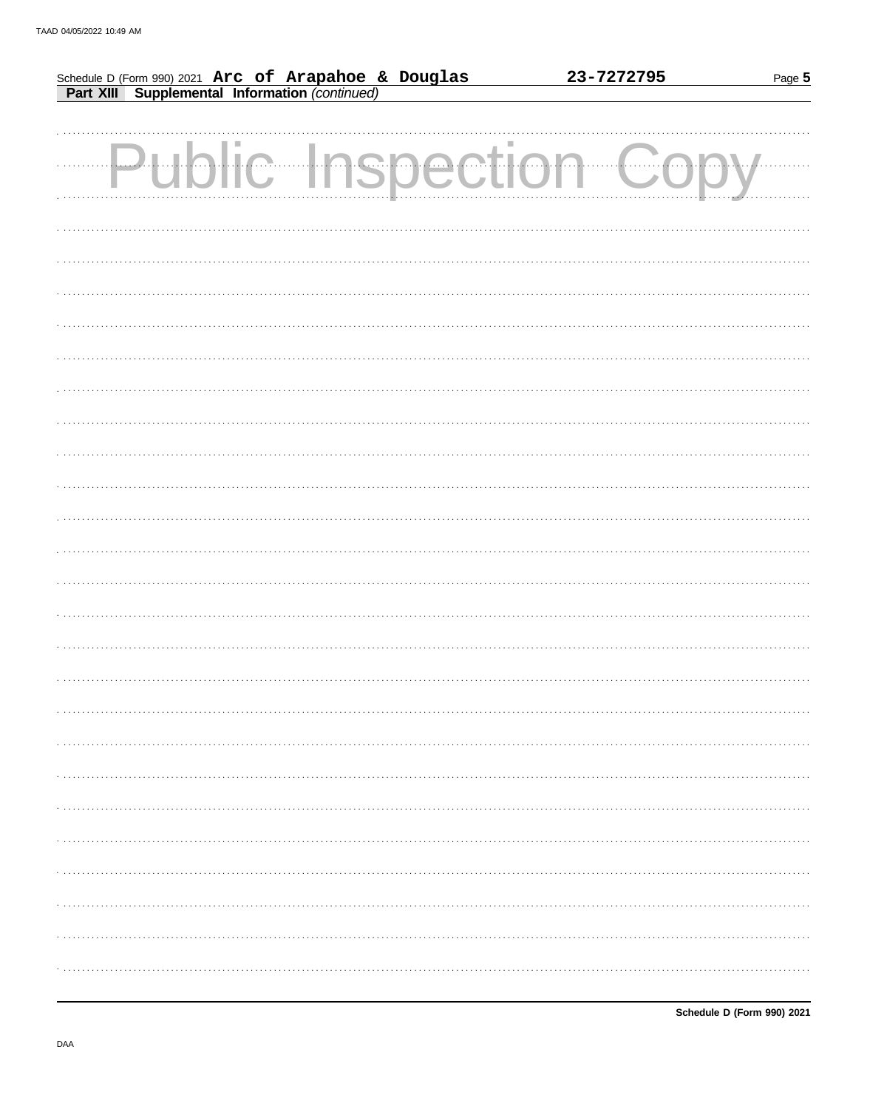|                                                                                                        |     |            |    | 23-7272795 | Page 5 |
|--------------------------------------------------------------------------------------------------------|-----|------------|----|------------|--------|
| Schedule D (Form 990) 2021 Arc of Arapahoe & Douglas<br>Part XIII Supplemental Information (continued) |     |            |    |            |        |
|                                                                                                        |     |            |    |            |        |
|                                                                                                        |     |            |    |            |        |
|                                                                                                        | ЦJ. | c Inspecti | On |            |        |
|                                                                                                        |     |            |    |            |        |
|                                                                                                        |     |            |    |            |        |
|                                                                                                        |     |            |    |            |        |
|                                                                                                        |     |            |    |            |        |
|                                                                                                        |     |            |    |            |        |
|                                                                                                        |     |            |    |            |        |
|                                                                                                        |     |            |    |            |        |
|                                                                                                        |     |            |    |            |        |
|                                                                                                        |     |            |    |            |        |
|                                                                                                        |     |            |    |            |        |
|                                                                                                        |     |            |    |            |        |
|                                                                                                        |     |            |    |            |        |
|                                                                                                        |     |            |    |            |        |
|                                                                                                        |     |            |    |            |        |
|                                                                                                        |     |            |    |            |        |
|                                                                                                        |     |            |    |            |        |
|                                                                                                        |     |            |    |            |        |
|                                                                                                        |     |            |    |            |        |
|                                                                                                        |     |            |    |            |        |
|                                                                                                        |     |            |    |            |        |
|                                                                                                        |     |            |    |            |        |
|                                                                                                        |     |            |    |            |        |
|                                                                                                        |     |            |    |            |        |
|                                                                                                        |     |            |    |            |        |
|                                                                                                        |     |            |    |            |        |
|                                                                                                        |     |            |    |            |        |
|                                                                                                        |     |            |    |            |        |
|                                                                                                        |     |            |    |            |        |
|                                                                                                        |     |            |    |            |        |
|                                                                                                        |     |            |    |            |        |
|                                                                                                        |     |            |    |            |        |
|                                                                                                        |     |            |    |            |        |
|                                                                                                        |     |            |    |            |        |
|                                                                                                        |     |            |    |            |        |
|                                                                                                        |     |            |    |            |        |
|                                                                                                        |     |            |    |            |        |
|                                                                                                        |     |            |    |            |        |
|                                                                                                        |     |            |    |            |        |
|                                                                                                        |     |            |    |            |        |
|                                                                                                        |     |            |    |            |        |
|                                                                                                        |     |            |    |            |        |
|                                                                                                        |     |            |    |            |        |
|                                                                                                        |     |            |    |            |        |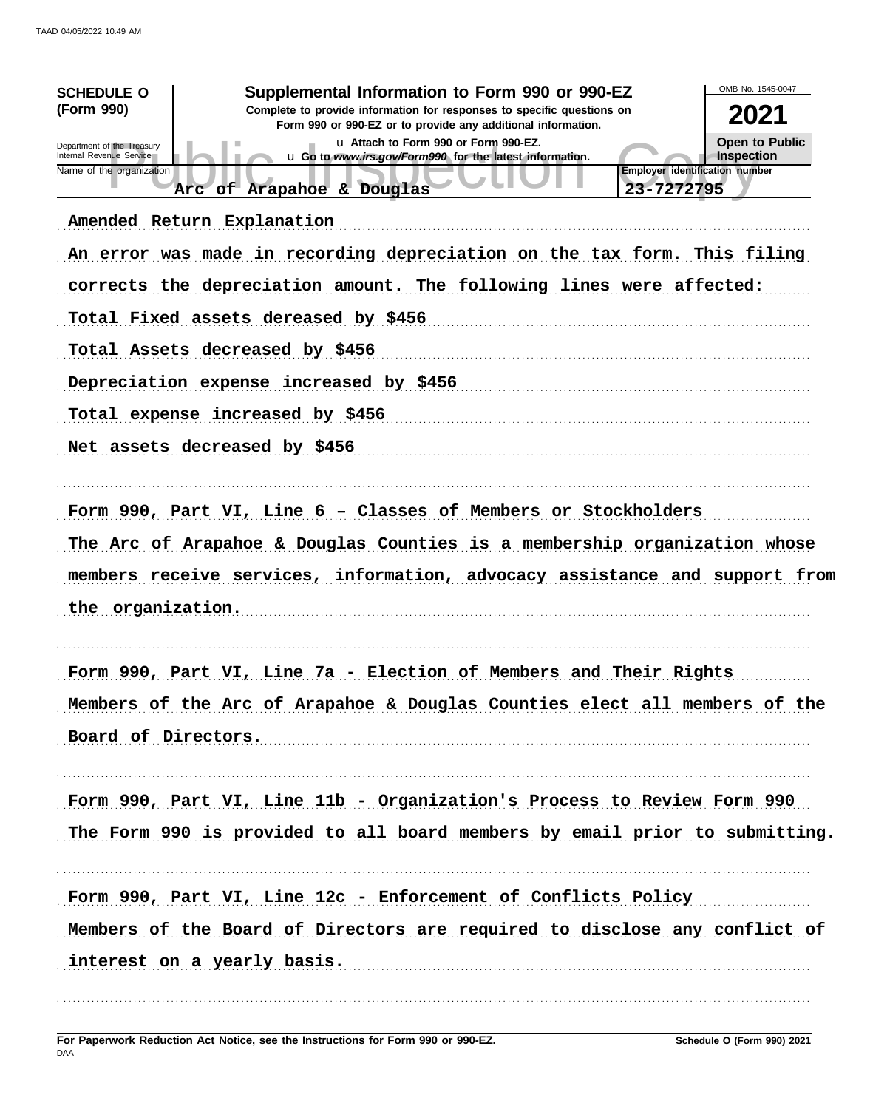| Supplemental Information to Form 990 or 990-EZ<br><b>SCHEDULE O</b><br>(Form 990)<br>Complete to provide information for responses to specific questions on<br>Form 990 or 990-EZ or to provide any additional information.<br>u Attach to Form 990 or Form 990-EZ.<br>Department of the Treasury<br>Internal Revenue Service<br>u Go to www.irs.gov/Form990 for the latest information.<br><b>Employer identification number</b><br>Name of the organization<br>23-7272795<br>Arc of Arapahoe & Douglas<br>Amended Return Explanation<br>An error was made in recording depreciation on the tax form. This filing<br>corrects the depreciation amount. The following lines were affected:<br>Total Fixed assets dereased by \$456<br>Total Assets decreased by \$456<br>Depreciation expense increased by \$456<br>Total expense increased by \$456 | OMB No. 1545-0047<br>2021<br><b>Open to Public</b><br>Inspection |
|------------------------------------------------------------------------------------------------------------------------------------------------------------------------------------------------------------------------------------------------------------------------------------------------------------------------------------------------------------------------------------------------------------------------------------------------------------------------------------------------------------------------------------------------------------------------------------------------------------------------------------------------------------------------------------------------------------------------------------------------------------------------------------------------------------------------------------------------------|------------------------------------------------------------------|
| Net assets decreased by \$456<br>Form 990, Part VI, Line 6 - Classes of Members or Stockholders<br>The Arc of Arapahoe & Douglas Counties is a membership organization whose<br>members receive services, information, advocacy assistance and support from<br>the organization.                                                                                                                                                                                                                                                                                                                                                                                                                                                                                                                                                                     |                                                                  |
| Form 990, Part VI, Line 7a - Election of Members and Their Rights<br>Members of the Arc of Arapahoe & Douglas Counties elect all members of the<br>Board of Directors.                                                                                                                                                                                                                                                                                                                                                                                                                                                                                                                                                                                                                                                                               |                                                                  |
| Form 990, Part VI, Line 11b - Organization's Process to Review Form 990<br>The Form 990 is provided to all board members by email prior to submitting.                                                                                                                                                                                                                                                                                                                                                                                                                                                                                                                                                                                                                                                                                               |                                                                  |
| Form 990, Part VI, Line 12c - Enforcement of Conflicts Policy<br>Members of the Board of Directors are required to disclose any conflict of<br>interest on a yearly basis.                                                                                                                                                                                                                                                                                                                                                                                                                                                                                                                                                                                                                                                                           |                                                                  |